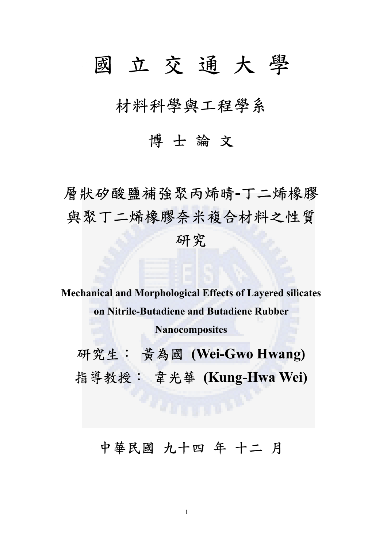## 國 立 交 通 大 學

材料科學與工程學系

## 博 士 論 文

層狀矽酸鹽補強聚丙烯晴**-**丁二烯橡膠 與聚丁二烯橡膠奈米複合材料之性質 研究

**Mechanical and Morphological Effects of Layered silicates on Nitrile-Butadiene and Butadiene Rubber Nanocomposites**

研究生: 黃為國 **(Wei-Gwo Hwang)**  指導教授: 韋光華 **(Kung-Hwa Wei)** 

中華民國 九十四 年 十二 月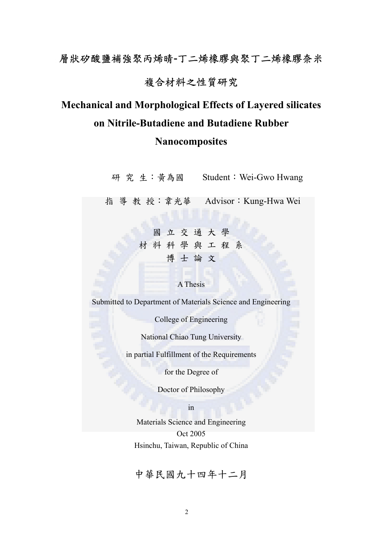# 層狀矽酸鹽補強聚丙烯晴**-**丁二烯橡膠與聚丁二烯橡膠奈米

## 複合材料之性質研究

## **Mechanical and Morphological Effects of Layered silicates on Nitrile-Butadiene and Butadiene Rubber**

### **Nanocomposites**

研 究 生:黃為國 Student:Wei-Gwo Hwang

指 導 教 授:韋光華 Advisor:Kung-Hwa Wei

國 立 交 通 大 學 材 料 科 學 與 工 程 系 博 士 論 文

#### A Thesis

Submitted to Department of Materials Science and Engineering

College of Engineering

National Chiao Tung University

in partial Fulfillment of the Requirements

for the Degree of

Doctor of Philosophy

in

Materials Science and Engineering Oct 2005 Hsinchu, Taiwan, Republic of China

中華民國九十四年十二月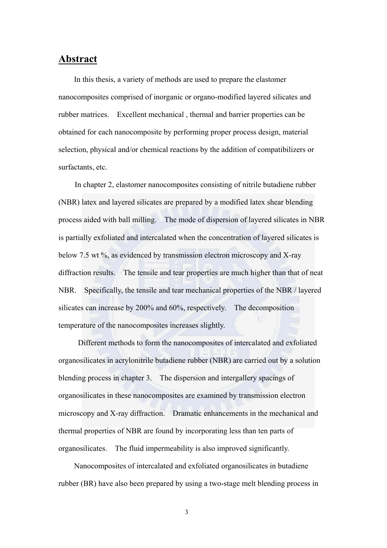#### **Abstract**

In this thesis, a variety of methods are used to prepare the elastomer nanocomposites comprised of inorganic or organo-modified layered silicates and rubber matrices. Excellent mechanical , thermal and barrier properties can be obtained for each nanocomposite by performing proper process design, material selection, physical and/or chemical reactions by the addition of compatibilizers or surfactants, etc.

In chapter 2, elastomer nanocomposites consisting of nitrile butadiene rubber (NBR) latex and layered silicates are prepared by a modified latex shear blending process aided with ball milling. The mode of dispersion of layered silicates in NBR is partially exfoliated and intercalated when the concentration of layered silicates is below 7.5 wt %, as evidenced by transmission electron microscopy and X-ray diffraction results. The tensile and tear properties are much higher than that of neat NBR. Specifically, the tensile and tear mechanical properties of the NBR / layered silicates can increase by 200% and 60%, respectively. The decomposition temperature of the nanocomposites increases slightly.

Different methods to form the nanocomposites of intercalated and exfoliated organosilicates in acrylonitrile butadiene rubber (NBR) are carried out by a solution blending process in chapter 3. The dispersion and intergallery spacings of organosilicates in these nanocomposites are examined by transmission electron microscopy and X-ray diffraction. Dramatic enhancements in the mechanical and thermal properties of NBR are found by incorporating less than ten parts of organosilicates. The fluid impermeability is also improved significantly.

Nanocomposites of intercalated and exfoliated organosilicates in butadiene rubber (BR) have also been prepared by using a two-stage melt blending process in

3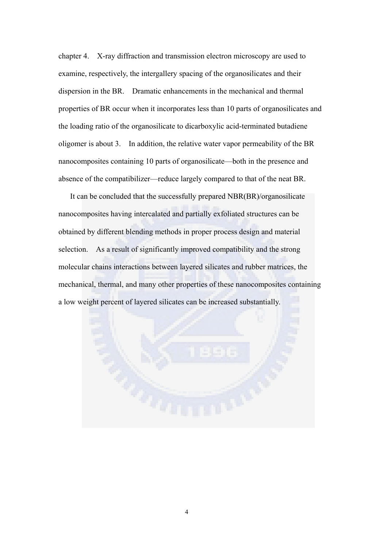chapter 4. X-ray diffraction and transmission electron microscopy are used to examine, respectively, the intergallery spacing of the organosilicates and their dispersion in the BR. Dramatic enhancements in the mechanical and thermal properties of BR occur when it incorporates less than 10 parts of organosilicates and the loading ratio of the organosilicate to dicarboxylic acid-terminated butadiene oligomer is about 3. In addition, the relative water vapor permeability of the BR nanocomposites containing 10 parts of organosilicate—both in the presence and absence of the compatibilizer—reduce largely compared to that of the neat BR.

It can be concluded that the successfully prepared NBR(BR)/organosilicate nanocomposites having intercalated and partially exfoliated structures can be obtained by different blending methods in proper process design and material selection. As a result of significantly improved compatibility and the strong molecular chains interactions between layered silicates and rubber matrices, the mechanical, thermal, and many other properties of these nanocomposites containing a low weight percent of layered silicates can be increased substantially.

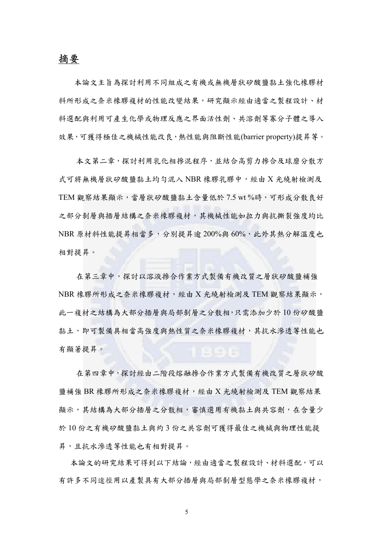#### 摘要

本論文主旨為探討利用不同組成之有機或無機層狀矽酸鹽黏土強化橡膠材 料所形成之奈米橡膠複材的性能改變結果,研究顯示經由適當之製程設計、材 料選配與利用可產生化學或物理反應之界面活性劑、共溶劑等寡分子體之導入 效果,可獲得極佳之機械性能改良,熱性能與阻斷性能(barrier property)提昇等。

本文第二章,探討利用乳化相摻混程序,並結合高剪力摻合及球磨分散方 式可將無機層狀矽酸鹽黏土均勻混入 NBR 橡膠乳膠中,經由 X 光繞射檢測及 TEM 觀察結果顯示,當層狀矽酸鹽黏土含量低於 7.5 wt %時,可形成分散良好 之部分剝層與插層結構之奈米橡膠複材,其機械性能如拉力與抗撕裂強度均比 NBR 原材料性能提昇相當多,分別提昇逾 200%與 60%,此外其熱分解溫度也 相對提昇。

在第三章中,探討以溶液摻合作業方式製備有機改質之層狀矽酸鹽補強 NBR 橡膠所形成之奈米橡膠複材,經由 X 光繞射檢測及 TEM 觀察結果顯示, 此一複材之結構為大部分插層與局部剝層之分散相,只需添加少於 10 份矽酸鹽 黏土,即可製備具相當高強度與熱性質之奈米橡膠複材,其抗水滲透等性能也 有顯著提昇。

在第四章中,探討經由二階段熔融摻合作業方式製備有機改質之層狀矽酸 鹽補強 BR 橡膠所形成之奈米橡膠複材,經由 X 光繞射檢測及 TEM 觀察結果 **顯示,其結構為大部分插層之分散相,審慎選用有機黏土與共容劑,在含量少** 於 10 份之有機矽酸鹽黏土與約 3 份之共容劑可獲得最佳之機械與物理性能提 昇,且抗水滲透等性能也有相對提昇。

本論文的研究結果可得到以下結論,經由適當之製程設計、材料選配,可以 有許多不同途徑用以產製具有大部分插層與局部剝層型態學之奈米橡膠複材,

5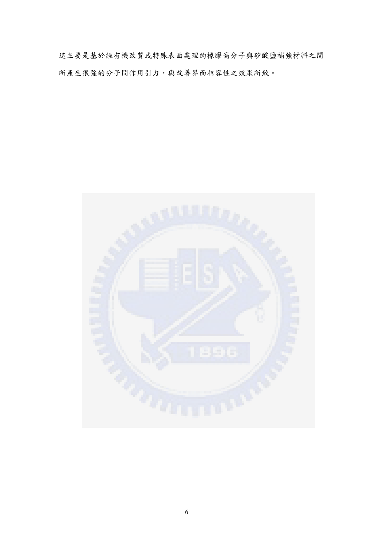這主要是基於經有機改質或特殊表面處理的橡膠高分子與矽酸鹽補強材料之間 所產生很強的分子間作用引力,與改善界面相容性之效果所致。

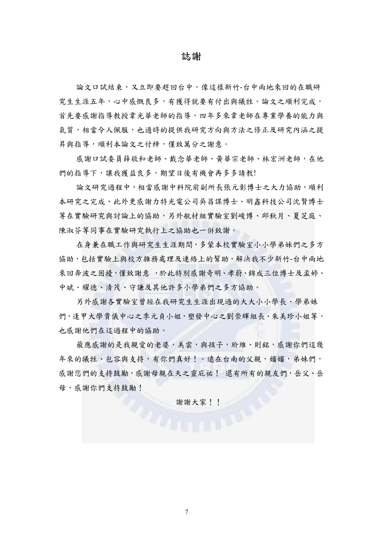#### 誌謝

論文口試結束,又立即要趕回台中,像這樣新竹-台中兩地來回的在職研 究生生涯五年,心中感慨良多,有獲得就要有付出與犧牲。論文之順利完成, 首先要感謝指導教授韋光華老師的指導,四年多來韋老師在專業學養的能力與 氣質,相當令人佩服,也適時的提供我研究方向與方法之修正及研究內涵之提 昇與指導,順利本論文之付梓,僅致萬分之謝意。

感謝口試委員薛敬和老師、戴念華老師、黃華宗老師、林宏洲老師,在他 們的指導下,讓我獲益良多,期望日後有機會再多多請教!

論文研究過程中,相當感謝中科院前副所長張元彰博士之大力協助,順利 本研究之完成、此外更感謝力特光電公司吳昌謀博士、明鑫科技公司沈賢博士 等在實驗研究與討論上的協助,另外航材組實驗室劉峻博、邱秋月、夏芝庭、 陳淑芬等同事在實驗研究執行上之協助也一倂致謝。

在身兼在職工作與研究生生涯期間,多蒙本校實驗室小小學弟妹們之多方 協助,包括實驗上與校方雜務處理及連絡上的幫助,解決我不少新竹-台中兩地 來回奔波之困擾,僅致謝意,於此特別感謝奇明、孝蔚、錦成三位博士及孟婷、 中斌、耀德、清茂、守謙及其他許多小學弟們之多方協助。

另外感謝各實驗室曾經在我研究生生涯出現過的大大小小學長、學弟妹 們,逢甲大學貴儀中心之季元貞小姐,塑發中心之劉崇輝組長、朱美珍小姐等, 也感謝他們在這過程中的協助。

最應感謝的是我親愛的老婆,美雲,與孩子,玠維、則銘,感謝你們這幾 年來的犧牲、包容與支持,有你們真好!。遠在台南的父親,嬸嬸,弟妹們, 感謝您們的支持鼓勵,感謝母親在天之靈庇祐! 還有所有的親友們,岳父、岳 母,感謝你們支持鼓勵!

**謝謝大家!!**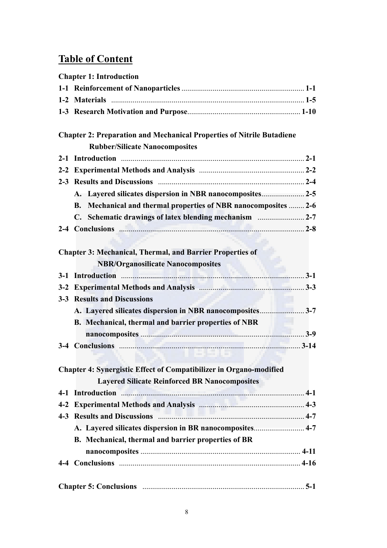## **Table of Content**

| <b>Chapter 1: Introduction</b>                                                                                                                                                                                                       |
|--------------------------------------------------------------------------------------------------------------------------------------------------------------------------------------------------------------------------------------|
|                                                                                                                                                                                                                                      |
|                                                                                                                                                                                                                                      |
|                                                                                                                                                                                                                                      |
| <b>Chapter 2: Preparation and Mechanical Properties of Nitrile Butadiene</b>                                                                                                                                                         |
| <b>Rubber/Silicate Nanocomposites</b>                                                                                                                                                                                                |
|                                                                                                                                                                                                                                      |
|                                                                                                                                                                                                                                      |
|                                                                                                                                                                                                                                      |
| A. Layered silicates dispersion in NBR nanocomposites 2-5                                                                                                                                                                            |
| Mechanical and thermal properties of NBR nanocomposites  2-6<br><b>B.</b>                                                                                                                                                            |
|                                                                                                                                                                                                                                      |
| 2-4 Conclusions 2-8                                                                                                                                                                                                                  |
|                                                                                                                                                                                                                                      |
| <b>Chapter 3: Mechanical, Thermal, and Barrier Properties of</b>                                                                                                                                                                     |
| <b>NBR/Organosilicate Nanocomposites</b>                                                                                                                                                                                             |
|                                                                                                                                                                                                                                      |
|                                                                                                                                                                                                                                      |
| <b>3-3 Results and Discussions</b>                                                                                                                                                                                                   |
|                                                                                                                                                                                                                                      |
| B. Mechanical, thermal and barrier properties of NBR                                                                                                                                                                                 |
|                                                                                                                                                                                                                                      |
|                                                                                                                                                                                                                                      |
|                                                                                                                                                                                                                                      |
| <b>Chapter 4: Synergistic Effect of Compatibilizer in Organo-modified</b>                                                                                                                                                            |
| <b>Layered Silicate Reinforced BR Nanocomposites</b>                                                                                                                                                                                 |
| 4-1 Introduction <b>Manual Property and Australian Australian Australian Australian Australian Australian Australian Australian Australian Australian Australian Australian Australian Australian Australian Australian Australi</b> |
|                                                                                                                                                                                                                                      |
| 4-3 Results and Discussions manufactured and 4-7                                                                                                                                                                                     |
| A. Layered silicates dispersion in BR nanocomposites 4-7                                                                                                                                                                             |
| B. Mechanical, thermal and barrier properties of BR                                                                                                                                                                                  |
|                                                                                                                                                                                                                                      |
|                                                                                                                                                                                                                                      |
|                                                                                                                                                                                                                                      |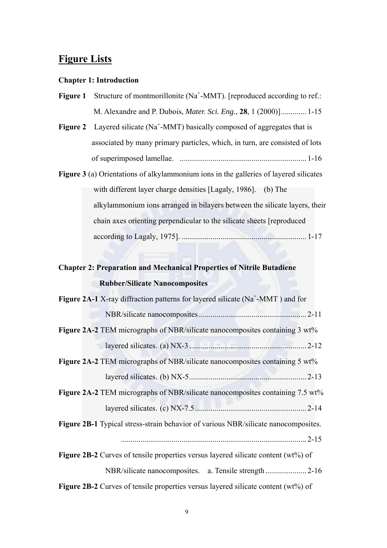### **Figure Lists**

#### **Chapter 1: Introduction**

- **Figure 1** Structure of montmorillonite (Na<sup>+</sup>-MMT). [reproduced according to ref.: M. Alexandre and P. Dubois, *Mater. Sci. Eng.*, **28**, 1 (2000)]............. 1-15
- **Figure 2** Layered silicate ( $Na^+$ -MMT) basically composed of aggregates that is associated by many primary particles, which, in turn, are consisted of lots of superimposed lamellae. ................................................................. 1-16
- **Figure 3** (a) Orientations of alkylammonium ions in the galleries of layered silicates with different layer charge densities [Lagaly, 1986]. (b) The alkylammonium ions arranged in bilayers between the silicate layers, their chain axes orienting perpendicular to the silicate sheets [reproduced according to Lagaly, 1975]. ................................................................ 1-17

## **Chapter 2: Preparation and Mechanical Properties of Nitrile Butadiene Rubber/Silicate Nanocomposites**

| <b>Figure 2A-2</b> TEM micrographs of NBR/silicate nanocomposites containing 3 wt%<br>Figure 2A-2 TEM micrographs of NBR/silicate nanocomposites containing 5 wt%<br>Figure 2B-1 Typical stress-strain behavior of various NBR/silicate nanocomposites.<br><b>Figure 2B-2</b> Curves of tensile properties versus layered silicate content (wt%) of | <b>Figure 2A-2</b> TEM micrographs of NBR/silicate nanocomposites containing 7.5 wt% | <b>Figure 2A-1</b> X-ray diffraction patterns for layered silicate ( $Na^+$ -MMT) and for |
|-----------------------------------------------------------------------------------------------------------------------------------------------------------------------------------------------------------------------------------------------------------------------------------------------------------------------------------------------------|--------------------------------------------------------------------------------------|-------------------------------------------------------------------------------------------|
|                                                                                                                                                                                                                                                                                                                                                     |                                                                                      |                                                                                           |
|                                                                                                                                                                                                                                                                                                                                                     |                                                                                      |                                                                                           |
|                                                                                                                                                                                                                                                                                                                                                     |                                                                                      |                                                                                           |
|                                                                                                                                                                                                                                                                                                                                                     |                                                                                      |                                                                                           |
|                                                                                                                                                                                                                                                                                                                                                     |                                                                                      |                                                                                           |
|                                                                                                                                                                                                                                                                                                                                                     |                                                                                      |                                                                                           |
|                                                                                                                                                                                                                                                                                                                                                     |                                                                                      |                                                                                           |
|                                                                                                                                                                                                                                                                                                                                                     |                                                                                      |                                                                                           |
|                                                                                                                                                                                                                                                                                                                                                     |                                                                                      |                                                                                           |
|                                                                                                                                                                                                                                                                                                                                                     |                                                                                      |                                                                                           |
|                                                                                                                                                                                                                                                                                                                                                     |                                                                                      |                                                                                           |

**Figure 2B-2** Curves of tensile properties versus layered silicate content (wt%) of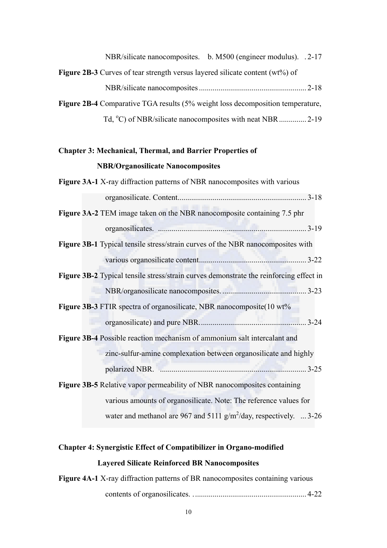| NBR/silicate nanocomposites. b. M500 (engineer modulus). .2-17                           |  |
|------------------------------------------------------------------------------------------|--|
| <b>Figure 2B-3</b> Curves of tear strength versus layered silicate content ( $wt\%$ ) of |  |
|                                                                                          |  |
| Figure 2B-4 Comparative TGA results (5% weight loss decomposition temperature,           |  |
| Td, <sup>o</sup> C) of NBR/silicate nanocomposites with neat NBR  2-19                   |  |

## **Chapter 3: Mechanical, Thermal, and Barrier Properties of NBR/Organosilicate Nanocomposites**

| Figure 3A-1 X-ray diffraction patterns of NBR nanocomposites with various              |           |
|----------------------------------------------------------------------------------------|-----------|
|                                                                                        |           |
| Figure 3A-2 TEM image taken on the NBR nanocomposite containing 7.5 phr                |           |
|                                                                                        |           |
| Figure 3B-1 Typical tensile stress/strain curves of the NBR nanocomposites with        |           |
|                                                                                        |           |
| Figure 3B-2 Typical tensile stress/strain curves demonstrate the reinforcing effect in |           |
|                                                                                        |           |
| Figure 3B-3 FTIR spectra of organosilicate, NBR nanocomposite(10 wt%                   |           |
|                                                                                        | $.3 - 24$ |
| Figure 3B-4 Possible reaction mechanism of ammonium salt intercalant and               |           |
| zinc-sulfur-amine complexation between organosilicate and highly                       |           |
|                                                                                        |           |
| Figure 3B-5 Relative vapor permeability of NBR nanocomposites containing               |           |
| various amounts of organosilicate. Note: The reference values for                      |           |
| water and methanol are 967 and 5111 $g/m^2$ /day, respectively.  3-26                  |           |

## **Chapter 4: Synergistic Effect of Compatibilizer in Organo-modified Layered Silicate Reinforced BR Nanocomposites**

**Figure 4A-1** X-ray diffraction patterns of BR nanocomposites containing various contents of organosilicates. .......................................................... 4-22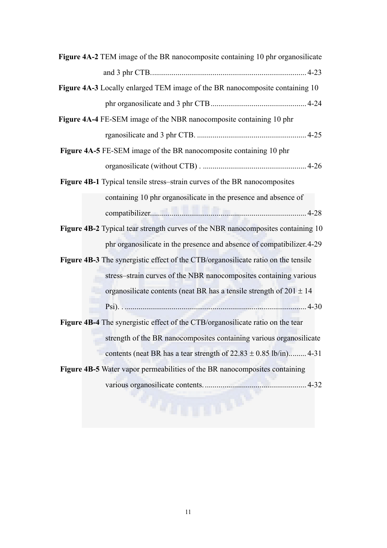| Figure 4A-2 TEM image of the BR nanocomposite containing 10 phr organosilicate      |
|-------------------------------------------------------------------------------------|
|                                                                                     |
| <b>Figure 4A-3</b> Locally enlarged TEM image of the BR nanocomposite containing 10 |
|                                                                                     |
| Figure 4A-4 FE-SEM image of the NBR nanocomposite containing 10 phr                 |
|                                                                                     |
| Figure 4A-5 FE-SEM image of the BR nanocomposite containing 10 phr                  |
|                                                                                     |
| <b>Figure 4B-1</b> Typical tensile stress-strain curves of the BR nanocomposites    |
| containing 10 phr organosilicate in the presence and absence of                     |
|                                                                                     |
| Figure 4B-2 Typical tear strength curves of the NBR nanocomposites containing 10    |
| phr organosilicate in the presence and absence of compatibilizer. 4-29              |
| Figure 4B-3 The synergistic effect of the CTB/organosilicate ratio on the tensile   |
| stress-strain curves of the NBR nanocomposites containing various                   |
| organosilicate contents (neat BR has a tensile strength of $201 \pm 14$ )           |
|                                                                                     |
| Figure 4B-4 The synergistic effect of the CTB/organosilicate ratio on the tear      |
| strength of the BR nanocomposites containing various organosilicate                 |
| contents (neat BR has a tear strength of $22.83 \pm 0.85$ lb/in) 4-31               |
| Figure 4B-5 Water vapor permeabilities of the BR nanocomposites containing          |
|                                                                                     |
|                                                                                     |

#### 11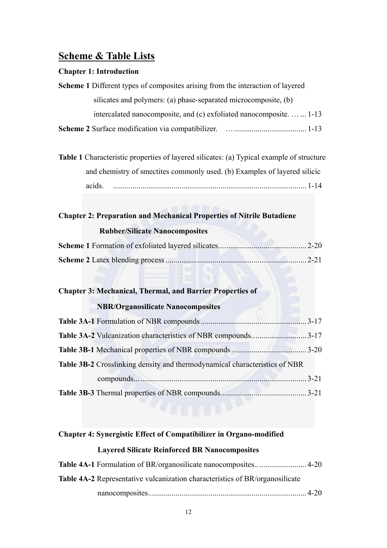### **Scheme & Table Lists**

#### **Chapter 1: Introduction**

| <b>Scheme 1</b> Different types of composites arising from the interaction of layered |
|---------------------------------------------------------------------------------------|
| silicates and polymers: (a) phase-separated microcomposite, (b)                       |
| intercalated nanocomposite, and (c) exfoliated nanocomposite.   1-13                  |
| Scheme 2 Surface modification via compatibilizer.                                     |

**Table 1** Characteristic properties of layered silicates: (a) Typical example of structure and chemistry of smectites commonly used. (b) Examples of layered silicic acids. ................................................................................................... 1-14

#### **Chapter 2: Preparation and Mechanical Properties of Nitrile Butadiene**

#### **Rubber/Silicate Nanocomposites**

#### **Chapter 3: Mechanical, Thermal, and Barrier Properties of**

#### **NBR/Organosilicate Nanocomposites**

| Table 3B-2 Crosslinking density and thermodynamical characteristics of NBR |          |
|----------------------------------------------------------------------------|----------|
|                                                                            | $3 - 21$ |
|                                                                            |          |

#### **Chapter 4: Synergistic Effect of Compatibilizer in Organo-modified**

#### **Layered Silicate Reinforced BR Nanocomposites**

| <b>Table 4A-2</b> Representative vulcanization characteristics of BR/organosilicate |  |
|-------------------------------------------------------------------------------------|--|
|                                                                                     |  |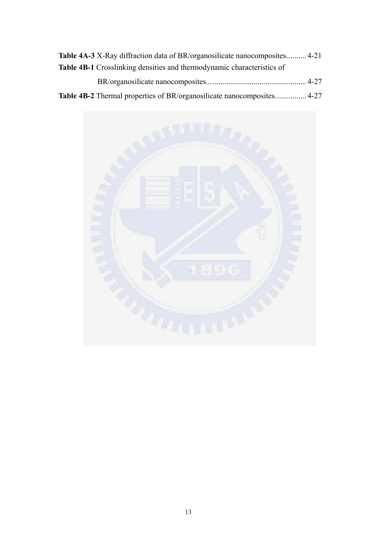| <b>Table 4A-3</b> X-Ray diffraction data of BR/organosilicate nanocomposites 4-21 |  |
|-----------------------------------------------------------------------------------|--|
| <b>Table 4B-1</b> Crosslinking densities and thermodynamic characteristics of     |  |
|                                                                                   |  |
| <b>Table 4B-2</b> Thermal properties of BR/organosilicate nanocomposites 4-27     |  |

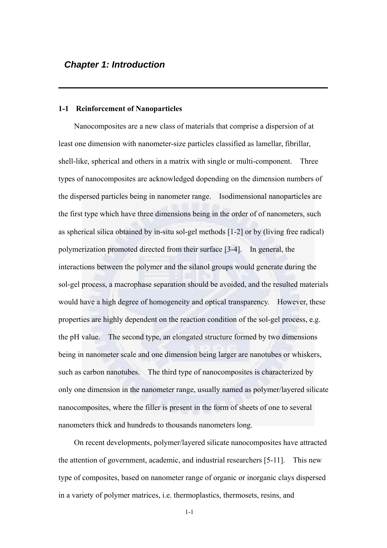#### **1-1 Reinforcement of Nanoparticles**

Nanocomposites are a new class of materials that comprise a dispersion of at least one dimension with nanometer-size particles classified as lamellar, fibrillar, shell-like, spherical and others in a matrix with single or multi-component. Three types of nanocomposites are acknowledged dopending on the dimension numbers of the dispersed particles being in nanometer range. Isodimensional nanoparticles are the first type which have three dimensions being in the order of of nanometers, such as spherical silica obtained by in-situ sol-gel methods [1-2] or by (living free radical) polymerization promoted directed from their surface [3-4]. In general, the interactions between the polymer and the silanol groups would generate during the sol-gel process, a macrophase separation should be avoided, and the resulted materials would have a high degree of homogeneity and optical transparency. However, these properties are highly dependent on the reaction condition of the sol-gel process, e.g. the pH value. The second type, an elongated structure formed by two dimensions being in nanometer scale and one dimension being larger are nanotubes or whiskers, such as carbon nanotubes. The third type of nanocomposites is characterized by only one dimension in the nanometer range, usually named as polymer/layered silicate nanocomposites, where the filler is present in the form of sheets of one to several nanometers thick and hundreds to thousands nanometers long.

On recent developments, polymer/layered silicate nanocomposites have attracted the attention of government, academic, and industrial researchers [5-11]. This new type of composites, based on nanometer range of organic or inorganic clays dispersed in a variety of polymer matrices, i.e. thermoplastics, thermosets, resins, and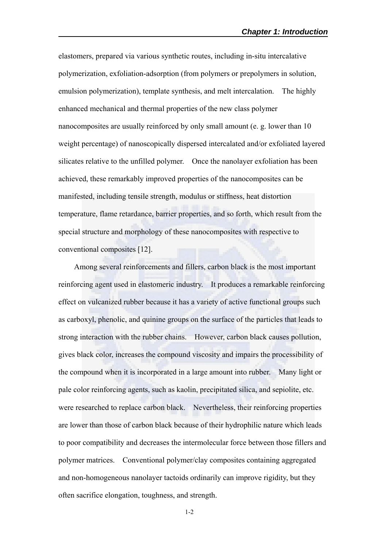elastomers, prepared via various synthetic routes, including in-situ intercalative polymerization, exfoliation-adsorption (from polymers or prepolymers in solution, emulsion polymerization), template synthesis, and melt intercalation. The highly enhanced mechanical and thermal properties of the new class polymer nanocomposites are usually reinforced by only small amount (e. g. lower than 10 weight percentage) of nanoscopically dispersed intercalated and/or exfoliated layered silicates relative to the unfilled polymer. Once the nanolayer exfoliation has been achieved, these remarkably improved properties of the nanocomposites can be manifested, including tensile strength, modulus or stiffness, heat distortion temperature, flame retardance, barrier properties, and so forth, which result from the special structure and morphology of these nanocomposites with respective to conventional composites [12].

Among several reinforcements and fillers, carbon black is the most important reinforcing agent used in elastomeric industry. It produces a remarkable reinforcing effect on vulcanized rubber because it has a variety of active functional groups such as carboxyl, phenolic, and quinine groups on the surface of the particles that leads to strong interaction with the rubber chains. However, carbon black causes pollution, gives black color, increases the compound viscosity and impairs the processibility of the compound when it is incorporated in a large amount into rubber. Many light or pale color reinforcing agents, such as kaolin, precipitated silica, and sepiolite, etc. were researched to replace carbon black. Nevertheless, their reinforcing properties are lower than those of carbon black because of their hydrophilic nature which leads to poor compatibility and decreases the intermolecular force between those fillers and polymer matrices. Conventional polymer/clay composites containing aggregated and non-homogeneous nanolayer tactoids ordinarily can improve rigidity, but they often sacrifice elongation, toughness, and strength.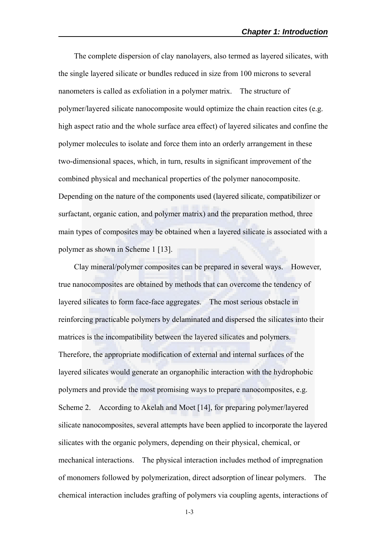The complete dispersion of clay nanolayers, also termed as layered silicates, with the single layered silicate or bundles reduced in size from 100 microns to several nanometers is called as exfoliation in a polymer matrix. The structure of polymer/layered silicate nanocomposite would optimize the chain reaction cites (e.g. high aspect ratio and the whole surface area effect) of layered silicates and confine the polymer molecules to isolate and force them into an orderly arrangement in these two-dimensional spaces, which, in turn, results in significant improvement of the combined physical and mechanical properties of the polymer nanocomposite. Depending on the nature of the components used (layered silicate, compatibilizer or surfactant, organic cation, and polymer matrix) and the preparation method, three main types of composites may be obtained when a layered silicate is associated with a polymer as shown in Scheme 1 [13].

Clay mineral/polymer composites can be prepared in several ways. However, true nanocomposites are obtained by methods that can overcome the tendency of layered silicates to form face-face aggregates. The most serious obstacle in reinforcing practicable polymers by delaminated and dispersed the silicates into their matrices is the incompatibility between the layered silicates and polymers. Therefore, the appropriate modification of external and internal surfaces of the layered silicates would generate an organophilic interaction with the hydrophobic polymers and provide the most promising ways to prepare nanocomposites, e.g. Scheme 2. According to Akelah and Moet [14], for preparing polymer/layered silicate nanocomposites, several attempts have been applied to incorporate the layered silicates with the organic polymers, depending on their physical, chemical, or mechanical interactions. The physical interaction includes method of impregnation of monomers followed by polymerization, direct adsorption of linear polymers. The chemical interaction includes grafting of polymers via coupling agents, interactions of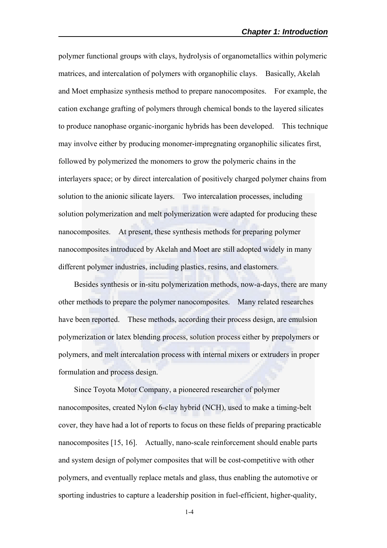polymer functional groups with clays, hydrolysis of organometallics within polymeric matrices, and intercalation of polymers with organophilic clays. Basically, Akelah and Moet emphasize synthesis method to prepare nanocomposites. For example, the cation exchange grafting of polymers through chemical bonds to the layered silicates to produce nanophase organic-inorganic hybrids has been developed. This technique may involve either by producing monomer-impregnating organophilic silicates first, followed by polymerized the monomers to grow the polymeric chains in the interlayers space; or by direct intercalation of positively charged polymer chains from solution to the anionic silicate layers. Two intercalation processes, including solution polymerization and melt polymerization were adapted for producing these nanocomposites. At present, these synthesis methods for preparing polymer nanocomposites introduced by Akelah and Moet are still adopted widely in many different polymer industries, including plastics, resins, and elastomers.

Besides synthesis or in-situ polymerization methods, now-a-days, there are many other methods to prepare the polymer nanocomposites. Many related researches have been reported. These methods, according their process design, are emulsion polymerization or latex blending process, solution process either by prepolymers or polymers, and melt intercalation process with internal mixers or extruders in proper formulation and process design.

Since Toyota Motor Company, a pioneered researcher of polymer nanocomposites, created Nylon 6-clay hybrid (NCH), used to make a timing-belt cover, they have had a lot of reports to focus on these fields of preparing practicable nanocomposites [15, 16]. Actually, nano-scale reinforcement should enable parts and system design of polymer composites that will be cost-competitive with other polymers, and eventually replace metals and glass, thus enabling the automotive or sporting industries to capture a leadership position in fuel-efficient, higher-quality,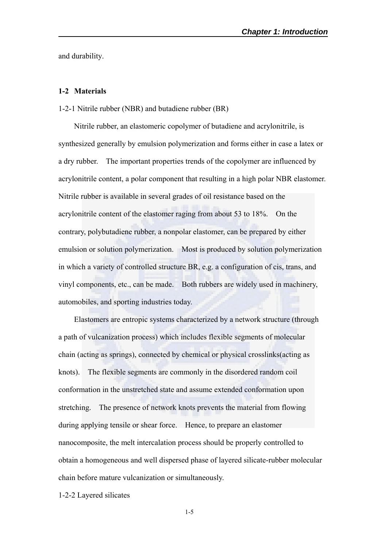and durability.

#### **1-2 Materials**

#### 1-2-1 Nitrile rubber (NBR) and butadiene rubber (BR)

Nitrile rubber, an elastomeric copolymer of butadiene and acrylonitrile, is synthesized generally by emulsion polymerization and forms either in case a latex or a dry rubber. The important properties trends of the copolymer are influenced by acrylonitrile content, a polar component that resulting in a high polar NBR elastomer. Nitrile rubber is available in several grades of oil resistance based on the acrylonitrile content of the elastomer raging from about 53 to 18%. On the contrary, polybutadiene rubber, a nonpolar elastomer, can be prepared by either emulsion or solution polymerization. Most is produced by solution polymerization in which a variety of controlled structure BR, e.g. a configuration of cis, trans, and vinyl components, etc., can be made. Both rubbers are widely used in machinery, automobiles, and sporting industries today.

Elastomers are entropic systems characterized by a network structure (through a path of vulcanization process) which includes flexible segments of molecular chain (acting as springs), connected by chemical or physical crosslinks(acting as knots). The flexible segments are commonly in the disordered random coil conformation in the unstretched state and assume extended conformation upon stretching. The presence of network knots prevents the material from flowing during applying tensile or shear force. Hence, to prepare an elastomer nanocomposite, the melt intercalation process should be properly controlled to obtain a homogeneous and well dispersed phase of layered silicate-rubber molecular chain before mature vulcanization or simultaneously.

1-2-2 Layered silicates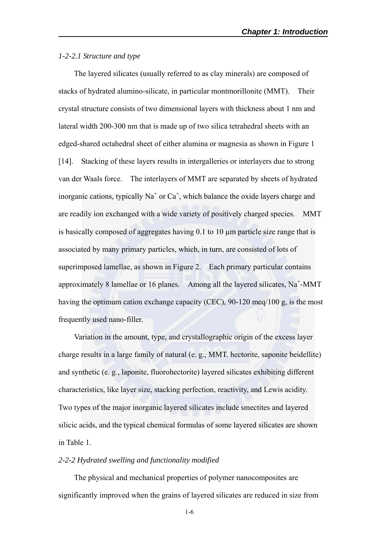#### *1-2-2.1 Structure and type*

The layered silicates (usually referred to as clay minerals) are composed of stacks of hydrated alumino-silicate, in particular montmorillonite (MMT). Their crystal structure consists of two dimensional layers with thickness about 1 nm and lateral width 200-300 nm that is made up of two silica tetrahedral sheets with an edged-shared octahedral sheet of either alumina or magnesia as shown in Figure 1 [14]. Stacking of these layers results in intergalleries or interlayers due to strong van der Waals force. The interlayers of MMT are separated by sheets of hydrated inorganic cations, typically  $Na<sup>+</sup>$  or  $Ca<sup>+</sup>$ , which balance the oxide layers charge and are readily ion exchanged with a wide variety of positively charged species. MMT is basically composed of aggregates having 0.1 to 10 µm particle size range that is associated by many primary particles, which, in turn, are consisted of lots of superimposed lamellae, as shown in Figure 2. Each primary particular contains approximately 8 lamellae or 16 planes. Among all the layered silicates,  $Na^+$ -MMT having the optimum cation exchange capacity (CEC), 90-120 meq/100 g, is the most frequently used nano-filler.

Variation in the amount, type, and crystallographic origin of the excess layer charge results in a large family of natural (e. g., MMT. hectorite, saponite beidellite) and synthetic (e. g., laponite, fluorohectorite) layered silicates exhibiting different characteristics, like layer size, stacking perfection, reactivity, and Lewis acidity. Two types of the major inorganic layered silicates include smectites and layered silicic acids, and the typical chemical formulas of some layered silicates are shown in Table 1.

#### *2-2-2 Hydrated swelling and functionality modified*

The physical and mechanical properties of polymer nanocomposites are significantly improved when the grains of layered silicates are reduced in size from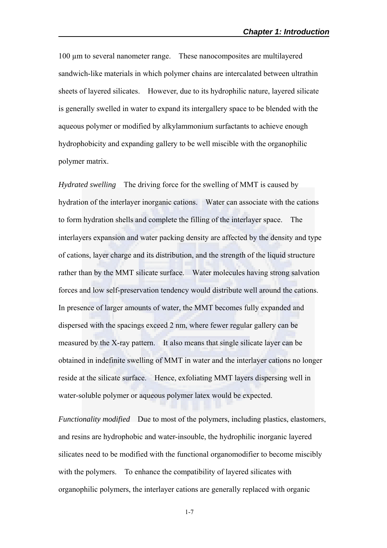100 µm to several nanometer range. These nanocomposites are multilayered sandwich-like materials in which polymer chains are intercalated between ultrathin sheets of layered silicates. However, due to its hydrophilic nature, layered silicate is generally swelled in water to expand its intergallery space to be blended with the aqueous polymer or modified by alkylammonium surfactants to achieve enough hydrophobicity and expanding gallery to be well miscible with the organophilic polymer matrix.

*Hydrated swelling* The driving force for the swelling of MMT is caused by hydration of the interlayer inorganic cations. Water can associate with the cations to form hydration shells and complete the filling of the interlayer space. The interlayers expansion and water packing density are affected by the density and type of cations, layer charge and its distribution, and the strength of the liquid structure rather than by the MMT silicate surface. Water molecules having strong salvation forces and low self-preservation tendency would distribute well around the cations. In presence of larger amounts of water, the MMT becomes fully expanded and dispersed with the spacings exceed 2 nm, where fewer regular gallery can be measured by the X-ray pattern. It also means that single silicate layer can be obtained in indefinite swelling of MMT in water and the interlayer cations no longer reside at the silicate surface. Hence, exfoliating MMT layers dispersing well in water-soluble polymer or aqueous polymer latex would be expected.

*Functionality modified* Due to most of the polymers, including plastics, elastomers, and resins are hydrophobic and water-insouble, the hydrophilic inorganic layered silicates need to be modified with the functional organomodifier to become miscibly with the polymers. To enhance the compatibility of layered silicates with organophilic polymers, the interlayer cations are generally replaced with organic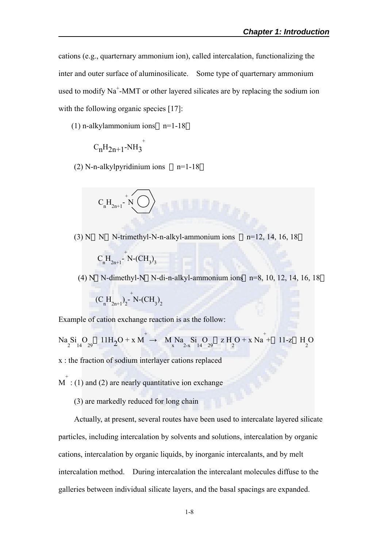cations (e.g., quarternary ammonium ion), called intercalation, functionalizing the inter and outer surface of aluminosilicate. Some type of quarternary ammonium used to modify  $Na^+$ -MMT or other layered silicates are by replacing the sodium ion with the following organic species [17]:

(1) n-alkylammonium ions n=1-18

$$
{\rm C}_n{\rm H}_{2n+1}\text{-}{\rm NH}_3^{+}
$$

(2) N-n-alkylpyridinium ions  $n=1-18$ 

$$
C_nH_{2n+1}\hbox{-}\bigwedge^{\hskip -2pt +}\bigwedge^{\hskip -2pt +}\hskip -2pt
$$

 $(3)$  N N-trimethyl-N-n-alkyl-ammonium ions n=12, 14, 16, 18

$$
C_nH_{2n+1}^{\ \ \, +}\n \times (CH_3)_3
$$

(4) N N-dimethyl-N N-di-n-alkyl-ammonium ions n=8, 10, 12, 14, 16, 18

$$
(\mathrm{C}_{n}^{\phantom{1}}\mathrm{H}_{2n+1}^{\phantom{1}})_{2}^{\phantom{1}-}^{\phantom{1}+}N\text{-}\mathrm{CH}_{3}^{\phantom{1}})_{2}
$$

Example of cation exchange reaction is as the follow:

$$
Na_2Si_1O_{29} \quad 11H_2O + x M \rightarrow M_xNa_2Si_1O_{29} \quad z H_2O + x Na \stackrel{+}{\rightarrow} 11-z H_2O
$$

x : the fraction of sodium interlayer cations replaced

- $M^{\dagger}$ : (1) and (2) are nearly quantitative ion exchange
	- (3) are markedly reduced for long chain

Actually, at present, several routes have been used to intercalate layered silicate particles, including intercalation by solvents and solutions, intercalation by organic cations, intercalation by organic liquids, by inorganic intercalants, and by melt intercalation method. During intercalation the intercalant molecules diffuse to the galleries between individual silicate layers, and the basal spacings are expanded.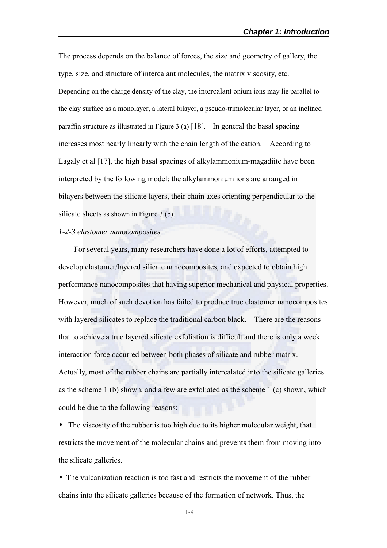The process depends on the balance of forces, the size and geometry of gallery, the type, size, and structure of intercalant molecules, the matrix viscosity, etc. Depending on the charge density of the clay, the intercalant onium ions may lie parallel to the clay surface as a monolayer, a lateral bilayer, a pseudo-trimolecular layer, or an inclined paraffin structure as illustrated in Figure 3 (a) [18]. In general the basal spacing increases most nearly linearly with the chain length of the cation. According to Lagaly et al [17], the high basal spacings of alkylammonium-magadiite have been interpreted by the following model: the alkylammonium ions are arranged in bilayers between the silicate layers, their chain axes orienting perpendicular to the silicate sheets as shown in Figure 3 (b).

#### *1-2-3 elastomer nanocomposites*

For several years, many researchers have done a lot of efforts, attempted to develop elastomer/layered silicate nanocomposites, and expected to obtain high performance nanocomposites that having superior mechanical and physical properties. However, much of such devotion has failed to produce true elastomer nanocomposites with layered silicates to replace the traditional carbon black. There are the reasons that to achieve a true layered silicate exfoliation is difficult and there is only a week interaction force occurred between both phases of silicate and rubber matrix. Actually, most of the rubber chains are partially intercalated into the silicate galleries as the scheme 1 (b) shown, and a few are exfoliated as the scheme 1 (c) shown, which could be due to the following reasons:

The viscosity of the rubber is too high due to its higher molecular weight, that restricts the movement of the molecular chains and prevents them from moving into the silicate galleries.

The vulcanization reaction is too fast and restricts the movement of the rubber chains into the silicate galleries because of the formation of network. Thus, the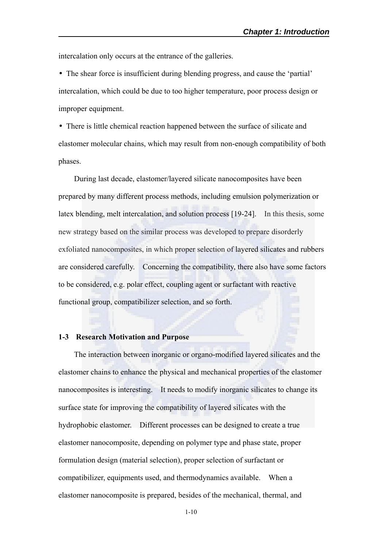intercalation only occurs at the entrance of the galleries.

The shear force is insufficient during blending progress, and cause the 'partial' intercalation, which could be due to too higher temperature, poor process design or improper equipment.

There is little chemical reaction happened between the surface of silicate and elastomer molecular chains, which may result from non-enough compatibility of both phases.

During last decade, elastomer/layered silicate nanocomposites have been prepared by many different process methods, including emulsion polymerization or latex blending, melt intercalation, and solution process [19-24]. In this thesis, some new strategy based on the similar process was developed to prepare disorderly exfoliated nanocomposites, in which proper selection of layered silicates and rubbers are considered carefully. Concerning the compatibility, there also have some factors to be considered, e.g. polar effect, coupling agent or surfactant with reactive functional group, compatibilizer selection, and so forth.

#### **1-3 Research Motivation and Purpose**

The interaction between inorganic or organo-modified layered silicates and the elastomer chains to enhance the physical and mechanical properties of the elastomer nanocomposites is interesting. It needs to modify inorganic silicates to change its surface state for improving the compatibility of layered silicates with the hydrophobic elastomer. Different processes can be designed to create a true elastomer nanocomposite, depending on polymer type and phase state, proper formulation design (material selection), proper selection of surfactant or compatibilizer, equipments used, and thermodynamics available. When a elastomer nanocomposite is prepared, besides of the mechanical, thermal, and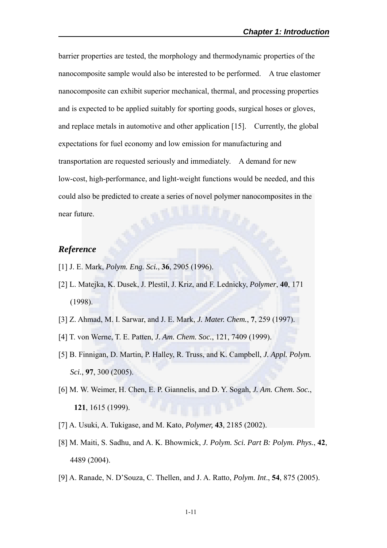barrier properties are tested, the morphology and thermodynamic properties of the nanocomposite sample would also be interested to be performed. A true elastomer nanocomposite can exhibit superior mechanical, thermal, and processing properties and is expected to be applied suitably for sporting goods, surgical hoses or gloves, and replace metals in automotive and other application [15]. Currently, the global expectations for fuel economy and low emission for manufacturing and transportation are requested seriously and immediately. A demand for new low-cost, high-performance, and light-weight functions would be needed, and this could also be predicted to create a series of novel polymer nanocomposites in the near future.

#### *Reference*

- [1] J. E. Mark, *Polym. Eng. Sci.*, **36**, 2905 (1996).
- [2] L. Matejka, K. Dusek, J. Plestil, J. Kriz, and F. Lednicky, *Polymer*, **40**, 171 (1998).
- [3] Z. Ahmad, M. I. Sarwar, and J. E. Mark, *J. Mater. Chem.*, **7**, 259 (1997).
- [4] T. von Werne, T. E. Patten, *J. Am. Chem. Soc.*, 121, 7409 (1999).
- [5] B. Finnigan, D. Martin, P. Halley, R. Truss, and K. Campbell, *J. Appl. Polym. Sci.*, **97**, 300 (2005).
- [6] M. W. Weimer, H. Chen, E. P. Giannelis, and D. Y. Sogah, *J. Am. Chem. Soc.*, **121**, 1615 (1999).
- [7] A. Usuki, A. Tukigase, and M. Kato, *Polymer,* **43**, 2185 (2002).
- [8] M. Maiti, S. Sadhu, and A. K. Bhowmick, *J. Polym. Sci. Part B: Polym. Phys.*, **42**, 4489 (2004).
- [9] A. Ranade, N. D'Souza, C. Thellen, and J. A. Ratto, *Polym. Int*., **54**, 875 (2005).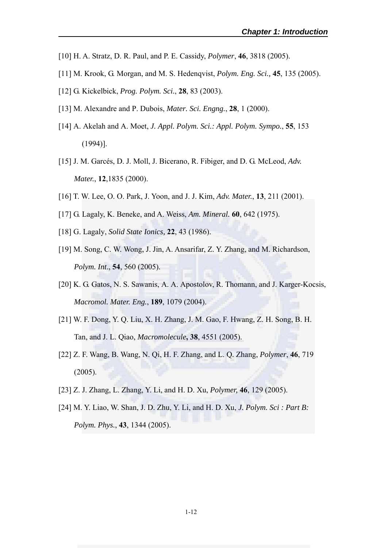- [10] H. A. Stratz, D. R. Paul, and P. E. Cassidy, *Polymer*, **46**, 3818 (2005).
- [11] M. Krook, G. Morgan, and M. S. Hedenqvist, *Polym. Eng. Sci.,* **45**, 135 (2005).
- [12] G. Kickelbick, *Prog. Polym. Sci.*, **28**, 83 (2003).
- [13] M. Alexandre and P. Dubois, *Mater. Sci. Engng.*, **28**, 1 (2000).
- [14] A. Akelah and A. Moet, *J. Appl. Polym. Sci.: Appl. Polym. Sympo.*, **55**, 153 (1994)].
- [15] J. M. Garcés, D. J. Moll, J. Bicerano, R. Fibiger, and D. G. McLeod, *Adv. Mater.*, **12**,1835 (2000).
- [16] T. W. Lee, O. O. Park, J. Yoon, and J. J. Kim, *Adv. Mater.*, **13**, 211 (2001).
- [17] G. Lagaly, K. Beneke, and A. Weiss, *Am. Mineral.* **60**, 642 (1975).
- [18] G. Lagaly, *Solid State Ionics,* **22**, 43 (1986).
- [19] M. Song, C. W. Wong, J. Jin, A. Ansarifar, Z. Y. Zhang, and M. Richardson, *Polym. Int*., **54**, 560 (2005).
- [20] K. G. Gatos, N. S. Sawanis, A. A. Apostolov, R. Thomann, and J. Karger-Kocsis, *Macromol. Mater. Eng.*, **189**, 1079 (2004).
- [21] W. F. Dong, Y. Q. Liu, X. H. Zhang, J. M. Gao, F. Hwang, Z. H. Song, B. H. Tan, and J. L. Qiao, *Macromolecule***, 38**, 4551 (2005).
- [22] Z. F. Wang, B. Wang, N. Qi, H. F. Zhang, and L. Q. Zhang, *Polymer*, **46**, 719 (2005).
- [23] Z. J. Zhang, L. Zhang, Y. Li, and H. D. Xu, *Polymer,* **46**, 129 (2005).
- [24] M. Y. Liao, W. Shan, J. D. Zhu, Y. Li, and H. D. Xu, *J. Polym. Sci : Part B: Polym. Phys.*, **43**, 1344 (2005).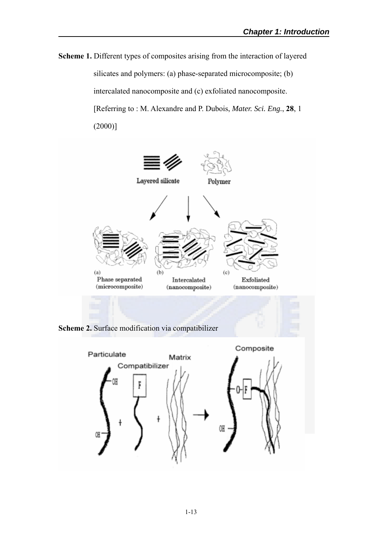**Scheme 1.** Different types of composites arising from the interaction of layered silicates and polymers: (a) phase-separated microcomposite; (b) intercalated nanocomposite and (c) exfoliated nanocomposite. [Referring to : M. Alexandre and P. Dubois, *Mater. Sci. Eng.*, **28**, 1  $(2000)]$ 



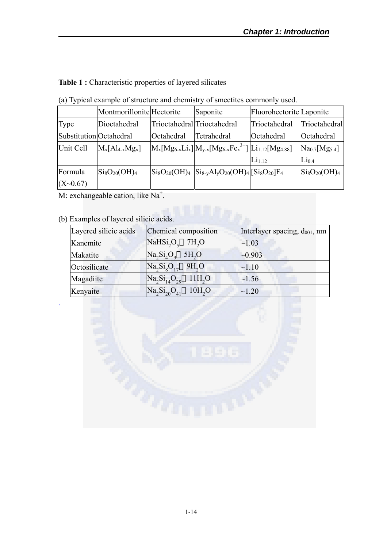**Table 1 :** Characteristic properties of layered silicates

(a) Typical example of structure and chemistry of smectites commonly used.

|                         | Montmorillonite Hectorite |            | Saponite                                                                                                                                                                      | Fluorohectorite Laponite |                                               |
|-------------------------|---------------------------|------------|-------------------------------------------------------------------------------------------------------------------------------------------------------------------------------|--------------------------|-----------------------------------------------|
| Type                    | Dioctahedral              |            | Trioctahedral Trioctahedral                                                                                                                                                   | Trioctahedral            | Trioctahedral                                 |
| Substitution Octahedral |                           | Octahedral | Tetrahedral                                                                                                                                                                   | Octahedral               | Octahedral                                    |
| Unit Cell               | $M_x[Al_{4-x}Mg_x]$       |            | $ M_{x} [Mg_{6-x}Li_{x}] M_{y-x} [Mg_{6-x}Fe_{x}^{3+}]   Li_{1.12}[Mg_{4.88}]$                                                                                                |                          | Na <sub>0.7</sub> [Mg <sub>5.4</sub> ]        |
|                         |                           |            |                                                                                                                                                                               | Li <sub>1.12</sub>       | $Li_{0.4}$                                    |
| Formula                 | $Si_8O_{20}(OH)_4$        |            | $\left  \text{Si}_8\text{O}_{20}(\text{OH})_4 \right  \left  \text{Si}_{8-y}\text{Al}_y\text{O}_{20}(\text{OH})_4 \right  \left[ \text{Si}_8\text{O}_{20} \right] \text{F}_4$ |                          | $\mathrm{Si}_8\mathrm{O}_{20}(\mathrm{OH})_4$ |
| (X~0.67)                |                           |            |                                                                                                                                                                               |                          |                                               |

M: exchangeable cation, like  $Na^+$ .

#### (b) Examples of layered silicic acids.

.

| Layered silicic acids | Chemical composition                                | Interlayer spacing, $d_{001}$ , nm |
|-----------------------|-----------------------------------------------------|------------------------------------|
| Kanemite              | NaHSi <sub>2</sub> O <sub>5</sub> 7H <sub>2</sub> O | ~1.03                              |
| Makatite              | $Na2Si4O9$<br>5H <sub>2</sub> O                     | $\sim 0.903$                       |
| Octosilicate          | $Na_2Si_8O_{17}$ 9H <sub>2</sub> O                  | $\sim 1.10$                        |
| Magadiite             | $Na_2Si_{14}O_{29}$<br>11H <sub>2</sub> O           | $\sim$ 1.56                        |
| Kenyaite              | $Na_2Si_{20}O_{41}$<br>10H <sub>2</sub> O           | $\sim 1.20$                        |

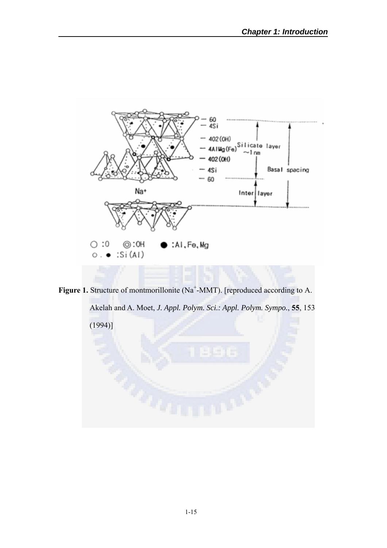

Figure 1. Structure of montmorillonite (Na<sup>+</sup>-MMT). [reproduced according to A.

Akelah and A. Moet, *J. Appl. Polym. Sci.: Appl. Polym. Sympo.*, **55**, 153

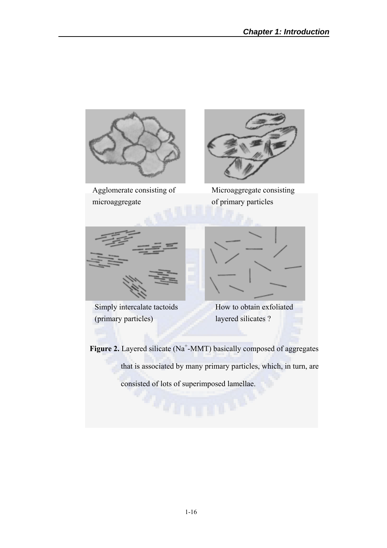

Agglomerate consisting of microaggregate



Microaggregate consisting of primary particles



Simply intercalate tactoids (primary particles)



How to obtain exfoliated layered silicates ?

Figure 2. Layered silicate (Na<sup>+</sup>-MMT) basically composed of aggregates that is associated by many primary particles, which, in turn, are consisted of lots of superimposed lamellae.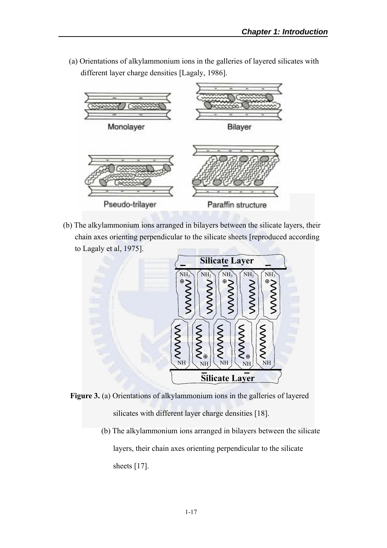(a) Orientations of alkylammonium ions in the galleries of layered silicates with different layer charge densities [Lagaly, 1986].



(b) The alkylammonium ions arranged in bilayers between the silicate layers, their chain axes orienting perpendicular to the silicate sheets [reproduced according to Lagaly et al, 1975].



- **Figure 3.** (a) Orientations of alkylammonium ions in the galleries of layered silicates with different layer charge densities [18].
	- (b) The alkylammonium ions arranged in bilayers between the silicate layers, their chain axes orienting perpendicular to the silicate sheets [17].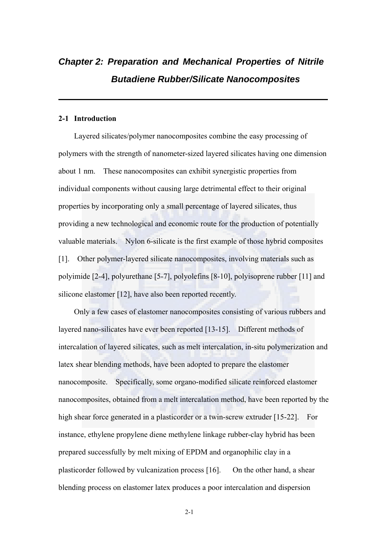## *Chapter 2: Preparation and Mechanical Properties of Nitrile Butadiene Rubber/Silicate Nanocomposites*

#### **2-1 Introduction**

Layered silicates/polymer nanocomposites combine the easy processing of polymers with the strength of nanometer-sized layered silicates having one dimension about 1 nm. These nanocomposites can exhibit synergistic properties from individual components without causing large detrimental effect to their original properties by incorporating only a small percentage of layered silicates, thus providing a new technological and economic route for the production of potentially valuable materials. Nylon 6-silicate is the first example of those hybrid composites [1]. Other polymer-layered silicate nanocomposites, involving materials such as polyimide [2-4], polyurethane [5-7], polyolefins [8-10], polyisoprene rubber [11] and silicone elastomer [12], have also been reported recently.

Only a few cases of elastomer nanocomposites consisting of various rubbers and layered nano-silicates have ever been reported [13-15]. Different methods of intercalation of layered silicates, such as melt intercalation, in-situ polymerization and latex shear blending methods, have been adopted to prepare the elastomer nanocomposite. Specifically, some organo-modified silicate reinforced elastomer nanocomposites, obtained from a melt intercalation method, have been reported by the high shear force generated in a plasticorder or a twin-screw extruder [15-22]. For instance, ethylene propylene diene methylene linkage rubber-clay hybrid has been prepared successfully by melt mixing of EPDM and organophilic clay in a plasticorder followed by vulcanization process [16]. On the other hand, a shear blending process on elastomer latex produces a poor intercalation and dispersion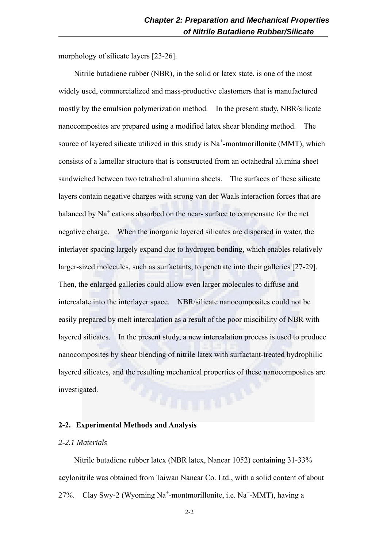morphology of silicate layers [23-26].

Nitrile butadiene rubber (NBR), in the solid or latex state, is one of the most widely used, commercialized and mass-productive elastomers that is manufactured mostly by the emulsion polymerization method. In the present study, NBR/silicate nanocomposites are prepared using a modified latex shear blending method. The source of layered silicate utilized in this study is  $Na^+$ -montmorillonite (MMT), which consists of a lamellar structure that is constructed from an octahedral alumina sheet sandwiched between two tetrahedral alumina sheets. The surfaces of these silicate layers contain negative charges with strong van der Waals interaction forces that are balanced by  $Na<sup>+</sup>$  cations absorbed on the near- surface to compensate for the net negative charge. When the inorganic layered silicates are dispersed in water, the interlayer spacing largely expand due to hydrogen bonding, which enables relatively larger-sized molecules, such as surfactants, to penetrate into their galleries [27-29]. Then, the enlarged galleries could allow even larger molecules to diffuse and intercalate into the interlayer space. NBR/silicate nanocomposites could not be easily prepared by melt intercalation as a result of the poor miscibility of NBR with layered silicates. In the present study, a new intercalation process is used to produce nanocomposites by shear blending of nitrile latex with surfactant-treated hydrophilic layered silicates, and the resulting mechanical properties of these nanocomposites are investigated.

#### **2-2. Experimental Methods and Analysis**

#### *2-2.1 Materials*

Nitrile butadiene rubber latex (NBR latex, Nancar 1052) containing 31-33% acylonitrile was obtained from Taiwan Nancar Co. Ltd., with a solid content of about 27%. Clay Swy-2 (Wyoming Na<sup>+</sup>-montmorillonite, i.e. Na<sup>+</sup>-MMT), having a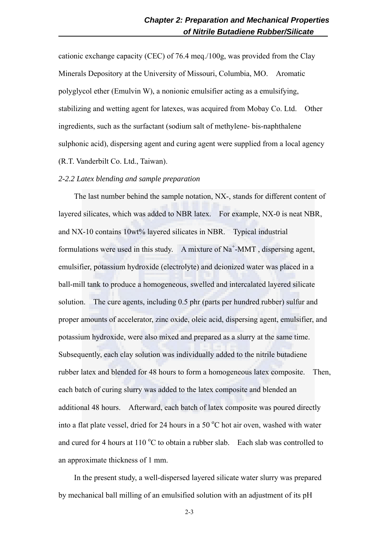cationic exchange capacity (CEC) of 76.4 meq./100g, was provided from the Clay Minerals Depository at the University of Missouri, Columbia, MO. Aromatic polyglycol ether (Emulvin W), a nonionic emulsifier acting as a emulsifying, stabilizing and wetting agent for latexes, was acquired from Mobay Co. Ltd. Other ingredients, such as the surfactant (sodium salt of methylene- bis-naphthalene sulphonic acid), dispersing agent and curing agent were supplied from a local agency (R.T. Vanderbilt Co. Ltd., Taiwan).

#### *2-2.2 Latex blending and sample preparation*

The last number behind the sample notation, NX-, stands for different content of layered silicates, which was added to NBR latex. For example, NX-0 is neat NBR, and NX-10 contains 10wt% layered silicates in NBR. Typical industrial formulations were used in this study. A mixture of  $Na^+$ -MMT, dispersing agent, emulsifier, potassium hydroxide (electrolyte) and deionized water was placed in a ball-mill tank to produce a homogeneous, swelled and intercalated layered silicate solution. The cure agents, including 0.5 phr (parts per hundred rubber) sulfur and proper amounts of accelerator, zinc oxide, oleic acid, dispersing agent, emulsifier, and potassium hydroxide, were also mixed and prepared as a slurry at the same time. Subsequently, each clay solution was individually added to the nitrile butadiene rubber latex and blended for 48 hours to form a homogeneous latex composite. Then, each batch of curing slurry was added to the latex composite and blended an additional 48 hours. Afterward, each batch of latex composite was poured directly into a flat plate vessel, dried for 24 hours in a 50  $^{\circ}$ C hot air oven, washed with water and cured for 4 hours at 110 $\rm{^oC}$  to obtain a rubber slab. Each slab was controlled to an approximate thickness of 1 mm.

In the present study, a well-dispersed layered silicate water slurry was prepared by mechanical ball milling of an emulsified solution with an adjustment of its pH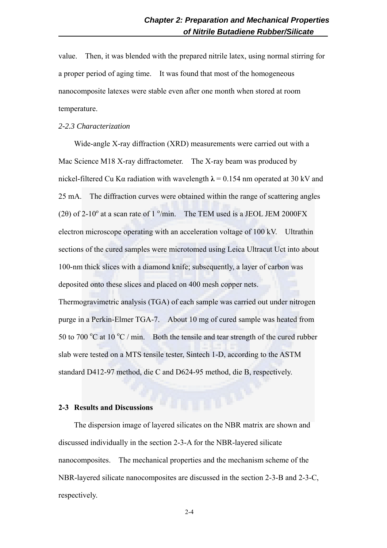value. Then, it was blended with the prepared nitrile latex, using normal stirring for a proper period of aging time. It was found that most of the homogeneous nanocomposite latexes were stable even after one month when stored at room temperature.

#### *2-2.3 Characterization*

Wide-angle X-ray diffraction (XRD) measurements were carried out with a Mac Science M18 X-ray diffractometer. The X-ray beam was produced by nickel-filtered Cu K $\alpha$  radiation with wavelength  $\lambda$  = 0.154 nm operated at 30 kV and 25 mA. The diffraction curves were obtained within the range of scattering angles (20) of 2-10 $^{\circ}$  at a scan rate of 1 $^{\circ}$ /min. The TEM used is a JEOL JEM 2000FX electron microscope operating with an acceleration voltage of 100 kV. Ultrathin sections of the cured samples were microtomed using Leica Ultracut Uct into about 100-nm thick slices with a diamond knife; subsequently, a layer of carbon was deposited onto these slices and placed on 400 mesh copper nets. Thermogravimetric analysis (TGA) of each sample was carried out under nitrogen purge in a Perkin-Elmer TGA-7. About 10 mg of cured sample was heated from 50 to 700  $\mathrm{^oC}$  at 10  $\mathrm{^oC}$  / min. Both the tensile and tear strength of the cured rubber slab were tested on a MTS tensile tester, Sintech 1-D, according to the ASTM standard D412-97 method, die C and D624-95 method, die B, respectively.

#### **2-3 Results and Discussions**

The dispersion image of layered silicates on the NBR matrix are shown and discussed individually in the section 2-3-A for the NBR-layered silicate nanocomposites. The mechanical properties and the mechanism scheme of the NBR-layered silicate nanocomposites are discussed in the section 2-3-B and 2-3-C, respectively.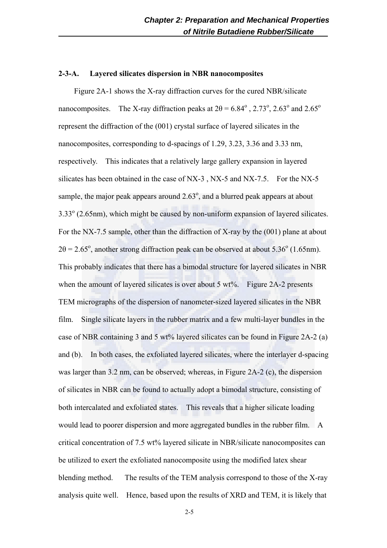#### **2-3-A. Layered silicates dispersion in NBR nanocomposites**

Figure 2A-1 shows the X-ray diffraction curves for the cured NBR/silicate nanocomposites. The X-ray diffraction peaks at  $2\theta = 6.84^\circ$ , 2.73°, 2.63° and 2.65° represent the diffraction of the (001) crystal surface of layered silicates in the nanocomposites, corresponding to d-spacings of 1.29, 3.23, 3.36 and 3.33 nm, respectively. This indicates that a relatively large gallery expansion in layered silicates has been obtained in the case of NX-3 , NX-5 and NX-7.5. For the NX-5 sample, the major peak appears around  $2.63^{\circ}$ , and a blurred peak appears at about 3.33° (2.65nm), which might be caused by non-uniform expansion of layered silicates. For the NX-7.5 sample, other than the diffraction of X-ray by the (001) plane at about  $2\theta = 2.65^{\circ}$ , another strong diffraction peak can be observed at about 5.36° (1.65nm). This probably indicates that there has a bimodal structure for layered silicates in NBR when the amount of layered silicates is over about 5  $wt\%$ . Figure 2A-2 presents TEM micrographs of the dispersion of nanometer-sized layered silicates in the NBR film. Single silicate layers in the rubber matrix and a few multi-layer bundles in the case of NBR containing 3 and 5 wt% layered silicates can be found in Figure 2A-2 (a) and (b). In both cases, the exfoliated layered silicates, where the interlayer d-spacing was larger than 3.2 nm, can be observed; whereas, in Figure 2A-2 (c), the dispersion of silicates in NBR can be found to actually adopt a bimodal structure, consisting of both intercalated and exfoliated states. This reveals that a higher silicate loading would lead to poorer dispersion and more aggregated bundles in the rubber film. A critical concentration of 7.5 wt% layered silicate in NBR/silicate nanocomposites can be utilized to exert the exfoliated nanocomposite using the modified latex shear blending method. The results of the TEM analysis correspond to those of the X-ray analysis quite well. Hence, based upon the results of XRD and TEM, it is likely that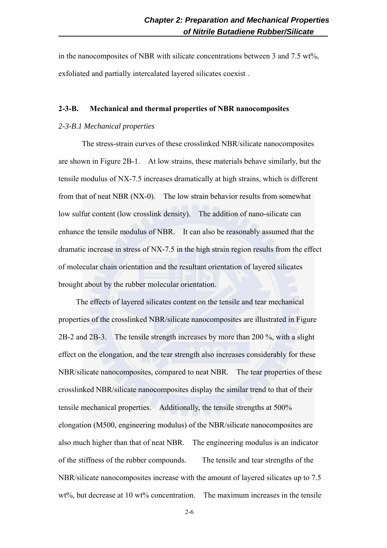in the nanocomposites of NBR with silicate concentrations between 3 and 7.5 wt%, exfoliated and partially intercalated layered silicates coexist .

#### **2-3-B. Mechanical and thermal properties of NBR nanocomposites**

#### *2-3-B.1 Mechanical properties*

The stress-strain curves of these crosslinked NBR/silicate nanocomposites are shown in Figure 2B-1. At low strains, these materials behave similarly, but the tensile modulus of NX-7.5 increases dramatically at high strains, which is different from that of neat NBR (NX-0). The low strain behavior results from somewhat low sulfur content (low crosslink density). The addition of nano-silicate can enhance the tensile modulus of NBR. It can also be reasonably assumed that the dramatic increase in stress of NX-7.5 in the high strain region results from the effect of molecular chain orientation and the resultant orientation of layered silicates brought about by the rubber molecular orientation.

The effects of layered silicates content on the tensile and tear mechanical properties of the crosslinked NBR/silicate nanocomposites are illustrated in Figure 2B-2 and 2B-3. The tensile strength increases by more than 200 %, with a slight effect on the elongation, and the tear strength also increases considerably for these NBR/silicate nanocomposites, compared to neat NBR. The tear properties of these crosslinked NBR/silicate nanocomposites display the similar trend to that of their tensile mechanical properties. Additionally, the tensile strengths at 500% elongation (M500, engineering modulus) of the NBR/silicate nanocomposites are also much higher than that of neat NBR. The engineering modulus is an indicator of the stiffness of the rubber compounds. The tensile and tear strengths of the NBR/silicate nanocomposites increase with the amount of layered silicates up to 7.5 wt%, but decrease at 10 wt% concentration. The maximum increases in the tensile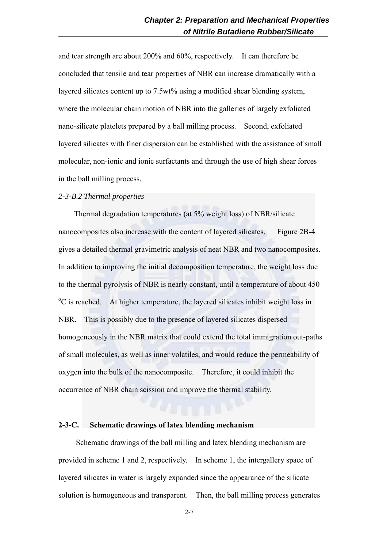and tear strength are about 200% and 60%, respectively. It can therefore be concluded that tensile and tear properties of NBR can increase dramatically with a layered silicates content up to 7.5wt% using a modified shear blending system, where the molecular chain motion of NBR into the galleries of largely exfoliated nano-silicate platelets prepared by a ball milling process. Second, exfoliated layered silicates with finer dispersion can be established with the assistance of small molecular, non-ionic and ionic surfactants and through the use of high shear forces in the ball milling process.

## *2-3-B.2 Thermal properties*

Thermal degradation temperatures (at 5% weight loss) of NBR/silicate nanocomposites also increase with the content of layered silicates. Figure 2B-4 gives a detailed thermal gravimetric analysis of neat NBR and two nanocomposites. In addition to improving the initial decomposition temperature, the weight loss due to the thermal pyrolysis of NBR is nearly constant, until a temperature of about 450 <sup>o</sup>C is reached. At higher temperature, the layered silicates inhibit weight loss in NBR. This is possibly due to the presence of layered silicates dispersed homogeneously in the NBR matrix that could extend the total immigration out-paths of small molecules, as well as inner volatiles, and would reduce the permeability of oxygen into the bulk of the nanocomposite. Therefore, it could inhibit the occurrence of NBR chain scission and improve the thermal stability.

#### **2-3-C. Schematic drawings of latex blending mechanism**

Schematic drawings of the ball milling and latex blending mechanism are provided in scheme 1 and 2, respectively. In scheme 1, the intergallery space of layered silicates in water is largely expanded since the appearance of the silicate solution is homogeneous and transparent. Then, the ball milling process generates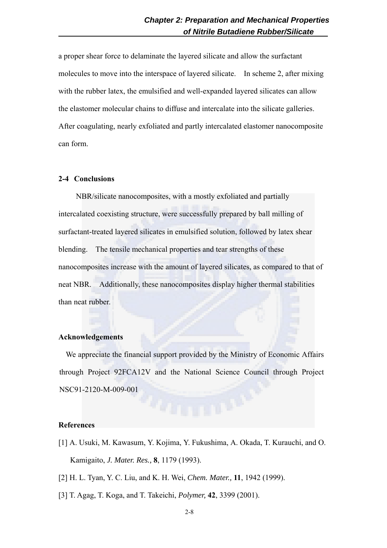a proper shear force to delaminate the layered silicate and allow the surfactant molecules to move into the interspace of layered silicate. In scheme 2, after mixing with the rubber latex, the emulsified and well-expanded layered silicates can allow the elastomer molecular chains to diffuse and intercalate into the silicate galleries. After coagulating, nearly exfoliated and partly intercalated elastomer nanocomposite can form.

## **2-4 Conclusions**

NBR/silicate nanocomposites, with a mostly exfoliated and partially intercalated coexisting structure, were successfully prepared by ball milling of surfactant-treated layered silicates in emulsified solution, followed by latex shear blending. The tensile mechanical properties and tear strengths of these nanocomposites increase with the amount of layered silicates, as compared to that of neat NBR. Additionally, these nanocomposites display higher thermal stabilities than neat rubber.

#### **Acknowledgements**

We appreciate the financial support provided by the Ministry of Economic Affairs through Project 92FCA12V and the National Science Council through Project NSC91-2120-M-009-001

## **References**

- [1] A. Usuki, M. Kawasum, Y. Kojima, Y. Fukushima, A. Okada, T. Kurauchi, and O. Kamigaito, *J. Mater. Res.,* **8**, 1179 (1993).
- [2] H. L. Tyan, Y. C. Liu, and K. H. Wei, *Chem. Mater.,* **11**, 1942 (1999).
- [3] T. Agag, T. Koga, and T. Takeichi, *Polymer,* **42**, 3399 (2001).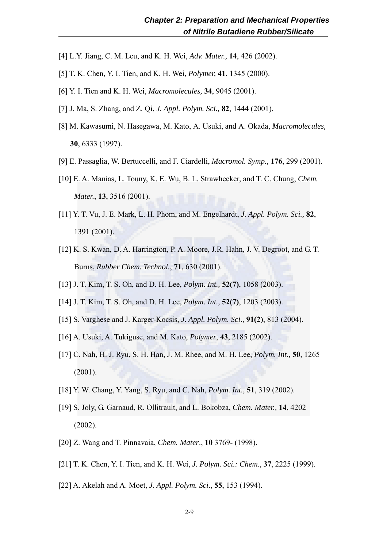- [4] L.Y. Jiang, C. M. Leu, and K. H. Wei, *Adv. Mater.,* **14**, 426 (2002).
- [5] T. K. Chen, Y. I. Tien, and K. H. Wei, *Polymer,* **41**, 1345 (2000).
- [6] Y. I. Tien and K. H. Wei, *Macromolecules,* **34**, 9045 (2001).
- [7] J. Ma, S. Zhang, and Z. Qi, *J. Appl. Polym. Sci.,* **82**, 1444 (2001).
- [8] M. Kawasumi, N. Hasegawa, M. Kato, A. Usuki, and A. Okada, *Macromolecules,*  **30**, 6333 (1997).
- [9] E. Passaglia, W. Bertuccelli, and F. Ciardelli, *Macromol. Symp.,* **176**, 299 (2001).
- [10] E. A. Manias, L. Touny, K. E. Wu, B. L. Strawhecker, and T. C. Chung, *Chem. Mater.*, **13**, 3516 (2001).
- [11] Y. T. Vu, J. E. Mark, L. H. Phom, and M. Engelhardt, *J. Appl. Polym. Sci.,* **82**, 1391 (2001).
- [12] K. S. Kwan, D. A. Harrington, P. A. Moore, J.R. Hahn, J. V. Degroot, and G. T. Burns, *Rubber Chem. Technol.*, **71**, 630 (2001).
- [13] J. T. Kim, T. S. Oh, and D. H. Lee, *Polym. Int.,* **52(7)**, 1058 (2003).
- [14] J. T. Kim, T. S. Oh, and D. H. Lee, *Polym. Int.,* **52(7)**, 1203 (2003).
- [15] S. Varghese and J. Karger-Kocsis, *J. Appl. Polym. Sci*., **91(2)**, 813 (2004).
- [16] A. Usuki, A. Tukiguse, and M. Kato, *Polymer*, **43**, 2185 (2002).
- [17] C. Nah, H. J. Ryu, S. H. Han, J. M. Rhee, and M. H. Lee, *Polym. Int.,* **50**, 1265 (2001).
- [18] Y. W. Chang, Y. Yang, S. Ryu, and C. Nah, *Polym. Int.,* **51**, 319 (2002).
- [19] S. Joly, G. Garnaud, R. Ollitrault, and L. Bokobza, *Chem. Mater.,* **14**, 4202 (2002).
- [20] Z. Wang and T. Pinnavaia, *Chem. Mater*., **10** 3769- (1998).
- [21] T. K. Chen, Y. I. Tien, and K. H. Wei, *J. Polym. Sci.: Chem*., **37**, 2225 (1999).
- [22] A. Akelah and A. Moet*, J. Appl. Polym. Sci*., **55**, 153 (1994).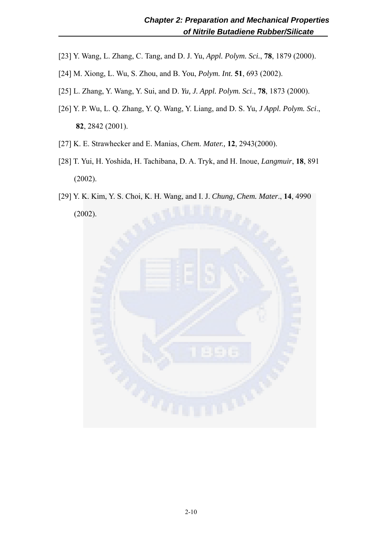- [23] Y. Wang, L. Zhang, C. Tang, and D. J. Yu, *Appl. Polym. Sci.*, **78**, 1879 (2000).
- [24] M. Xiong, L. Wu, S. Zhou, and B. You, *Polym. Int.* **51**, 693 (2002).
- [25] L. Zhang, Y. Wang, Y. Sui, and D. *Yu, J. Appl. Polym. Sci*., **78**, 1873 (2000).
- [26] Y. P. Wu, L. Q. Zhang, Y. Q. Wang, Y. Liang, and D. S. Yu, *J Appl. Polym. Sci*., **82**, 2842 (2001).
- [27] K. E. Strawhecker and E. Manias, *Chem. Mater.,* **12**, 2943(2000).
- [28] T. Yui, H. Yoshida, H. Tachibana, D. A. Tryk, and H. Inoue, *Langmuir*, **18**, 891 (2002).
- [29] Y. K. Kim, Y. S. Choi, K. H. Wang, and I. J. *Chung, Chem. Mater*., **14**, 4990 (2002).

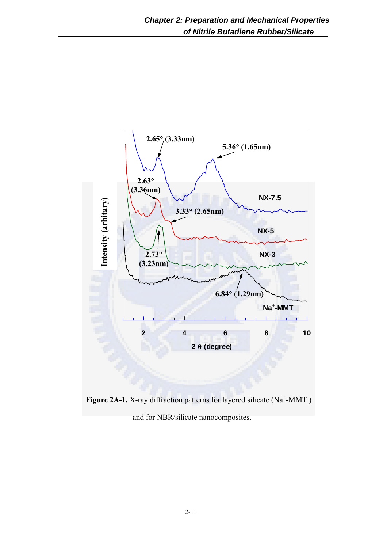

Figure 2A-1. X-ray diffraction patterns for layered silicate (Na<sup>+</sup>-MMT) and for NBR/silicate nanocomposites.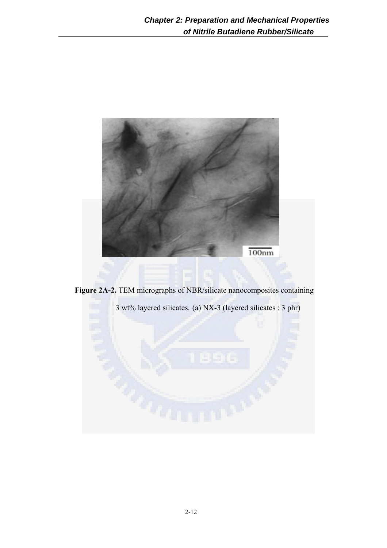

**Figure 2A-2.** TEM micrographs of NBR/silicate nanocomposites containing

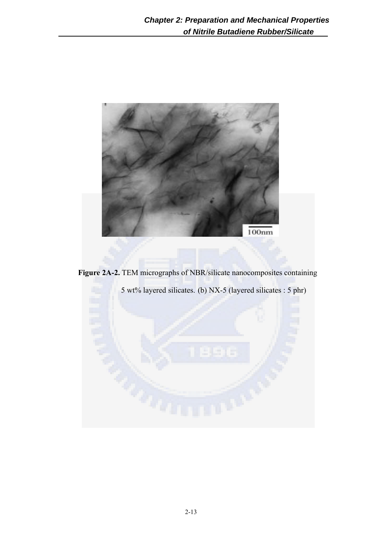

**Figure 2A-2.** TEM micrographs of NBR/silicate nanocomposites containing

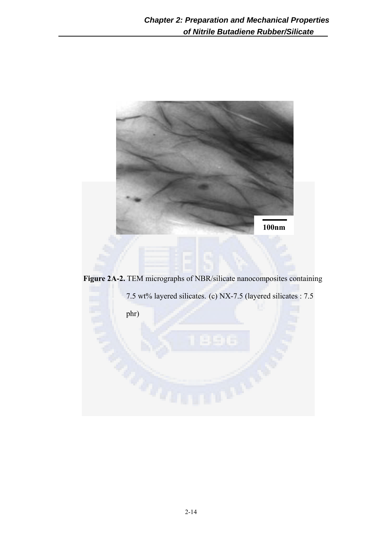

**Figure 2A-2.** TEM micrographs of NBR/silicate nanocomposites containing

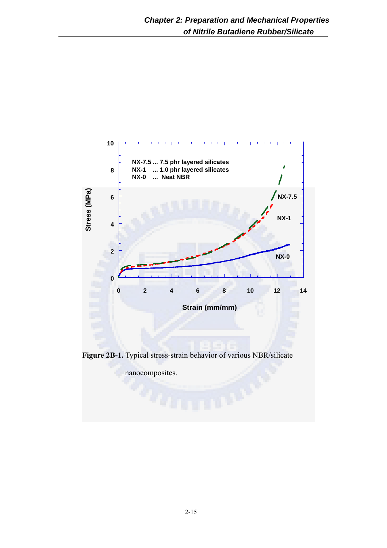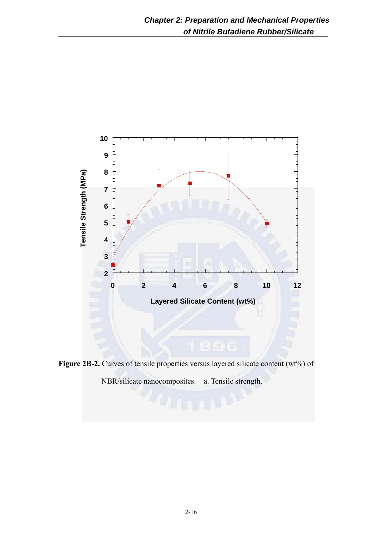

Figure 2B-2. Curves of tensile properties versus layered silicate content (wt%) of NBR/silicate nanocomposites. a. Tensile strength.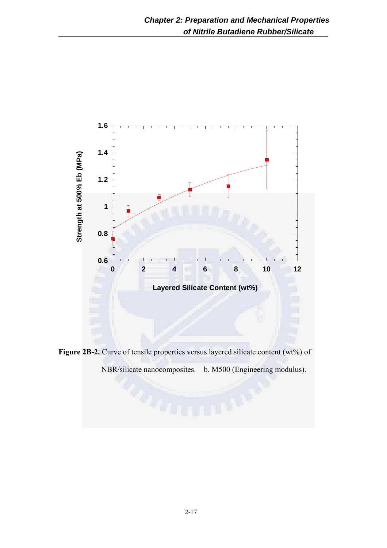

Figure 2B-2. Curve of tensile properties versus layered silicate content (wt%) of

NBR/silicate nanocomposites. b. M500 (Engineering modulus).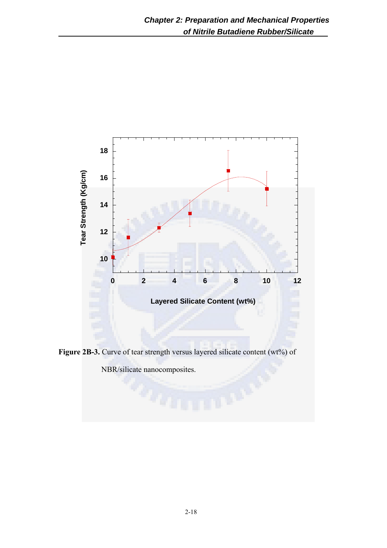

Figure 2B-3. Curve of tear strength versus layered silicate content (wt%) of

NBR/silicate nanocomposites.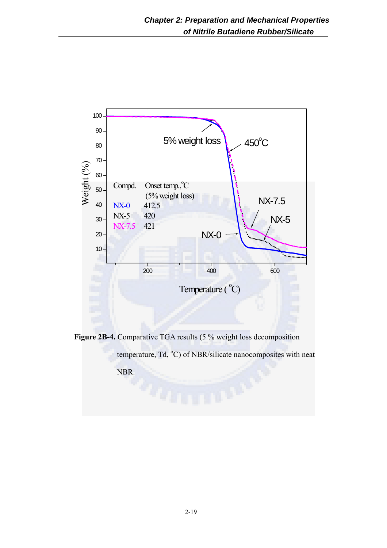

**Figure 2B-4.** Comparative TGA results (5 % weight loss decomposition

temperature, Td, <sup>o</sup>C) of NBR/silicate nanocomposites with neat

NBR.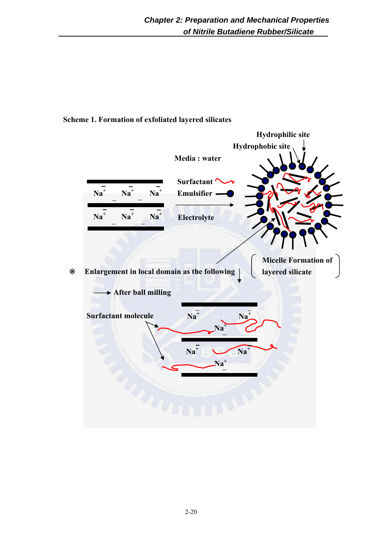## **Scheme 1. Formation of exfoliated layered silicates**

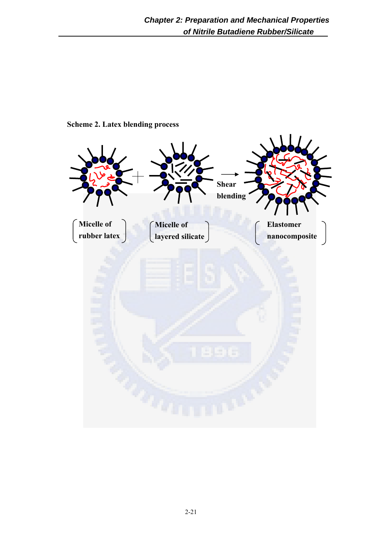

**Scheme 2. Latex blending process**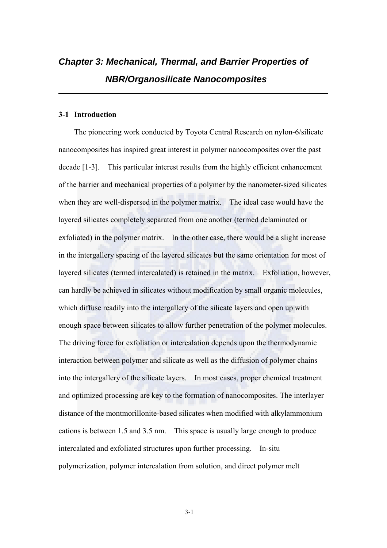# *Chapter 3: Mechanical, Thermal, and Barrier Properties of NBR/Organosilicate Nanocomposites*

## **3-1 Introduction**

The pioneering work conducted by Toyota Central Research on nylon-6/silicate nanocomposites has inspired great interest in polymer nanocomposites over the past decade [1-3]. This particular interest results from the highly efficient enhancement of the barrier and mechanical properties of a polymer by the nanometer-sized silicates when they are well-dispersed in the polymer matrix. The ideal case would have the layered silicates completely separated from one another (termed delaminated or exfoliated) in the polymer matrix. In the other case, there would be a slight increase in the intergallery spacing of the layered silicates but the same orientation for most of layered silicates (termed intercalated) is retained in the matrix. Exfoliation, however, can hardly be achieved in silicates without modification by small organic molecules, which diffuse readily into the intergallery of the silicate layers and open up with enough space between silicates to allow further penetration of the polymer molecules. The driving force for exfoliation or intercalation depends upon the thermodynamic interaction between polymer and silicate as well as the diffusion of polymer chains into the intergallery of the silicate layers. In most cases, proper chemical treatment and optimized processing are key to the formation of nanocomposites. The interlayer distance of the montmorillonite-based silicates when modified with alkylammonium cations is between 1.5 and 3.5 nm. This space is usually large enough to produce intercalated and exfoliated structures upon further processing. In-situ polymerization, polymer intercalation from solution, and direct polymer melt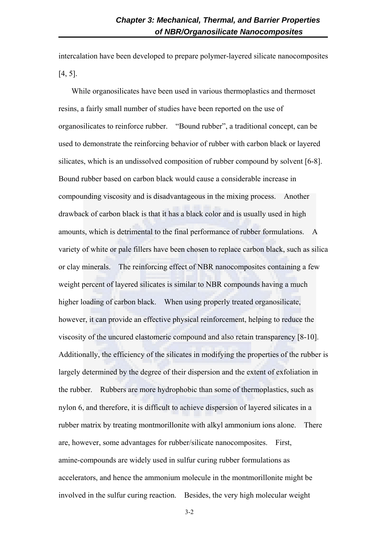intercalation have been developed to prepare polymer-layered silicate nanocomposites [4, 5].

While organosilicates have been used in various thermoplastics and thermoset resins, a fairly small number of studies have been reported on the use of organosilicates to reinforce rubber. "Bound rubber", a traditional concept, can be used to demonstrate the reinforcing behavior of rubber with carbon black or layered silicates, which is an undissolved composition of rubber compound by solvent [6-8]. Bound rubber based on carbon black would cause a considerable increase in compounding viscosity and is disadvantageous in the mixing process. Another drawback of carbon black is that it has a black color and is usually used in high amounts, which is detrimental to the final performance of rubber formulations. A variety of white or pale fillers have been chosen to replace carbon black, such as silica or clay minerals. The reinforcing effect of NBR nanocomposites containing a few weight percent of layered silicates is similar to NBR compounds having a much higher loading of carbon black. When using properly treated organosilicate, however, it can provide an effective physical reinforcement, helping to reduce the viscosity of the uncured elastomeric compound and also retain transparency [8-10]. Additionally, the efficiency of the silicates in modifying the properties of the rubber is largely determined by the degree of their dispersion and the extent of exfoliation in the rubber. Rubbers are more hydrophobic than some of thermoplastics, such as nylon 6, and therefore, it is difficult to achieve dispersion of layered silicates in a rubber matrix by treating montmorillonite with alkyl ammonium ions alone. There are, however, some advantages for rubber/silicate nanocomposites. First, amine-compounds are widely used in sulfur curing rubber formulations as accelerators, and hence the ammonium molecule in the montmorillonite might be involved in the sulfur curing reaction. Besides, the very high molecular weight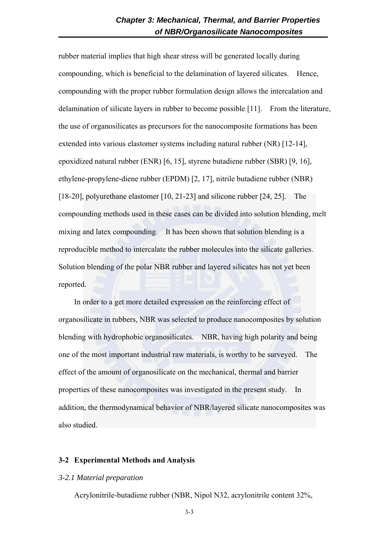rubber material implies that high shear stress will be generated locally during compounding, which is beneficial to the delamination of layered silicates. Hence, compounding with the proper rubber formulation design allows the intercalation and delamination of silicate layers in rubber to become possible [11]. From the literature, the use of organosilicates as precursors for the nanocomposite formations has been extended into various elastomer systems including natural rubber (NR) [12-14], epoxidized natural rubber (ENR) [6, 15], styrene butadiene rubber (SBR) [9, 16], ethylene-propylene-diene rubber (EPDM) [2, 17], nitrile butadiene rubber (NBR) [18-20], polyurethane elastomer [10, 21-23] and silicone rubber [24, 25]. The compounding methods used in these cases can be divided into solution blending, melt mixing and latex compounding. It has been shown that solution blending is a reproducible method to intercalate the rubber molecules into the silicate galleries. Solution blending of the polar NBR rubber and layered silicates has not yet been reported.

In order to a get more detailed expression on the reinforcing effect of organosilicate in rubbers, NBR was selected to produce nanocomposites by solution blending with hydrophobic organosilicates. NBR, having high polarity and being one of the most important industrial raw materials, is worthy to be surveyed. The effect of the amount of organosilicate on the mechanical, thermal and barrier properties of these nanocomposites was investigated in the present study. In addition, the thermodynamical behavior of NBR/layered silicate nanocomposites was also studied.

## **3-2 Experimental Methods and Analysis**

#### *3-2.1 Material preparation*

Acrylonitrile-butadiene rubber (NBR, Nipol N32, acrylonitrile content 32%,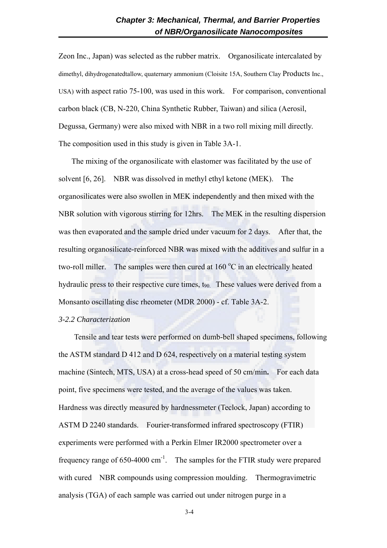Zeon Inc., Japan) was selected as the rubber matrix. Organosilicate intercalated by dimethyl, dihydrogenatedtallow, quaternary ammonium (Cloisite 15A, Southern Clay Products Inc., USA) with aspect ratio 75-100, was used in this work. For comparison, conventional carbon black (CB, N-220, China Synthetic Rubber, Taiwan) and silica (Aerosil, Degussa, Germany) were also mixed with NBR in a two roll mixing mill directly. The composition used in this study is given in Table 3A-1.

The mixing of the organosilicate with elastomer was facilitated by the use of solvent [6, 26]. NBR was dissolved in methyl ethyl ketone (MEK). The organosilicates were also swollen in MEK independently and then mixed with the NBR solution with vigorous stirring for 12hrs. The MEK in the resulting dispersion was then evaporated and the sample dried under vacuum for 2 days. After that, the resulting organosilicate-reinforced NBR was mixed with the additives and sulfur in a two-roll miller. The samples were then cured at  $160^{\circ}$ C in an electrically heated hydraulic press to their respective cure times,  $t_{90}$ . These values were derived from a Monsanto oscillating disc rheometer (MDR 2000) - cf. Table 3A-2.

#### *3-2.2 Characterization*

Tensile and tear tests were performed on dumb-bell shaped specimens, following the ASTM standard D 412 and D 624, respectively on a material testing system machine (Sintech, MTS, USA) at a cross-head speed of 50 cm/min**.** For each data point, five specimens were tested, and the average of the values was taken. Hardness was directly measured by hardnessmeter (Teclock, Japan) according to ASTM D 2240 standards. Fourier-transformed infrared spectroscopy (FTIR) experiments were performed with a Perkin Elmer IR2000 spectrometer over a frequency range of  $650-4000 \text{ cm}^{-1}$ . The samples for the FTIR study were prepared with cured NBR compounds using compression moulding. Thermogravimetric analysis (TGA) of each sample was carried out under nitrogen purge in a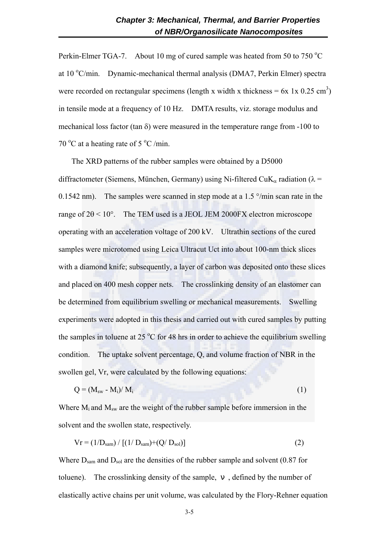Perkin-Elmer TGA-7. About 10 mg of cured sample was heated from 50 to 750  $^{\circ}$ C at  $10^{\circ}$ C/min. Dynamic-mechanical thermal analysis (DMA7, Perkin Elmer) spectra were recorded on rectangular specimens (length x width x thickness =  $6x \text{ 1x } 0.25 \text{ cm}^3$ ) in tensile mode at a frequency of 10 Hz. DMTA results, viz. storage modulus and mechanical loss factor (tan  $\delta$ ) were measured in the temperature range from -100 to 70 °C at a heating rate of 5 °C /min.

The XRD patterns of the rubber samples were obtained by a D5000 diffractometer (Siemens, München, Germany) using Ni-filtered CuK<sub>α</sub> radiation ( $\lambda$  = 0.1542 nm). The samples were scanned in step mode at a 1.5  $\degree$ /min scan rate in the range of  $2\theta < 10^{\circ}$ . The TEM used is a JEOL JEM 2000FX electron microscope operating with an acceleration voltage of 200 kV. Ultrathin sections of the cured samples were microtomed using Leica Ultracut Uct into about 100-nm thick slices with a diamond knife; subsequently, a layer of carbon was deposited onto these slices and placed on 400 mesh copper nets. The crosslinking density of an elastomer can be determined from equilibrium swelling or mechanical measurements. Swelling experiments were adopted in this thesis and carried out with cured samples by putting the samples in toluene at  $25 \degree C$  for 48 hrs in order to achieve the equilibrium swelling condition. The uptake solvent percentage, Q, and volume fraction of NBR in the swollen gel, Vr, were calculated by the following equations:

$$
Q = (M_{sw} - M_i)/M_i \tag{1}
$$

Where  $M_i$  and  $M_{sw}$  are the weight of the rubber sample before immersion in the solvent and the swollen state, respectively.

$$
Vr = (1/D_{sam}) / [(1/D_{sam}) + (Q/D_{sol})]
$$
 (2)

Where  $D_{\text{sam}}$  and  $D_{\text{sol}}$  are the densities of the rubber sample and solvent (0.87 for toluene). The crosslinking density of the sample, , defined by the number of elastically active chains per unit volume, was calculated by the Flory-Rehner equation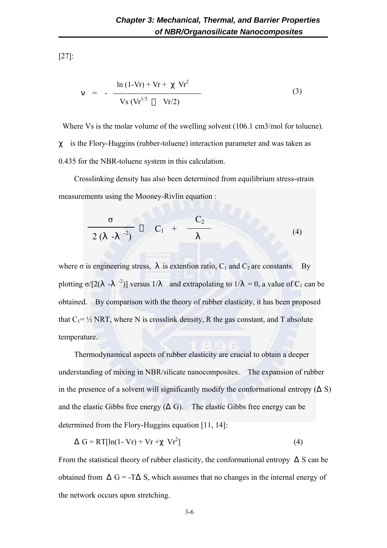[27]:

$$
= - \frac{\ln (1 - Vr) + Vr + Vr^{2}}{Vs (Vr^{1/3} Vr/2)}
$$
 (3)

Where Vs is the molar volume of the swelling solvent (106.1 cm3/mol for toluene). is the Flory-Huggins (rubber-toluene) interaction parameter and was taken as 0.435 for the NBR-toluene system in this calculation.

Crosslinking density has also been determined from equilibrium stress-strain measurements using the Mooney-Rivlin equation :

$$
\frac{\sigma}{2(-1)^{2}-2}C_{1} + \frac{C_{2}}{(4)}
$$
 (4)

where  $\sigma$  is engineering stress, is extention ratio,  $C_1$  and  $C_2$  are constants. By plotting  $\sigma/[2(-1)^{-2}]$  versus 1/ and extrapolating to 1/ = 0, a value of C<sub>1</sub> can be obtained. By comparison with the theory of rubber elasticity, it has been proposed that  $C_1 = \frac{1}{2}$  NRT, where N is crosslink density, R the gas constant, and T absolute temperature.

Thermodynamical aspects of rubber elasticity are crucial to obtain a deeper understanding of mixing in NBR/silicate nanocomposites. The expansion of rubber in the presence of a solvent will significantly modify the conformational entropy (S) and the elastic Gibbs free energy ( G). The elastic Gibbs free energy can be determined from the Flory-Huggins equation [11, 14]:

$$
G = RT[ln(1 - Vr) + Vr + Vr2] \tag{4}
$$

From the statistical theory of rubber elasticity, the conformational entropy S can be obtained from  $G = -T$  S, which assumes that no changes in the internal energy of the network occurs upon stretching.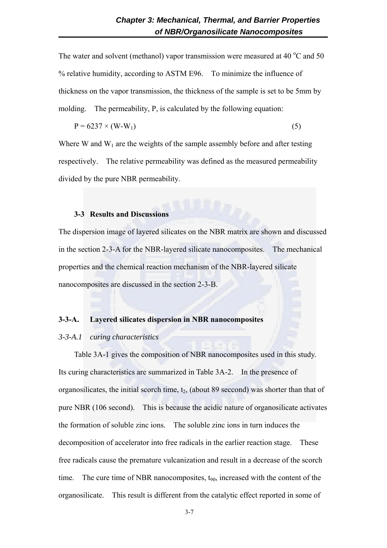The water and solvent (methanol) vapor transmission were measured at 40  $^{\circ}$ C and 50 % relative humidity, according to ASTM E96. To minimize the influence of thickness on the vapor transmission, the thickness of the sample is set to be 5mm by molding. The permeability, P, is calculated by the following equation:

$$
P = 6237 \times (W-W_1) \tag{5}
$$

Where W and  $W_1$  are the weights of the sample assembly before and after testing respectively. The relative permeability was defined as the measured permeability divided by the pure NBR permeability.

## **3-3 Results and Discussions**

The dispersion image of layered silicates on the NBR matrix are shown and discussed in the section 2-3-A for the NBR-layered silicate nanocomposites. The mechanical properties and the chemical reaction mechanism of the NBR-layered silicate nanocomposites are discussed in the section 2-3-B.

#### **3-3-A. Layered silicates dispersion in NBR nanocomposites**

## *3-3-A.1 curing characteristics*

Table 3A-1 gives the composition of NBR nanocomposites used in this study. Its curing characteristics are summarized in Table 3A-2. In the presence of organosilicates, the initial scorch time,  $t_2$ , (about 89 seccond) was shorter than that of pure NBR (106 second). This is because the acidic nature of organosilicate activates the formation of soluble zinc ions. The soluble zinc ions in turn induces the decomposition of accelerator into free radicals in the earlier reaction stage. These free radicals cause the premature vulcanization and result in a decrease of the scorch time. The cure time of NBR nanocomposites,  $t_{90}$ , increased with the content of the organosilicate. This result is different from the catalytic effect reported in some of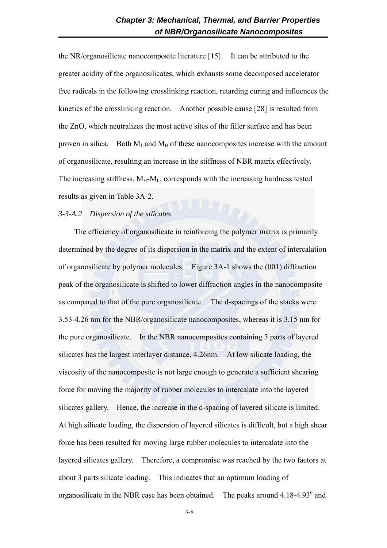the NR/organosilicate nanocomposite literature [15]. It can be attributed to the greater acidity of the organosilicates, which exhausts some decomposed accelerator free radicals in the following crosslinking reaction, retarding curing and influences the kinetics of the crosslinking reaction. Another possible cause [28] is resulted from the ZnO, which neutralizes the most active sites of the filler surface and has been proven in silica. Both  $M_L$  and  $M_H$  of these nanocomposites increase with the amount of organosilicate, resulting an increase in the stiffness of NBR matrix effectively. The increasing stiffness,  $M_H-M_L$ , corresponds with the increasing hardness tested results as given in Table 3A-2.

## *3-3-A.2 Dispersion of the silicates*

The efficiency of organosilicate in reinforcing the polymer matrix is primarily determined by the degree of its dispersion in the matrix and the extent of intercalation of organosilicate by polymer molecules. Figure 3A-1 shows the (001) diffraction peak of the organosilicate is shifted to lower diffraction angles in the nanocomposite as compared to that of the pure organosilicate. The d-spacings of the stacks were 3.53-4.26 nm for the NBR/organosilicate nanocomposites, whereas it is 3.15 nm for the pure organosilicate. In the NBR nanocomposites containing 3 parts of layered silicates has the largest interlayer distance, 4.26nm. At low silicate loading, the viscosity of the nanocomposite is not large enough to generate a sufficient shearing force for moving the majority of rubber molecules to intercalate into the layered silicates gallery. Hence, the increase in the d-spacing of layered silicate is limited. At high silicate loading, the dispersion of layered silicates is difficult, but a high shear force has been resulted for moving large rubber molecules to intercalate into the layered silicates gallery. Therefore, a compromise was reached by the two factors at about 3 parts silicate loading. This indicates that an optimum loading of organosilicate in the NBR case has been obtained. The peaks around  $4.18-4.93^{\circ}$  and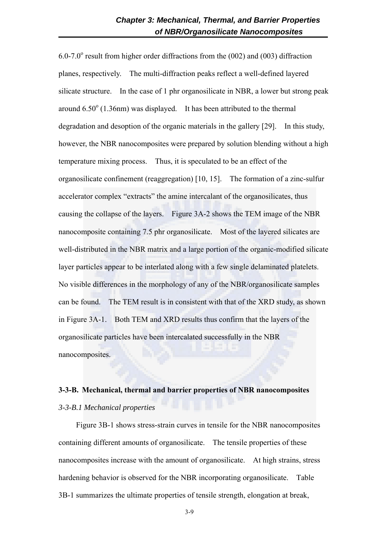$6.0$ -7.0° result from higher order diffractions from the (002) and (003) diffraction planes, respectively. The multi-diffraction peaks reflect a well-defined layered silicate structure. In the case of 1 phr organosilicate in NBR, a lower but strong peak around  $6.50^{\circ}$  (1.36nm) was displayed. It has been attributed to the thermal degradation and desoption of the organic materials in the gallery [29]. In this study, however, the NBR nanocomposites were prepared by solution blending without a high temperature mixing process. Thus, it is speculated to be an effect of the organosilicate confinement (reaggregation) [10, 15]. The formation of a zinc-sulfur accelerator complex "extracts" the amine intercalant of the organosilicates, thus causing the collapse of the layers. Figure 3A-2 shows the TEM image of the NBR nanocomposite containing 7.5 phr organosilicate. Most of the layered silicates are well-distributed in the NBR matrix and a large portion of the organic-modified silicate layer particles appear to be interlated along with a few single delaminated platelets. No visible differences in the morphology of any of the NBR/organosilicate samples can be found. The TEM result is in consistent with that of the XRD study, as shown in Figure 3A-1. Both TEM and XRD results thus confirm that the layers of the organosilicate particles have been intercalated successfully in the NBR nanocomposites.

## **3-3-B. Mechanical, thermal and barrier properties of NBR nanocomposites**  *3-3-B.1 Mechanical properties*

Figure 3B-1 shows stress-strain curves in tensile for the NBR nanocomposites containing different amounts of organosilicate. The tensile properties of these nanocomposites increase with the amount of organosilicate. At high strains, stress hardening behavior is observed for the NBR incorporating organosilicate. Table 3B-1 summarizes the ultimate properties of tensile strength, elongation at break,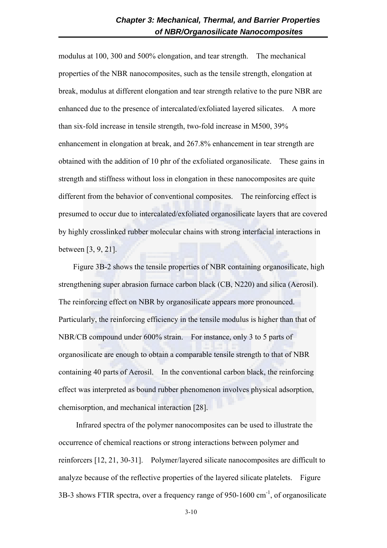modulus at 100, 300 and 500% elongation, and tear strength. The mechanical properties of the NBR nanocomposites, such as the tensile strength, elongation at break, modulus at different elongation and tear strength relative to the pure NBR are enhanced due to the presence of intercalated/exfoliated layered silicates. A more than six-fold increase in tensile strength, two-fold increase in M500, 39% enhancement in elongation at break, and 267.8% enhancement in tear strength are obtained with the addition of 10 phr of the exfoliated organosilicate. These gains in strength and stiffness without loss in elongation in these nanocomposites are quite different from the behavior of conventional composites. The reinforcing effect is presumed to occur due to intercalated/exfoliated organosilicate layers that are covered by highly crosslinked rubber molecular chains with strong interfacial interactions in between [3, 9, 21].

Figure 3B-2 shows the tensile properties of NBR containing organosilicate, high strengthening super abrasion furnace carbon black (CB, N220) and silica (Aerosil). The reinforcing effect on NBR by organosilicate appears more pronounced. Particularly, the reinforcing efficiency in the tensile modulus is higher than that of NBR/CB compound under 600% strain. For instance, only 3 to 5 parts of organosilicate are enough to obtain a comparable tensile strength to that of NBR containing 40 parts of Aerosil. In the conventional carbon black, the reinforcing effect was interpreted as bound rubber phenomenon involves physical adsorption, chemisorption, and mechanical interaction [28].

Infrared spectra of the polymer nanocomposites can be used to illustrate the occurrence of chemical reactions or strong interactions between polymer and reinforcers [12, 21, 30-31]. Polymer/layered silicate nanocomposites are difficult to analyze because of the reflective properties of the layered silicate platelets. Figure  $3B-3$  shows FTIR spectra, over a frequency range of 950-1600 cm<sup>-1</sup>, of organosilicate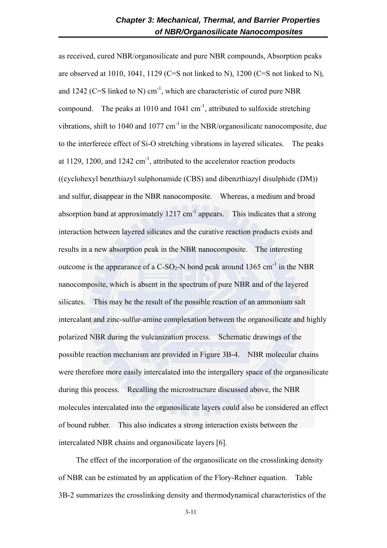as received, cured NBR/organosilicate and pure NBR compounds, Absorption peaks are observed at 1010, 1041, 1129 (C=S not linked to N), 1200 (C=S not linked to N), and 1242 (C=S linked to N) cm<sup>-1</sup>, which are characteristic of cured pure NBR compound. The peaks at 1010 and 1041  $\text{cm}^{-1}$ , attributed to sulfoxide stretching vibrations, shift to 1040 and 1077  $cm^{-1}$  in the NBR/organosilicate nanocomposite, due to the interferece effect of Si-O stretching vibrations in layered silicates. The peaks at 1129, 1200, and 1242  $\text{cm}^{-1}$ , attributed to the accelerator reaction products ((cyclohexyl benzthiazyl sulphonamide (CBS) and dibenzthiazyl disulphide (DM)) and sulfur, disappear in the NBR nanocomposite. Whereas, a medium and broad absorption band at approximately  $1217 \text{ cm}^{-1}$  appears. This indicates that a strong interaction between layered silicates and the curative reaction products exists and results in a new absorption peak in the NBR nanocomposite. The interesting outcome is the appearance of a C-SO<sub>2</sub>-N bond peak around 1365 cm<sup>-1</sup> in the NBR nanocomposite, which is absent in the spectrum of pure NBR and of the layered silicates. This may be the result of the possible reaction of an ammonium salt intercalant and zinc-sulfur-amine complexation between the organosilicate and highly polarized NBR during the vulcanization process. Schematic drawings of the possible reaction mechanism are provided in Figure 3B-4. NBR molecular chains were therefore more easily intercalated into the intergallery space of the organosilicate during this process. Recalling the microstructure discussed above, the NBR molecules intercalated into the organosilicate layers could also be considered an effect of bound rubber. This also indicates a strong interaction exists between the intercalated NBR chains and organosilicate layers [6].

The effect of the incorporation of the organosilicate on the crosslinking density of NBR can be estimated by an application of the Flory-Rehner equation. Table 3B-2 summarizes the crosslinking density and thermodynamical characteristics of the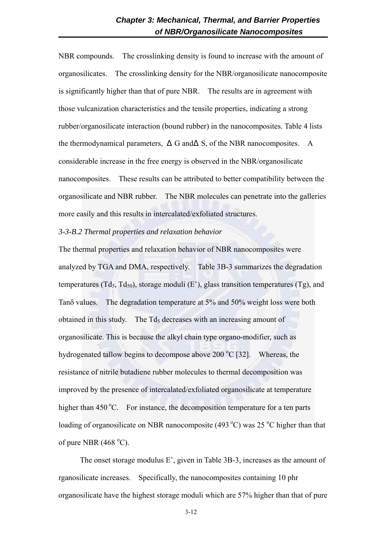NBR compounds. The crosslinking density is found to increase with the amount of organosilicates. The crosslinking density for the NBR/organosilicate nanocomposite is significantly higher than that of pure NBR. The results are in agreement with those vulcanization characteristics and the tensile properties, indicating a strong rubber/organosilicate interaction (bound rubber) in the nanocomposites. Table 4 lists the thermodynamical parameters, G and S, of the NBR nanocomposites. A considerable increase in the free energy is observed in the NBR/organosilicate nanocomposites. These results can be attributed to better compatibility between the organosilicate and NBR rubber. The NBR molecules can penetrate into the galleries more easily and this results in intercalated/exfoliated structures.

*3-3-B.2 Thermal properties and relaxation behavior*

The thermal properties and relaxation behavior of NBR nanocomposites were analyzed by TGA and DMA, respectively. Table 3B-3 summarizes the degradation temperatures (Td<sub>5</sub>, Td<sub>50</sub>), storage moduli (E<sup>2</sup>), glass transition temperatures (Tg), and Tanδ values. The degradation temperature at 5% and 50% weight loss were both obtained in this study. The  $Td<sub>5</sub>$  decreases with an increasing amount of organosilicate. This is because the alkyl chain type organo-modifier, such as hydrogenated tallow begins to decompose above 200  $^{\circ}$ C [32]. Whereas, the resistance of nitrile butadiene rubber molecules to thermal decomposition was improved by the presence of intercalated/exfoliated organosilicate at temperature higher than  $450^{\circ}$ C. For instance, the decomposition temperature for a ten parts loading of organosilicate on NBR nanocomposite (493  $^{\circ}$ C) was 25  $^{\circ}$ C higher than that of pure NBR  $(468 °C)$ .

 The onset storage modulus E', given in Table 3B-3, increases as the amount of rganosilicate increases. Specifically, the nanocomposites containing 10 phr organosilicate have the highest storage moduli which are 57% higher than that of pure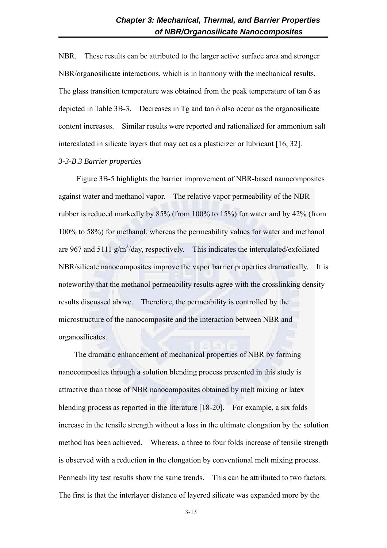NBR. These results can be attributed to the larger active surface area and stronger NBR/organosilicate interactions, which is in harmony with the mechanical results. The glass transition temperature was obtained from the peak temperature of tan  $\delta$  as depicted in Table 3B-3. Decreases in Tg and tan  $\delta$  also occur as the organosilicate content increases. Similar results were reported and rationalized for ammonium salt intercalated in silicate layers that may act as a plasticizer or lubricant [16, 32].

## *3-3-B.3 Barrier properties*

Figure 3B-5 highlights the barrier improvement of NBR-based nanocomposites against water and methanol vapor. The relative vapor permeability of the NBR rubber is reduced markedly by 85% (from 100% to 15%) for water and by 42% (from 100% to 58%) for methanol, whereas the permeability values for water and methanol are 967 and 5111  $g/m^2$ /day, respectively. This indicates the intercalated/exfoliated NBR/silicate nanocomposites improve the vapor barrier properties dramatically. It is noteworthy that the methanol permeability results agree with the crosslinking density results discussed above. Therefore, the permeability is controlled by the microstructure of the nanocomposite and the interaction between NBR and organosilicates.

The dramatic enhancement of mechanical properties of NBR by forming nanocomposites through a solution blending process presented in this study is attractive than those of NBR nanocomposites obtained by melt mixing or latex blending process as reported in the literature [18-20]. For example, a six folds increase in the tensile strength without a loss in the ultimate elongation by the solution method has been achieved. Whereas, a three to four folds increase of tensile strength is observed with a reduction in the elongation by conventional melt mixing process. Permeability test results show the same trends. This can be attributed to two factors. The first is that the interlayer distance of layered silicate was expanded more by the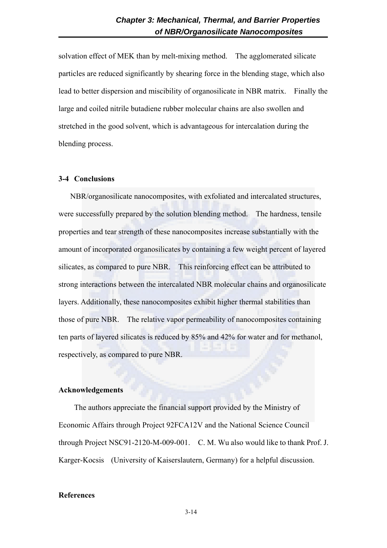solvation effect of MEK than by melt-mixing method. The agglomerated silicate particles are reduced significantly by shearing force in the blending stage, which also lead to better dispersion and miscibility of organosilicate in NBR matrix. Finally the large and coiled nitrile butadiene rubber molecular chains are also swollen and stretched in the good solvent, which is advantageous for intercalation during the blending process.

#### **3-4 Conclusions**

NBR/organosilicate nanocomposites, with exfoliated and intercalated structures, were successfully prepared by the solution blending method. The hardness, tensile properties and tear strength of these nanocomposites increase substantially with the amount of incorporated organosilicates by containing a few weight percent of layered silicates, as compared to pure NBR. This reinforcing effect can be attributed to strong interactions between the intercalated NBR molecular chains and organosilicate layers. Additionally, these nanocomposites exhibit higher thermal stabilities than those of pure NBR. The relative vapor permeability of nanocomposites containing ten parts of layered silicates is reduced by 85% and 42% for water and for methanol, respectively, as compared to pure NBR.

## **Acknowledgements**

The authors appreciate the financial support provided by the Ministry of Economic Affairs through Project 92FCA12V and the National Science Council through Project NSC91-2120-M-009-001. C. M. Wu also would like to thank Prof. J. Karger-Kocsis (University of Kaiserslautern, Germany) for a helpful discussion.

## **References**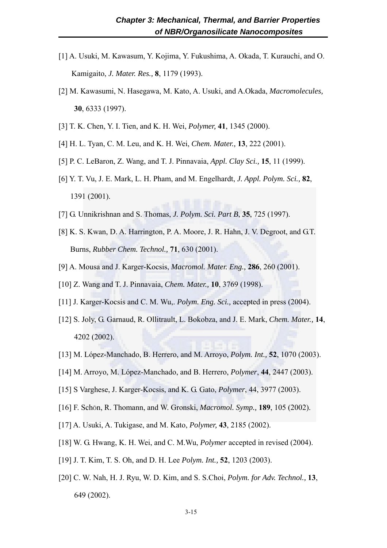- [1] A. Usuki, M. Kawasum, Y. Kojima, Y. Fukushima, A. Okada, T. Kurauchi, and O. Kamigaito, *J. Mater. Res.,* **8**, 1179 (1993).
- [2] M. Kawasumi, N. Hasegawa, M. Kato, A. Usuki, and A.Okada, *Macromolecules,* **30**, 6333 (1997).
- [3] T. K. Chen, Y. I. Tien, and K. H. Wei, *Polymer,* **41**, 1345 (2000).
- [4] H. L. Tyan, C. M. Leu, and K. H. Wei, *Chem. Mater.,* **13**, 222 (2001).
- [5] P. C. LeBaron, Z. Wang, and T. J. Pinnavaia, *Appl. Clay Sci.,* **15**, 11 (1999).
- [6] Y. T. Vu, J. E. Mark, L. H. Pham, and M. Engelhardt, *J. Appl. Polym. Sci.,* **82**, 1391 (2001).
- [7] G. Unnikrishnan and S. Thomas, *J. Polym. Sci. Part B*, **35**, 725 (1997).
- [8] K. S. Kwan, D. A. Harrington, P. A. Moore, J. R. Hahn, J. V. Degroot, and G.T. Burns, *Rubber Chem. Technol.,* **71**, 630 (2001).
- [9] A. Mousa and J. Karger-Kocsis, *Macromol. Mater. Eng.,* **286**, 260 (2001).
- [10] Z. Wang and T. J. Pinnavaia, *Chem. Mater.,* **10**, 3769 (1998).
- [11] J. Karger-Kocsis and C. M. Wu,. *Polym. Eng. Sci.,* accepted in press (2004).
- [12] S. Joly, G. Garnaud, R. Ollitrault, L. Bokobza, and J. E. Mark, *Chem. Mater.,* **14**, 4202 (2002).
- [13] M. López-Manchado, B. Herrero, and M. Arroyo, *Polym. Int.,* **52**, 1070 (2003).
- [14] M. Arroyo, M. López-Manchado, and B. Herrero, *Polymer*, **44**, 2447 (2003).
- [15] S Varghese, J. Karger-Kocsis, and K. G. Gato, *Polymer*, 44, 3977 (2003).
- [16] F. SchÖn, R. Thomann, and W. Gronski, *Macromol. Symp.,* **189**, 105 (2002).
- [17] A. Usuki, A. Tukigase, and M. Kato, *Polymer,* **43**, 2185 (2002).
- [18] W. G. Hwang, K. H. Wei, and C. M.Wu, *Polymer* accepted in revised (2004).
- [19] J. T. Kim, T. S. Oh, and D. H. Lee *Polym. Int.,* **52**, 1203 (2003).
- [20] C. W. Nah, H. J. Ryu, W. D. Kim, and S. S.Choi, *Polym. for Adv. Technol.,* **13**, 649 (2002).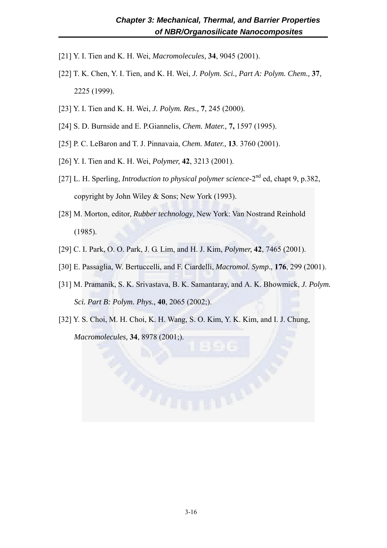- [21] Y. I. Tien and K. H. Wei, *Macromolecules,* **34**, 9045 (2001).
- [22] T. K. Chen, Y. I. Tien, and K. H. Wei, *J. Polym. Sci., Part A: Polym. Chem.,* **37**, 2225 (1999).
- [23] Y. I. Tien and K. H. Wei, *J. Polym. Res.,* **7**, 245 (2000).
- [24] S. D. Burnside and E. P.Giannelis, *Chem. Mater.,* **7,** 1597 (1995).
- [25] P. C. LeBaron and T. J. Pinnavaia, *Chem. Mater.,* **13**. 3760 (2001).
- [26] Y. I. Tien and K. H. Wei, *Polymer,* **42**, 3213 (2001).
- [27] L. H. Sperling, *Introduction to physical polymer science*-2nd ed, chapt 9, p.382, copyright by John Wiley & Sons; New York (1993).
- [28] M. Morton, editor, *Rubber technology*, New York: Van Nostrand Reinhold (1985).
- [29] C. I. Park, O. O. Park, J. G. Lim, and H. J. Kim, *Polymer,* **42**, 7465 (2001).
- [30] E. Passaglia, W. Bertuccelli, and F. Ciardelli, *Macromol. Symp*., **176**, 299 (2001).
- [31] M. Pramanik, S. K. Srivastava, B. K. Samantaray, and A. K. Bhowmick, *J. Polym. Sci. Part B: Polym. Phys.,* **40**, 2065 (2002;).
- [32] Y. S. Choi, M. H. Choi, K. H. Wang, S. O. Kim, Y. K. Kim, and I. J. Chung, *Macromolecules,* **34**, 8978 (2001;).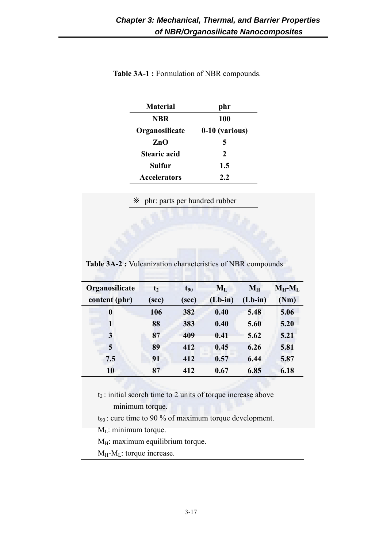| <b>Material</b> | phr            |
|-----------------|----------------|
| <b>NBR</b>      | 100            |
| Organosilicate  | 0-10 (various) |
| ZnO             | 5              |
| Stearic acid    | 2              |
| Sulfur          | 1.5            |
| Accelerators    | 2.2            |
|                 |                |

**Table 3A-1 :** Formulation of NBR compounds.

phr: parts per hundred rubber

**Table 3A-2 :** Vulcanization characteristics of NBR compounds

| Organosilicate   | t <sub>2</sub> | $t_{90}$ | $M_{L}$   | $M_{\rm H}$ | $M_H-M_L$ |
|------------------|----------------|----------|-----------|-------------|-----------|
| content (phr)    | (sec)          | (sec)    | $(Lb-in)$ | $(Lb-in)$   | (Nm)      |
| $\boldsymbol{0}$ | 106            | 382      | 0.40      | 5.48        | 5.06      |
| 1                | 88             | 383      | 0.40      | 5.60        | 5.20      |
| 3                | 87             | 409      | 0.41      | 5.62        | 5.21      |
| 5                | 89             | 412      | 0.45      | 6.26        | 5.81      |
| 7.5              | 91             | 412      | 0.57      | 6.44        | 5.87      |
| 10               | 87             | 412      | 0.67      | 6.85        | 6.18      |

 $t_2$ : initial scorch time to 2 units of torque increase above minimum torque.

 $t_{90}$ : cure time to 90 % of maximum torque development.

M<sub>L</sub>: minimum torque.

 $M_H$ : maximum equilibrium torque.

 $M_H-M_L$ : torque increase.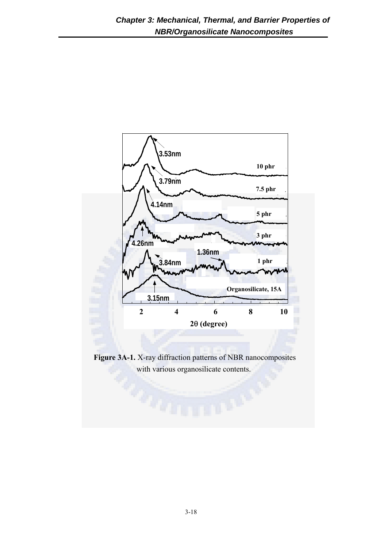

**Figure 3A-1.** X-ray diffraction patterns of NBR nanocomposites with various organosilicate contents.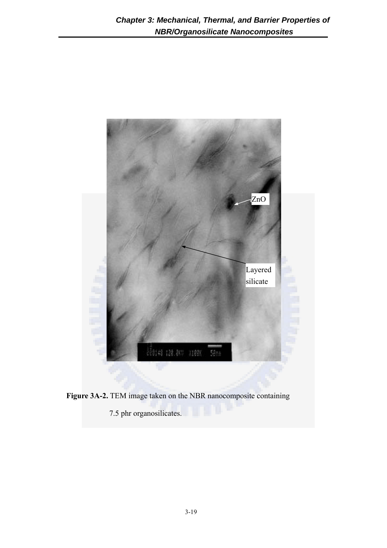



7.5 phr organosilicates.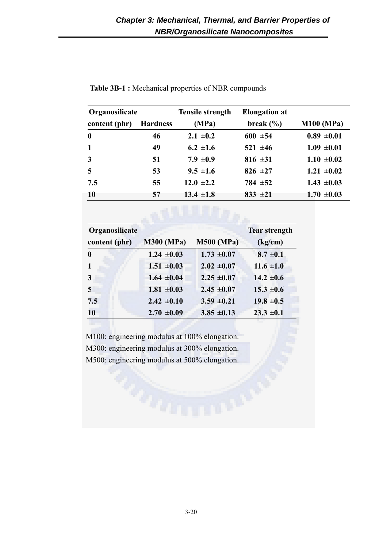| Organosilicate |                 | <b>Tensile strength</b> | <b>Elongation</b> at |                 |
|----------------|-----------------|-------------------------|----------------------|-----------------|
| content (phr)  | <b>Hardness</b> | (MPa)                   | break $(\% )$        | M100 (MPa)      |
| $\mathbf{0}$   | 46              | $2.1 \pm 0.2$           | $600 \pm 54$         | $0.89 \pm 0.01$ |
| $\mathbf{1}$   | 49              | $6.2 \pm 1.6$           | $521 \pm 46$         | $1.09 \pm 0.01$ |
| $\mathbf{3}$   | 51              | 7.9 $\pm 0.9$           | 816 $\pm 31$         | $1.10 \pm 0.02$ |
| $\overline{5}$ | 53              | $9.5 \pm 1.6$           | 826 $\pm 27$         | $1.21 \pm 0.02$ |
| 7.5            | 55              | $12.0 \pm 2.2$          | $784 \pm 52$         | $1.43 \pm 0.03$ |
| <b>10</b>      | 57              | $13.4 \pm 1.8$          | $833 \pm 21$         | $1.70 \pm 0.03$ |

**Table 3B-1 :** Mechanical properties of NBR compounds

| Organosilicate<br><b>Tear strength</b> |                   |                   |                |  |
|----------------------------------------|-------------------|-------------------|----------------|--|
| content (phr)                          | <b>M300 (MPa)</b> | <b>M500 (MPa)</b> | (kg/cm)        |  |
| $\bf{0}$                               | $1.24 \pm 0.03$   | $1.73 \pm 0.07$   | $8.7 \pm 0.1$  |  |
| $\mathbf{1}$                           | $1.51 \pm 0.03$   | $2.02 \pm 0.07$   | $11.6 \pm 1.0$ |  |
| $\mathbf{3}$                           | $1.64 \pm 0.04$   | $2.25 \pm 0.07$   | $14.2 \pm 0.6$ |  |
| $\overline{5}$                         | $1.81 \pm 0.03$   | $2.45 \pm 0.07$   | $15.3 \pm 0.6$ |  |
| 7.5                                    | $2.42 \pm 0.10$   | $3.59 \pm 0.21$   | $19.8 \pm 0.5$ |  |
| <b>10</b>                              | $2.70 \pm 0.09$   | $3.85 \pm 0.13$   | $23.3 \pm 0.1$ |  |

M100: engineering modulus at 100% elongation. M300: engineering modulus at 300% elongation. M500: engineering modulus at 500% elongation.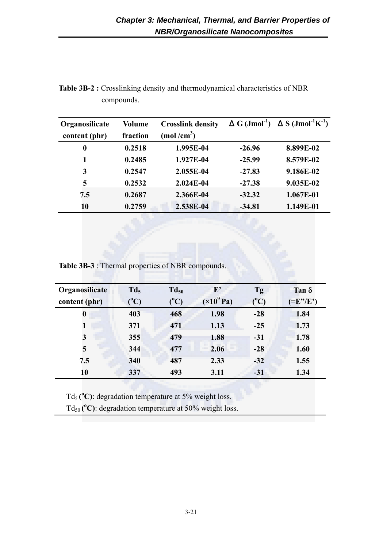| Organosilicate<br>content (phr) | Volume<br>fraction | <b>Crosslink density</b><br>$(mod/cm^3)$ | $G (Jmol-1)$ | $S (Jmol-1K-1)$ |
|---------------------------------|--------------------|------------------------------------------|--------------|-----------------|
| 0                               | 0.2518             | 1.995E-04                                | $-26.96$     | 8.899E-02       |
| 1                               | 0.2485             | 1.927E-04                                | $-25.99$     | 8.579E-02       |
| 3                               | 0.2547             | 2.055E-04                                | $-27.83$     | 9.186E-02       |
| 5                               | 0.2532             | $2.024E-04$                              | $-27.38$     | 9.035E-02       |
| 7.5                             | 0.2687             | 2.366E-04                                | $-32.32$     | 1.067E-01       |
| 10                              | 0.2759             | 2.538E-04                                | -34.81       | 1.149E-01       |

**Table 3B-2 :** Crosslinking density and thermodynamical characteristics of NBR compounds.

**Table 3B-3** : Thermal properties of NBR compounds.

| Organosilicate   | $Td_5$    | $Td_{50}$ | ${\bf E'}$         | Tg            | Tan $\delta$ |
|------------------|-----------|-----------|--------------------|---------------|--------------|
| content (phr)    | $(^{0}C)$ | $(^{0}C)$ | $(\times 10^9$ Pa) | $(^{\circ}C)$ | $(=E''/E')$  |
| $\boldsymbol{0}$ | 403       | 468       | 1.98               | $-28$         | 1.84         |
| 1                | 371       | 471       | 1.13               | $-25$         | 1.73         |
| 3                | 355       | 479       | 1.88               | $-31$         | 1.78         |
| 5                | 344       | 477       | 2.06               | $-28$         | 1.60         |
| 7.5              | 340       | 487       | 2.33               | $-32$         | 1.55         |
| 10               | 337       | 493       | 3.11               | $-31$         | 1.34         |

Td<sub>5</sub> ( ${}^{\circ}$ C): degradation temperature at 5% weight loss.

Td<sub>50</sub> ( $^{\circ}$ C): degradation temperature at 50% weight loss.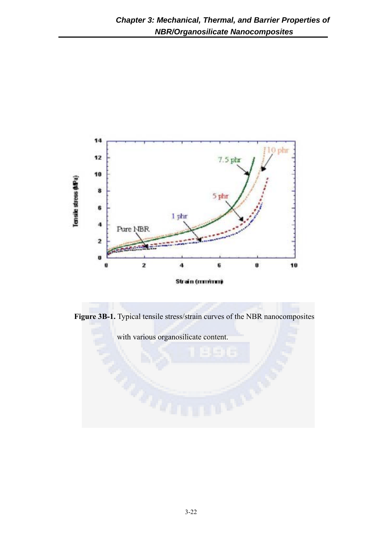

**Figure 3B-1.** Typical tensile stress/strain curves of the NBR nanocomposites

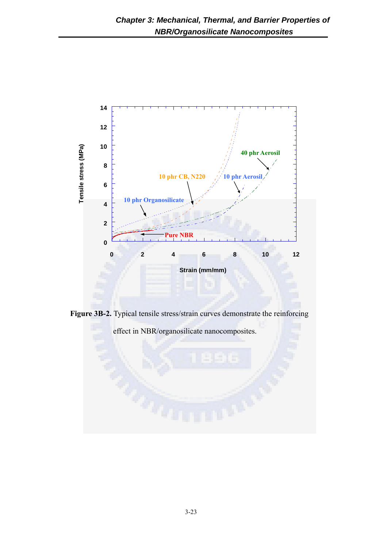

**Figure 3B-2.** Typical tensile stress/strain curves demonstrate the reinforcing

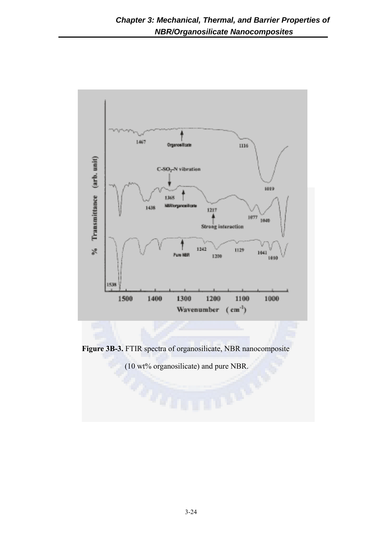

**Figure 3B-3.** FTIR spectra of organosilicate, NBR nanocomposite

(10 wt% organosilicate) and pure NBR.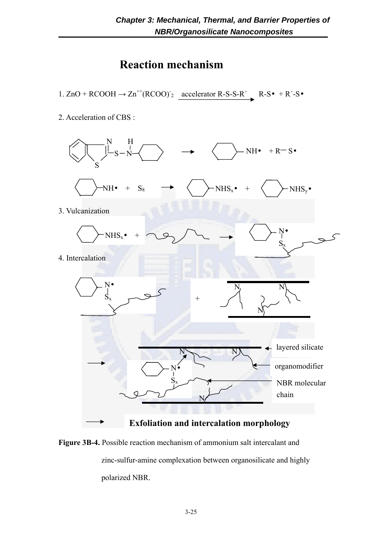# **Reaction mechanism**

1.  $ZnO + RCOOH \rightarrow Zn^{++} (RCOO)^{-2}$  accelerator R-S-S-R' R-S + R'-S

2. Acceleration of CBS :



**Figure 3B-4.** Possible reaction mechanism of ammonium salt intercalant and zinc-sulfur-amine complexation between organosilicate and highly polarized NBR.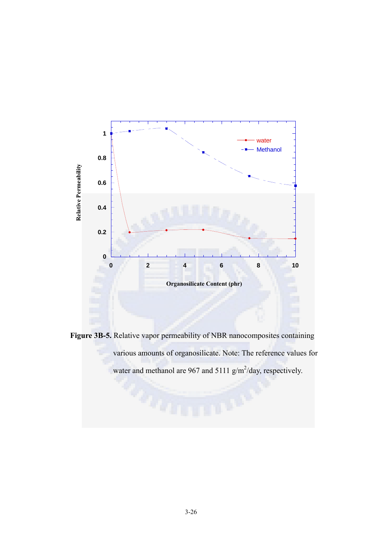

**Figure 3B-5.** Relative vapor permeability of NBR nanocomposites containing various amounts of organosilicate. Note: The reference values for water and methanol are 967 and 5111  $g/m^2$ /day, respectively.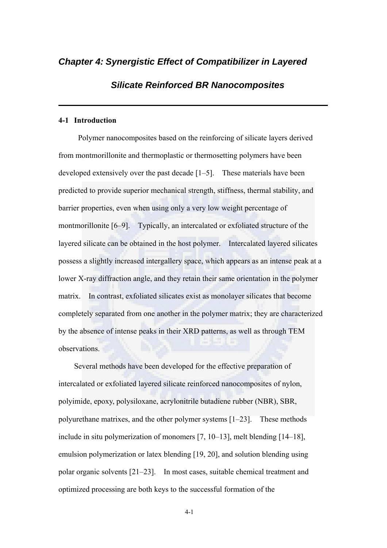## *Chapter 4: Synergistic Effect of Compatibilizer in Layered*

## *Silicate Reinforced BR Nanocomposites*

## **4-1 Introduction**

 Polymer nanocomposites based on the reinforcing of silicate layers derived from montmorillonite and thermoplastic or thermosetting polymers have been developed extensively over the past decade [1–5]. These materials have been predicted to provide superior mechanical strength, stiffness, thermal stability, and barrier properties, even when using only a very low weight percentage of montmorillonite [6–9]. Typically, an intercalated or exfoliated structure of the layered silicate can be obtained in the host polymer. Intercalated layered silicates possess a slightly increased intergallery space, which appears as an intense peak at a lower X-ray diffraction angle, and they retain their same orientation in the polymer matrix. In contrast, exfoliated silicates exist as monolayer silicates that become completely separated from one another in the polymer matrix; they are characterized by the absence of intense peaks in their XRD patterns, as well as through TEM observations.

Several methods have been developed for the effective preparation of intercalated or exfoliated layered silicate reinforced nanocomposites of nylon, polyimide, epoxy, polysiloxane, acrylonitrile butadiene rubber (NBR), SBR, polyurethane matrixes, and the other polymer systems [1–23]. These methods include in situ polymerization of monomers [7, 10–13], melt blending [14–18], emulsion polymerization or latex blending [19, 20], and solution blending using polar organic solvents [21–23]. In most cases, suitable chemical treatment and optimized processing are both keys to the successful formation of the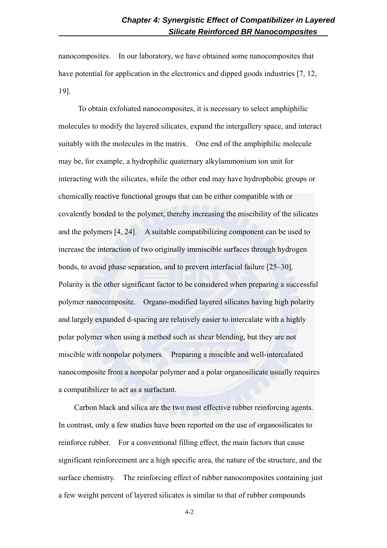nanocomposites. In our laboratory, we have obtained some nanocomposites that have potential for application in the electronics and dipped goods industries [7, 12, 19].

 To obtain exfoliated nanocomposites, it is necessary to select amphiphilic molecules to modify the layered silicates, expand the intergallery space, and interact suitably with the molecules in the matrix. One end of the amphiphilic molecule may be, for example, a hydrophilic quaternary alkylammonium ion unit for interacting with the silicates, while the other end may have hydrophobic groups or chemically reactive functional groups that can be either compatible with or covalently bonded to the polymer, thereby increasing the miscibility of the silicates and the polymers [4, 24]. A suitable compatibilizing component can be used to increase the interaction of two originally immiscible surfaces through hydrogen bonds, to avoid phase separation, and to prevent interfacial failure [25–30]. Polarity is the other significant factor to be considered when preparing a successful polymer nanocomposite. Organo-modified layered silicates having high polarity and largely expanded d-spacing are relatively easier to intercalate with a highly polar polymer when using a method such as shear blending, but they are not miscible with nonpolar polymers. Preparing a miscible and well-intercalated nanocomposite from a nonpolar polymer and a polar organosilicate usually requires a compatibilizer to act as a surfactant.

Carbon black and silica are the two most effective rubber reinforcing agents. In contrast, only a few studies have been reported on the use of organosilicates to reinforce rubber. For a conventional filling effect, the main factors that cause significant reinforcement are a high specific area, the nature of the structure, and the surface chemistry. The reinforcing effect of rubber nanocomposites containing just a few weight percent of layered silicates is similar to that of rubber compounds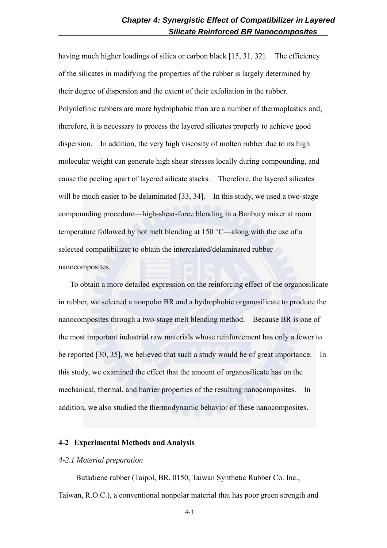having much higher loadings of silica or carbon black [15, 31, 32]. The efficiency of the silicates in modifying the properties of the rubber is largely determined by their degree of dispersion and the extent of their exfoliation in the rubber. Polyolefinic rubbers are more hydrophobic than are a number of thermoplastics and, therefore, it is necessary to process the layered silicates properly to achieve good dispersion. In addition, the very high viscosity of molten rubber due to its high molecular weight can generate high shear stresses locally during compounding, and cause the peeling apart of layered silicate stacks. Therefore, the layered silicates will be much easier to be delaminated [33, 34]. In this study, we used a two-stage compounding procedure—high-shear-force blending in a Banbury mixer at room temperature followed by hot melt blending at 150 °C—along with the use of a selected compatibilizer to obtain the intercalated/delaminated rubber nanocomposites.

To obtain a more detailed expression on the reinforcing effect of the organosilicate in rubber, we selected a nonpolar BR and a hydrophobic organosilicate to produce the nanocomposites through a two-stage melt blending method. Because BR is one of the most important industrial raw materials whose reinforcement has only a fewer to be reported [30, 35], we believed that such a study would be of great importance. In this study, we examined the effect that the amount of organosilicate has on the mechanical, thermal, and barrier properties of the resulting nanocomposites. In addition, we also studied the thermodynamic behavior of these nanocomposites.

#### **4-2 Experimental Methods and Analysis**

#### *4-2.1 Material preparation*

Butadiene rubber (Taipol, BR, 0150, Taiwan Synthetic Rubber Co. Inc., Taiwan, R.O.C.), a conventional nonpolar material that has poor green strength and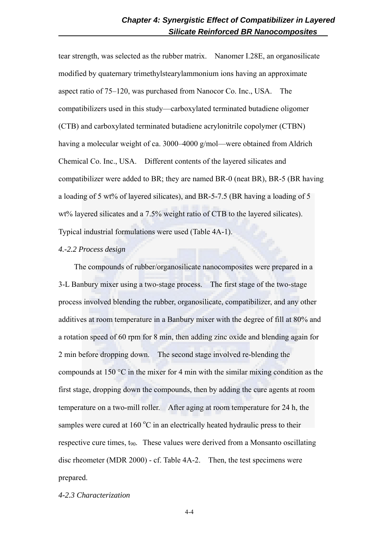tear strength, was selected as the rubber matrix. Nanomer I.28E, an organosilicate modified by quaternary trimethylstearylammonium ions having an approximate aspect ratio of 75–120, was purchased from Nanocor Co. Inc., USA. The compatibilizers used in this study—carboxylated terminated butadiene oligomer (CTB) and carboxylated terminated butadiene acrylonitrile copolymer (CTBN) having a molecular weight of ca. 3000–4000 g/mol—were obtained from Aldrich Chemical Co. Inc., USA. Different contents of the layered silicates and compatibilizer were added to BR; they are named BR-0 (neat BR), BR-5 (BR having a loading of 5 wt% of layered silicates), and BR-5-7.5 (BR having a loading of 5 wt% layered silicates and a 7.5% weight ratio of CTB to the layered silicates). Typical industrial formulations were used (Table 4A-1).

## *4.-2.2 Process design*

The compounds of rubber/organosilicate nanocomposites were prepared in a 3-L Banbury mixer using a two-stage process. The first stage of the two-stage process involved blending the rubber, organosilicate, compatibilizer, and any other additives at room temperature in a Banbury mixer with the degree of fill at 80% and a rotation speed of 60 rpm for 8 min, then adding zinc oxide and blending again for 2 min before dropping down. The second stage involved re-blending the compounds at 150 °C in the mixer for 4 min with the similar mixing condition as the first stage, dropping down the compounds, then by adding the cure agents at room temperature on a two-mill roller. After aging at room temperature for 24 h, the samples were cured at  $160^{\circ}$ C in an electrically heated hydraulic press to their respective cure times,  $t_{90}$ . These values were derived from a Monsanto oscillating disc rheometer (MDR 2000) - cf. Table 4A-2. Then, the test specimens were prepared.

## *4-2.3 Characterization*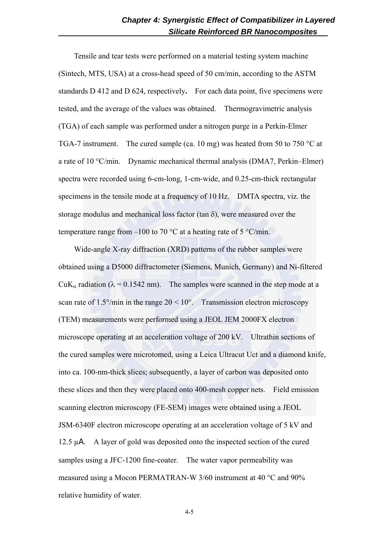Tensile and tear tests were performed on a material testing system machine (Sintech, MTS, USA) at a cross-head speed of 50 cm/min, according to the ASTM standards D 412 and D 624, respectively**.** For each data point, five specimens were tested, and the average of the values was obtained. Thermogravimetric analysis (TGA) of each sample was performed under a nitrogen purge in a Perkin-Elmer TGA-7 instrument. The cured sample (ca. 10 mg) was heated from 50 to 750 °C at a rate of 10 °C/min. Dynamic mechanical thermal analysis (DMA7, Perkin–Elmer) spectra were recorded using 6-cm-long, 1-cm-wide, and 0.25-cm-thick rectangular specimens in the tensile mode at a frequency of 10 Hz. DMTA spectra, viz. the storage modulus and mechanical loss factor (tan  $\delta$ ), were measured over the temperature range from –100 to 70 °C at a heating rate of 5 °C/min.

Wide-angle X-ray diffraction (XRD) patterns of the rubber samples were obtained using a D5000 diffractometer (Siemens, Munich, Germany) and Ni-filtered CuK<sub>α</sub> radiation ( $\lambda$  = 0.1542 nm). The samples were scanned in the step mode at a scan rate of 1.5°/min in the range  $2\theta < 10^\circ$ . Transmission electron microscopy (TEM) measurements were performed using a JEOL JEM 2000FX electron microscope operating at an acceleration voltage of 200 kV. Ultrathin sections of the cured samples were microtomed, using a Leica Ultracut Uct and a diamond knife, into ca. 100-nm-thick slices; subsequently, a layer of carbon was deposited onto these slices and then they were placed onto 400-mesh copper nets. Field emission scanning electron microscopy (FE-SEM) images were obtained using a JEOL JSM-6340F electron microscope operating at an acceleration voltage of 5 kV and 12.5 µA. A layer of gold was deposited onto the inspected section of the cured samples using a JFC-1200 fine-coater. The water vapor permeability was measured using a Mocon PERMATRAN-W 3/60 instrument at 40 °C and 90% relative humidity of water.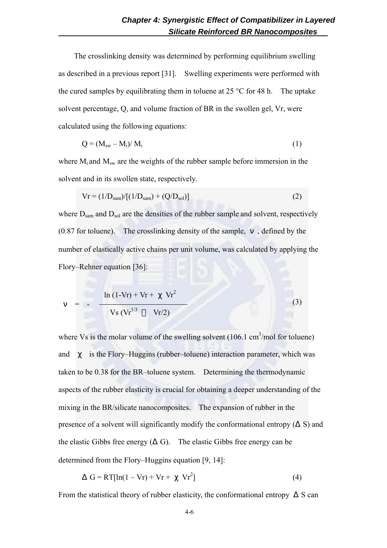The crosslinking density was determined by performing equilibrium swelling as described in a previous report [31]. Swelling experiments were performed with the cured samples by equilibrating them in toluene at  $25 \degree C$  for 48 h. The uptake solvent percentage, Q, and volume fraction of BR in the swollen gel, Vr, were calculated using the following equations:

$$
Q = (M_{sw} - M_i) / M_i \tag{1}
$$

where  $M_i$  and  $M_{sw}$  are the weights of the rubber sample before immersion in the solvent and in its swollen state, respectively.

$$
Vr = (1/D_{sam})/[(1/D_{sam}) + (Q/D_{sol})]
$$
 (2)

where  $D_{\text{sam}}$  and  $D_{\text{sol}}$  are the densities of the rubber sample and solvent, respectively (0.87 for toluene). The crosslinking density of the sample, , defined by the number of elastically active chains per unit volume, was calculated by applying the Flory–Rehner equation [36]:

$$
= - \frac{\ln (1 - Vr) + Vr + Vr^2}{Vs (Vr^{1/3} Vr/2)}
$$
(3)

where Vs is the molar volume of the swelling solvent  $(106.1 \text{ cm}^3/\text{mol}$  for toluene) and is the Flory–Huggins (rubber–toluene) interaction parameter, which was taken to be 0.38 for the BR–toluene system. Determining the thermodynamic aspects of the rubber elasticity is crucial for obtaining a deeper understanding of the mixing in the BR/silicate nanocomposites. The expansion of rubber in the presence of a solvent will significantly modify the conformational entropy  $($  S) and the elastic Gibbs free energy ( G). The elastic Gibbs free energy can be determined from the Flory–Huggins equation [9, 14]:

$$
G = RT[ln(1 - Vr) + Vr + Vr2] \tag{4}
$$

From the statistical theory of rubber elasticity, the conformational entropy S can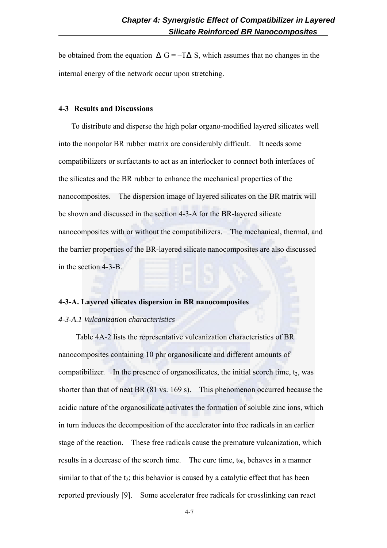be obtained from the equation  $G = -T$  S, which assumes that no changes in the internal energy of the network occur upon stretching.

#### **4-3 Results and Discussions**

To distribute and disperse the high polar organo-modified layered silicates well into the nonpolar BR rubber matrix are considerably difficult. It needs some compatibilizers or surfactants to act as an interlocker to connect both interfaces of the silicates and the BR rubber to enhance the mechanical properties of the nanocomposites. The dispersion image of layered silicates on the BR matrix will be shown and discussed in the section 4-3-A for the BR-layered silicate nanocomposites with or without the compatibilizers. The mechanical, thermal, and the barrier properties of the BR-layered silicate nanocomposites are also discussed in the section 4-3-B.

#### **4-3-A. Layered silicates dispersion in BR nanocomposites**

#### *4-3-A.1 Vulcanization characteristics*

Table 4A-2 lists the representative vulcanization characteristics of BR nanocomposites containing 10 phr organosilicate and different amounts of compatibilizer. In the presence of organosilicates, the initial scorch time,  $t_2$ , was shorter than that of neat BR (81 vs. 169 s). This phenomenon occurred because the acidic nature of the organosilicate activates the formation of soluble zinc ions, which in turn induces the decomposition of the accelerator into free radicals in an earlier stage of the reaction. These free radicals cause the premature vulcanization, which results in a decrease of the scorch time. The cure time, t<sub>90</sub>, behaves in a manner similar to that of the  $t_2$ ; this behavior is caused by a catalytic effect that has been reported previously [9]. Some accelerator free radicals for crosslinking can react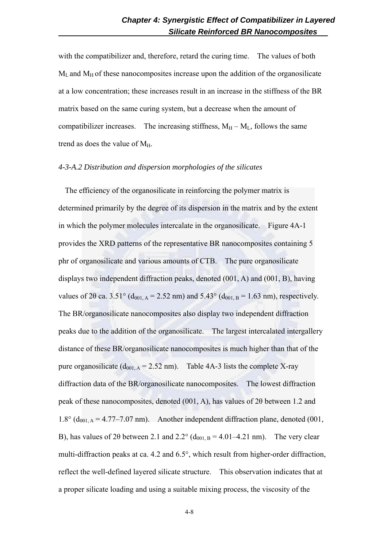with the compatibilizer and, therefore, retard the curing time. The values of both  $M_L$  and  $M_H$  of these nanocomposites increase upon the addition of the organosilicate at a low concentration; these increases result in an increase in the stiffness of the BR matrix based on the same curing system, but a decrease when the amount of compatibilizer increases. The increasing stiffness,  $M_H - M_L$ , follows the same trend as does the value of  $M_H$ .

#### *4-3-A.2 Distribution and dispersion morphologies of the silicates*

The efficiency of the organosilicate in reinforcing the polymer matrix is determined primarily by the degree of its dispersion in the matrix and by the extent in which the polymer molecules intercalate in the organosilicate. Figure 4A-1 provides the XRD patterns of the representative BR nanocomposites containing 5 phr of organosilicate and various amounts of CTB. The pure organosilicate displays two independent diffraction peaks, denoted (001, A) and (001, B), having values of 2 $\theta$  ca. 3.51° (d<sub>001, A</sub> = 2.52 nm) and 5.43° (d<sub>001, B</sub> = 1.63 nm), respectively. The BR/organosilicate nanocomposites also display two independent diffraction peaks due to the addition of the organosilicate. The largest intercalated intergallery distance of these BR/organosilicate nanocomposites is much higher than that of the pure organosilicate  $(d_{001,A} = 2.52 \text{ nm})$ . Table 4A-3 lists the complete X-ray diffraction data of the BR/organosilicate nanocomposites. The lowest diffraction peak of these nanocomposites, denoted (001, A), has values of 2θ between 1.2 and  $1.8^{\circ}$  (d<sub>001, A</sub> = 4.77–7.07 nm). Another independent diffraction plane, denoted (001, B), has values of 20 between 2.1 and 2.2° ( $d_{001, B} = 4.01 - 4.21$  nm). The very clear multi-diffraction peaks at ca. 4.2 and 6.5°, which result from higher-order diffraction, reflect the well-defined layered silicate structure. This observation indicates that at a proper silicate loading and using a suitable mixing process, the viscosity of the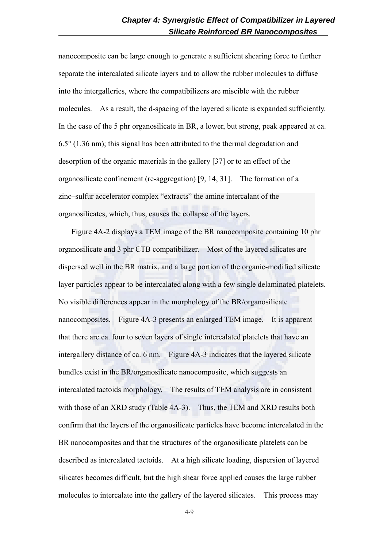nanocomposite can be large enough to generate a sufficient shearing force to further separate the intercalated silicate layers and to allow the rubber molecules to diffuse into the intergalleries, where the compatibilizers are miscible with the rubber molecules. As a result, the d-spacing of the layered silicate is expanded sufficiently. In the case of the 5 phr organosilicate in BR, a lower, but strong, peak appeared at ca. 6.5° (1.36 nm); this signal has been attributed to the thermal degradation and desorption of the organic materials in the gallery [37] or to an effect of the organosilicate confinement (re-aggregation) [9, 14, 31]. The formation of a zinc–sulfur accelerator complex "extracts" the amine intercalant of the organosilicates, which, thus, causes the collapse of the layers.

Figure 4A-2 displays a TEM image of the BR nanocomposite containing 10 phr organosilicate and 3 phr CTB compatibilizer. Most of the layered silicates are dispersed well in the BR matrix, and a large portion of the organic-modified silicate layer particles appear to be intercalated along with a few single delaminated platelets. No visible differences appear in the morphology of the BR/organosilicate nanocomposites. Figure 4A-3 presents an enlarged TEM image. It is apparent that there are ca. four to seven layers of single intercalated platelets that have an intergallery distance of ca. 6 nm. Figure 4A-3 indicates that the layered silicate bundles exist in the BR/organosilicate nanocomposite, which suggests an intercalated tactoids morphology. The results of TEM analysis are in consistent with those of an XRD study (Table 4A-3). Thus, the TEM and XRD results both confirm that the layers of the organosilicate particles have become intercalated in the BR nanocomposites and that the structures of the organosilicate platelets can be described as intercalated tactoids. At a high silicate loading, dispersion of layered silicates becomes difficult, but the high shear force applied causes the large rubber molecules to intercalate into the gallery of the layered silicates. This process may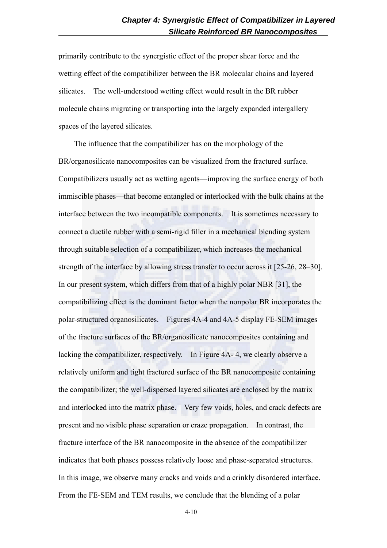primarily contribute to the synergistic effect of the proper shear force and the wetting effect of the compatibilizer between the BR molecular chains and layered silicates. The well-understood wetting effect would result in the BR rubber molecule chains migrating or transporting into the largely expanded intergallery spaces of the layered silicates.

 The influence that the compatibilizer has on the morphology of the BR/organosilicate nanocomposites can be visualized from the fractured surface. Compatibilizers usually act as wetting agents—improving the surface energy of both immiscible phases—that become entangled or interlocked with the bulk chains at the interface between the two incompatible components. It is sometimes necessary to connect a ductile rubber with a semi-rigid filler in a mechanical blending system through suitable selection of a compatibilizer, which increases the mechanical strength of the interface by allowing stress transfer to occur across it [25-26, 28–30]. In our present system, which differs from that of a highly polar NBR [31], the compatibilizing effect is the dominant factor when the nonpolar BR incorporates the polar-structured organosilicates. Figures 4A-4 and 4A-5 display FE-SEM images of the fracture surfaces of the BR/organosilicate nanocomposites containing and lacking the compatibilizer, respectively. In Figure 4A- 4, we clearly observe a relatively uniform and tight fractured surface of the BR nanocomposite containing the compatibilizer; the well-dispersed layered silicates are enclosed by the matrix and interlocked into the matrix phase. Very few voids, holes, and crack defects are present and no visible phase separation or craze propagation. In contrast, the fracture interface of the BR nanocomposite in the absence of the compatibilizer indicates that both phases possess relatively loose and phase-separated structures. In this image, we observe many cracks and voids and a crinkly disordered interface. From the FE-SEM and TEM results, we conclude that the blending of a polar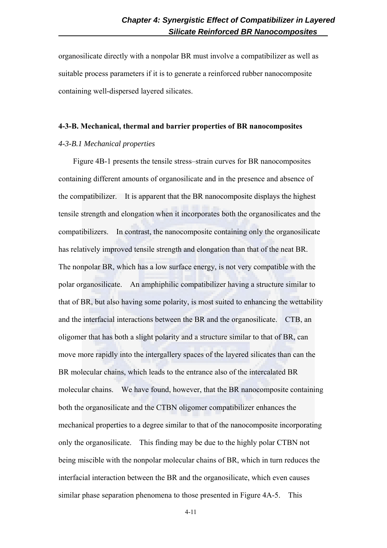organosilicate directly with a nonpolar BR must involve a compatibilizer as well as suitable process parameters if it is to generate a reinforced rubber nanocomposite containing well-dispersed layered silicates.

#### **4-3-B. Mechanical, thermal and barrier properties of BR nanocomposites**

#### *4-3-B.1 Mechanical properties*

Figure 4B-1 presents the tensile stress–strain curves for BR nanocomposites containing different amounts of organosilicate and in the presence and absence of the compatibilizer. It is apparent that the BR nanocomposite displays the highest tensile strength and elongation when it incorporates both the organosilicates and the compatibilizers. In contrast, the nanocomposite containing only the organosilicate has relatively improved tensile strength and elongation than that of the neat BR. The nonpolar BR, which has a low surface energy, is not very compatible with the polar organosilicate. An amphiphilic compatibilizer having a structure similar to that of BR, but also having some polarity, is most suited to enhancing the wettability and the interfacial interactions between the BR and the organosilicate. CTB, an oligomer that has both a slight polarity and a structure similar to that of BR, can move more rapidly into the intergallery spaces of the layered silicates than can the BR molecular chains, which leads to the entrance also of the intercalated BR molecular chains. We have found, however, that the BR nanocomposite containing both the organosilicate and the CTBN oligomer compatibilizer enhances the mechanical properties to a degree similar to that of the nanocomposite incorporating only the organosilicate. This finding may be due to the highly polar CTBN not being miscible with the nonpolar molecular chains of BR, which in turn reduces the interfacial interaction between the BR and the organosilicate, which even causes similar phase separation phenomena to those presented in Figure 4A-5. This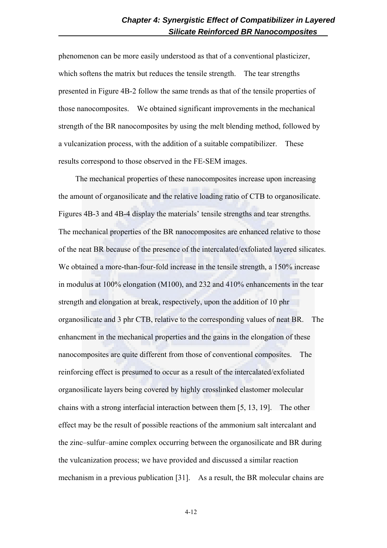phenomenon can be more easily understood as that of a conventional plasticizer, which softens the matrix but reduces the tensile strength. The tear strengths presented in Figure 4B-2 follow the same trends as that of the tensile properties of those nanocomposites. We obtained significant improvements in the mechanical strength of the BR nanocomposites by using the melt blending method, followed by a vulcanization process, with the addition of a suitable compatibilizer. These results correspond to those observed in the FE-SEM images.

The mechanical properties of these nanocomposites increase upon increasing the amount of organosilicate and the relative loading ratio of CTB to organosilicate. Figures 4B-3 and 4B-4 display the materials' tensile strengths and tear strengths. The mechanical properties of the BR nanocomposites are enhanced relative to those of the neat BR because of the presence of the intercalated/exfoliated layered silicates. We obtained a more-than-four-fold increase in the tensile strength, a 150% increase in modulus at 100% elongation (M100), and 232 and 410% enhancements in the tear strength and elongation at break, respectively, upon the addition of 10 phr organosilicate and 3 phr CTB, relative to the corresponding values of neat BR. The enhancment in the mechanical properties and the gains in the elongation of these nanocomposites are quite different from those of conventional composites. The reinforcing effect is presumed to occur as a result of the intercalated/exfoliated organosilicate layers being covered by highly crosslinked elastomer molecular chains with a strong interfacial interaction between them [5, 13, 19]. The other effect may be the result of possible reactions of the ammonium salt intercalant and the zinc–sulfur–amine complex occurring between the organosilicate and BR during the vulcanization process; we have provided and discussed a similar reaction mechanism in a previous publication [31]. As a result, the BR molecular chains are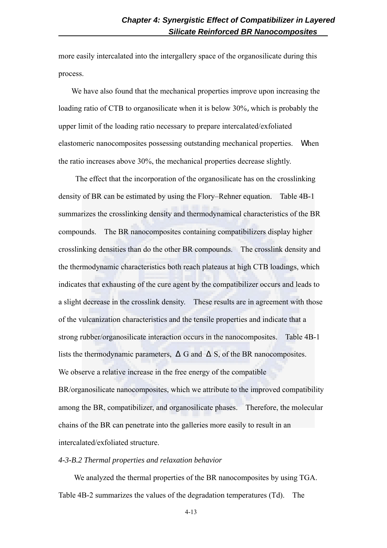more easily intercalated into the intergallery space of the organosilicate during this process.

We have also found that the mechanical properties improve upon increasing the loading ratio of CTB to organosilicate when it is below 30%, which is probably the upper limit of the loading ratio necessary to prepare intercalated/exfoliated elastomeric nanocomposites possessing outstanding mechanical properties. When the ratio increases above 30%, the mechanical properties decrease slightly.

 The effect that the incorporation of the organosilicate has on the crosslinking density of BR can be estimated by using the Flory–Rehner equation. Table 4B-1 summarizes the crosslinking density and thermodynamical characteristics of the BR compounds. The BR nanocomposites containing compatibilizers display higher crosslinking densities than do the other BR compounds. The crosslink density and the thermodynamic characteristics both reach plateaus at high CTB loadings, which indicates that exhausting of the cure agent by the compatibilizer occurs and leads to a slight decrease in the crosslink density. These results are in agreement with those of the vulcanization characteristics and the tensile properties and indicate that a strong rubber/organosilicate interaction occurs in the nanocomposites. Table 4B-1 lists the thermodynamic parameters, G and S, of the BR nanocomposites. We observe a relative increase in the free energy of the compatible BR/organosilicate nanocomposites, which we attribute to the improved compatibility among the BR, compatibilizer, and organosilicate phases. Therefore, the molecular chains of the BR can penetrate into the galleries more easily to result in an intercalated/exfoliated structure.

#### *4-3-B.2 Thermal properties and relaxation behavior*

We analyzed the thermal properties of the BR nanocomposites by using TGA. Table 4B-2 summarizes the values of the degradation temperatures (Td). The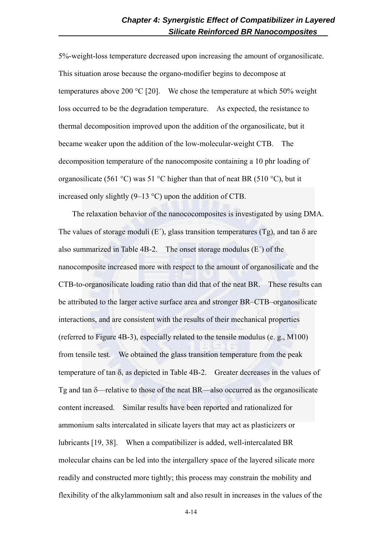5%-weight-loss temperature decreased upon increasing the amount of organosilicate. This situation arose because the organo-modifier begins to decompose at temperatures above 200 °C [20]. We chose the temperature at which 50% weight loss occurred to be the degradation temperature. As expected, the resistance to thermal decomposition improved upon the addition of the organosilicate, but it became weaker upon the addition of the low-molecular-weight CTB. The decomposition temperature of the nanocomposite containing a 10 phr loading of organosilicate (561 °C) was 51 °C higher than that of neat BR (510 °C), but it increased only slightly (9–13 °C) upon the addition of CTB.

 The relaxation behavior of the nanococomposites is investigated by using DMA. The values of storage moduli (E<sup> $\prime$ </sup>), glass transition temperatures (Tg), and tan  $\delta$  are also summarized in Table 4B-2. The onset storage modulus (E´) of the nanocomposite increased more with respect to the amount of organosilicate and the CTB-to-organosilicate loading ratio than did that of the neat BR. These results can be attributed to the larger active surface area and stronger BR–CTB–organosilicate interactions, and are consistent with the results of their mechanical properties (referred to Figure 4B-3), especially related to the tensile modulus (e. g., M100) from tensile test. We obtained the glass transition temperature from the peak temperature of tan  $\delta$ , as depicted in Table 4B-2. Greater decreases in the values of Tg and tan δ—relative to those of the neat BR—also occurred as the organosilicate content increased. Similar results have been reported and rationalized for ammonium salts intercalated in silicate layers that may act as plasticizers or lubricants [19, 38]. When a compatibilizer is added, well-intercalated BR molecular chains can be led into the intergallery space of the layered silicate more readily and constructed more tightly; this process may constrain the mobility and flexibility of the alkylammonium salt and also result in increases in the values of the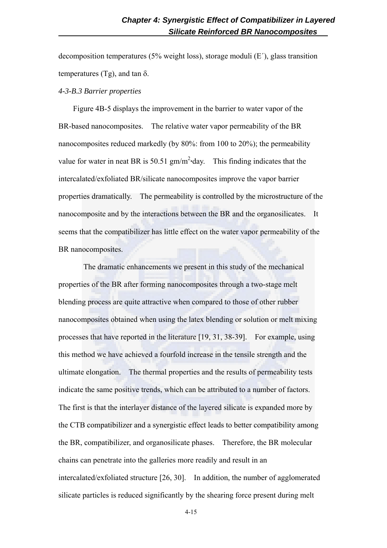decomposition temperatures (5% weight loss), storage moduli  $(E')$ , glass transition temperatures (Tg), and tan δ.

#### *4-3-B.3 Barrier properties*

Figure 4B-5 displays the improvement in the barrier to water vapor of the BR-based nanocomposites. The relative water vapor permeability of the BR nanocomposites reduced markedly (by 80%: from 100 to 20%); the permeability value for water in neat BR is  $50.51 \text{ gm/m}^2$ ·day. This finding indicates that the intercalated/exfoliated BR/silicate nanocomposites improve the vapor barrier properties dramatically. The permeability is controlled by the microstructure of the nanocomposite and by the interactions between the BR and the organosilicates. It seems that the compatibilizer has little effect on the water vapor permeability of the BR nanocomposites.

 The dramatic enhancements we present in this study of the mechanical properties of the BR after forming nanocomposites through a two-stage melt blending process are quite attractive when compared to those of other rubber nanocomposites obtained when using the latex blending or solution or melt mixing processes that have reported in the literature [19, 31, 38-39]. For example, using this method we have achieved a fourfold increase in the tensile strength and the ultimate elongation. The thermal properties and the results of permeability tests indicate the same positive trends, which can be attributed to a number of factors. The first is that the interlayer distance of the layered silicate is expanded more by the CTB compatibilizer and a synergistic effect leads to better compatibility among the BR, compatibilizer, and organosilicate phases. Therefore, the BR molecular chains can penetrate into the galleries more readily and result in an intercalated/exfoliated structure [26, 30]. In addition, the number of agglomerated silicate particles is reduced significantly by the shearing force present during melt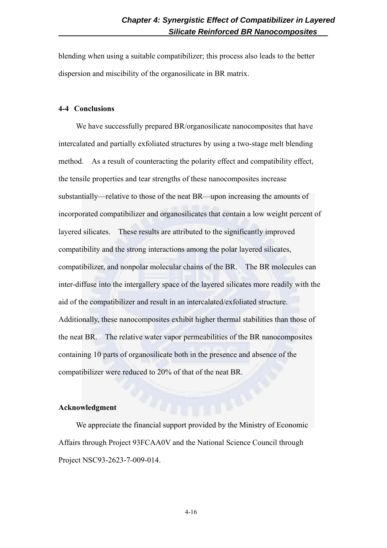blending when using a suitable compatibilizer; this process also leads to the better dispersion and miscibility of the organosilicate in BR matrix.

## **4-4 Conclusions**

We have successfully prepared BR/organosilicate nanocomposites that have intercalated and partially exfoliated structures by using a two-stage melt blending method. As a result of counteracting the polarity effect and compatibility effect, the tensile properties and tear strengths of these nanocomposites increase substantially—relative to those of the neat BR—upon increasing the amounts of incorporated compatibilizer and organosilicates that contain a low weight percent of layered silicates. These results are attributed to the significantly improved compatibility and the strong interactions among the polar layered silicates, compatibilizer, and nonpolar molecular chains of the BR. The BR molecules can inter-diffuse into the intergallery space of the layered silicates more readily with the aid of the compatibilizer and result in an intercalated/exfoliated structure. Additionally, these nanocomposites exhibit higher thermal stabilities than those of the neat BR. The relative water vapor permeabilities of the BR nanocomposites containing 10 parts of organosilicate both in the presence and absence of the compatibilizer were reduced to 20% of that of the neat BR.

#### **Acknowledgment**

We appreciate the financial support provided by the Ministry of Economic Affairs through Project 93FCAA0V and the National Science Council through Project NSC93-2623-7-009-014.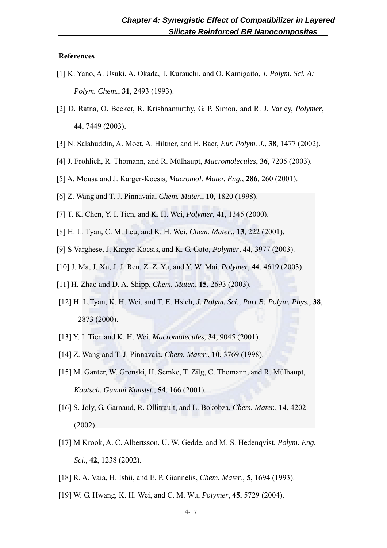## **References**

- [1] K. Yano, A. Usuki, A. Okada, T. Kurauchi, and O. Kamigaito, *J. Polym. Sci. A: Polym. Chem.*, **31**, 2493 (1993).
- [2] D. Ratna, O. Becker, R. Krishnamurthy, G. P. Simon, and R. J. Varley, *Polymer*, **44**, 7449 (2003).
- [3] N. Salahuddin, A. Moet, A. Hiltner, and E. Baer, *Eur. Polym. J.*, **38**, 1477 (2002).
- [4] J. Fröhlich, R. Thomann, and R. Mülhaupt, *Macromolecules*, **36**, 7205 (2003).
- [5] A. Mousa and J. Karger-Kocsis, *Macromol. Mater. Eng.,* **286**, 260 (2001).
- [6] Z. Wang and T. J. Pinnavaia, *Chem. Mater*., **10**, 1820 (1998).
- [7] T. K. Chen, Y. I. Tien, and K. H. Wei, *Polymer*, **41**, 1345 (2000).
- [8] H. L. Tyan, C. M. Leu, and K. H. Wei, *Chem. Mater*., **13**, 222 (2001).
- [9] S Varghese, J. Karger-Kocsis, and K. G. Gato, *Polymer*, **44**, 3977 (2003).
- [10] J. Ma, J. Xu, J. J. Ren, Z. Z. Yu, and Y. W. Mai, *Polymer*, **44**, 4619 (2003).
- [11] H. Zhao and D. A. Shipp, *Chem. Mater.*, **15**, 2693 (2003).
- [12] H. L.Tyan, K. H. Wei, and T. E. Hsieh, *J. Polym. Sci., Part B: Polym. Phys.*, **38**, 2873 (2000).
- [13] Y. I. Tien and K. H. Wei, *Macromolecules*, **34**, 9045 (2001).
- [14] Z. Wang and T. J. Pinnavaia, *Chem. Mater*., **10**, 3769 (1998).
- [15] M. Ganter, W. Gronski, H. Semke, T. Zilg, C. Thomann, and R. Mülhaupt, *Kautsch. Gummi Kunstst.*, **54**, 166 (2001).
- [16] S. Joly, G. Garnaud, R. Ollitrault, and L. Bokobza, *Chem. Mater.*, **14**, 4202 (2002).
- [17] M Krook, A. C. Albertsson, U. W. Gedde, and M. S. Hedenqvist, *Polym. Eng. Sci.*, **42**, 1238 (2002).
- [18] R. A. Vaia, H. Ishii, and E. P. Giannelis, *Chem. Mater*., **5,** 1694 (1993).
- [19] W. G. Hwang, K. H. Wei, and C. M. Wu, *Polymer*, **45**, 5729 (2004).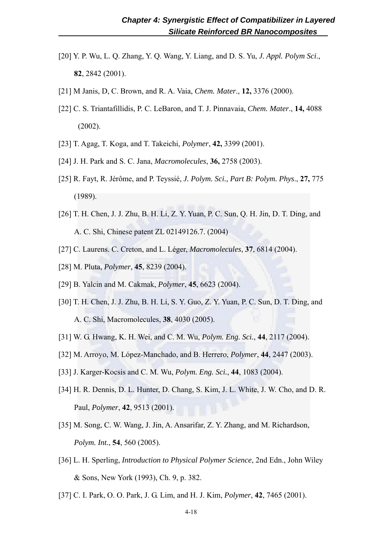- [20] Y. P. Wu, L. Q. Zhang, Y. Q. Wang, Y. Liang, and D. S. Yu, *J. Appl. Polym Sci*., **82**, 2842 (2001).
- [21] M Janis, D, C. Brown, and R. A. Vaia, *Chem. Mater*., **12,** 3376 (2000).
- [22] C. S. Triantafillidis, P. C. LeBaron, and T. J. Pinnavaia, *Chem. Mater*., **14,** 4088 (2002).
- [23] T. Agag, T. Koga, and T. Takeichi, *Polymer*, **42,** 3399 (2001).
- [24] J. H. Park and S. C. Jana, *Macromolecules*, **36,** 2758 (2003).
- [25] R. Fayt, R. Jérôme, and P. Teyssié, *J. Polym. Sci., Part B: Polym. Phys*., **27,** 775 (1989).
- [26] T. H. Chen, J. J. Zhu, B. H. Li, Z. Y. Yuan, P. C. Sun, Q. H. Jin, D. T. Ding, and A. C. Shi, Chinese patent ZL 02149126.7. (2004)
- [27] C. Laurens. C. Creton, and L. Léger, *Macromolecules*, **37**, 6814 (2004).
- [28] M. Pluta, *Polymer*, **45**, 8239 (2004).
- [29] B. Yalcin and M. Cakmak, *Polymer*, **45**, 6623 (2004).
- [30] T. H. Chen, J. J. Zhu, B. H. Li, S. Y. Guo, Z. Y. Yuan, P. C. Sun, D. T. Ding, and A. C. Shi, Macromolecules, **38**, 4030 (2005).
- [31] W. G. Hwang, K. H. Wei, and C. M. Wu, *Polym. Eng. Sci.*, **44**, 2117 (2004).
- [32] M. Arroyo, M. López-Manchado, and B. Herrero, *Polymer*, **44**, 2447 (2003).
- [33] J. Karger-Kocsis and C. M. Wu, *Polym. Eng. Sci.*, **44**, 1083 (2004).
- [34] H. R. Dennis, D. L. Hunter, D. Chang, S. Kim, J. L. White, J. W. Cho, and D. R. Paul, *Polymer*, **42**, 9513 (2001).
- [35] M. Song, C. W. Wang, J. Jin, A. Ansarifar, Z. Y. Zhang, and M. Richardson, *Polym. Int.*, **54**, 560 (2005).
- [36] L. H. Sperling, *Introduction to Physical Polymer Science*, 2nd Edn., John Wiley & Sons, New York (1993), Ch. 9, p. 382.
- [37] C. I. Park, O. O. Park, J. G. Lim, and H. J. Kim, *Polymer*, **42**, 7465 (2001).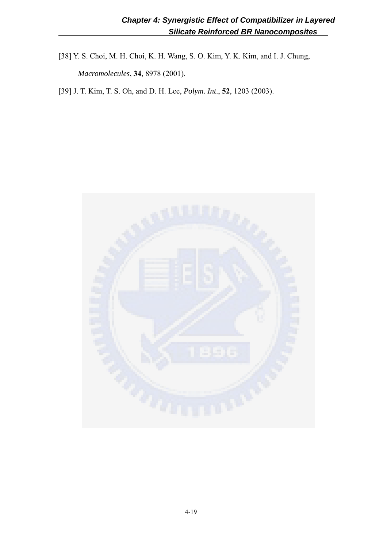[38] Y. S. Choi, M. H. Choi, K. H. Wang, S. O. Kim, Y. K. Kim, and I. J. Chung, *Macromolecules*, **34**, 8978 (2001).

[39] J. T. Kim, T. S. Oh, and D. H. Lee, *Polym. Int*., **52**, 1203 (2003).

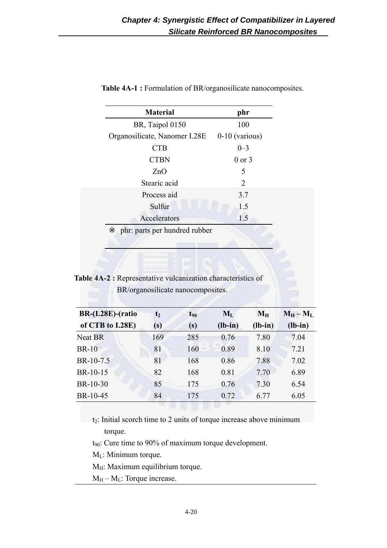| <b>Material</b>               | phr              |
|-------------------------------|------------------|
| BR, Taipol 0150               | 100              |
| Organosilicate, Nanomer I.28E | $0-10$ (various) |
| <b>CTB</b>                    | $0 - 3$          |
| <b>CTBN</b>                   | $0$ or $3$       |
| ZnO                           | 5                |
| Stearic acid                  | 2                |
| Process aid                   | 3.7              |
| Sulfur                        | 1.5              |
| Accelerators                  | 1.5              |
| phr: parts per hundred rubber |                  |
|                               |                  |

**Table 4A-1 :** Formulation of BR/organosilicate nanocomposites.

**Table 4A-2 :** Representative vulcanization characteristics of BR/organosilicate nanocomposites.

| <b>BR-(I.28E)-(ratio</b> | t <sub>2</sub> | $t_{90}$ | $M_{L}$   | $M_H$     | $M_H - M_L$ |
|--------------------------|----------------|----------|-----------|-----------|-------------|
| of CTB to I.28E)         | (s)            | (s)      | $(lb-in)$ | $(lb-in)$ | $(lb-in)$   |
| <b>Neat BR</b>           | 169            | 285      | 0.76      | 7.80      | 7.04        |
| <b>BR-10</b>             | 81             | 160      | 0.89      | 8.10      | 7.21        |
| BR-10-7.5                | 81             | 168      | 0.86      | 7.88      | 7.02        |
| BR-10-15                 | 82             | 168      | 0.81      | 7.70      | 6.89        |
| BR-10-30                 | 85             | 175      | 0.76      | 7.30      | 6.54        |
| BR-10-45                 | 84             | 175      | 0.72      | 6.77      | 6.05        |

t2: Initial scorch time to 2 units of torque increase above minimum torque.

t90: Cure time to 90% of maximum torque development.

- $M_L$ : Minimum torque.
- $M_H$ : Maximum equilibrium torque.
- $M_H M_L$ : Torque increase.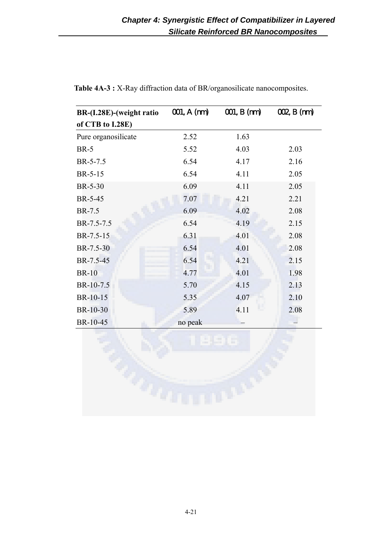| BR-(I.28E)-(weight ratio | 001, A (m) | 001, B (m) | OQ, B(m) |
|--------------------------|------------|------------|----------|
| of CTB to I.28E)         |            |            |          |
| Pure organosilicate      | 2.52       | 1.63       |          |
| $BR-5$                   | 5.52       | 4.03       | 2.03     |
| BR-5-7.5                 | 6.54       | 4.17       | 2.16     |
| BR-5-15                  | 6.54       | 4.11       | 2.05     |
| <b>BR-5-30</b>           | 6.09       | 4.11       | 2.05     |
| BR-5-45                  | 7.07       | 4.21       | 2.21     |
| BR-7.5                   | 6.09       | 4.02       | 2.08     |
| BR-7.5-7.5               | 6.54       | 4.19       | 2.15     |
| BR-7.5-15                | 6.31       | 4.01       | 2.08     |
| BR-7.5-30                | 6.54       | 4.01       | 2.08     |
| BR-7.5-45                | 6.54       | 4.21       | 2.15     |
| <b>BR-10</b>             | 4.77       | 4.01       | 1.98     |
| BR-10-7.5                | 5.70       | 4.15       | 2.13     |
| BR-10-15                 | 5.35       | 4.07       | 2.10     |
| BR-10-30                 | 5.89       | 4.11       | 2.08     |
| BR-10-45                 | no peak    |            |          |

Table 4A-3 : X-Ray diffraction data of BR/organosilicate nanocomposites.

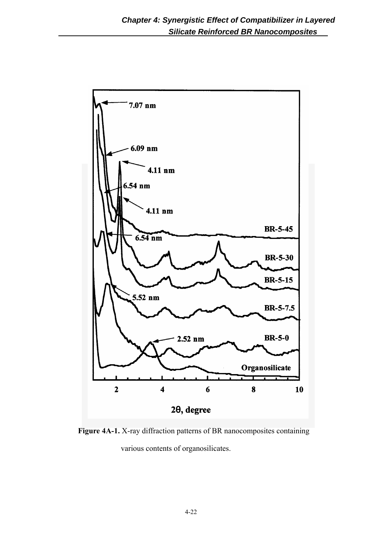

**Figure 4A-1.** X-ray diffraction patterns of BR nanocomposites containing various contents of organosilicates.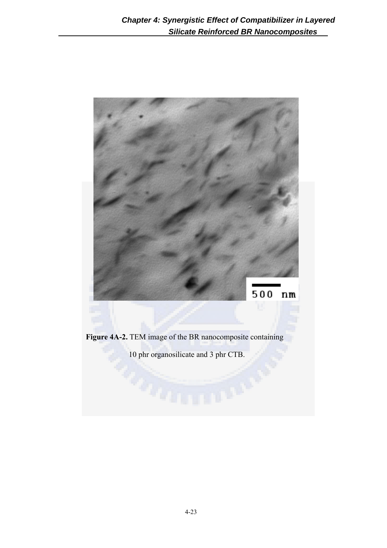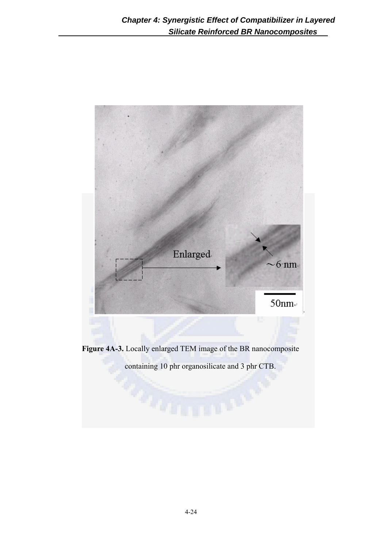

**Figure 4A-3.** Locally enlarged TEM image of the BR nanocomposite

containing 10 phr organosilicate and 3 phr CTB.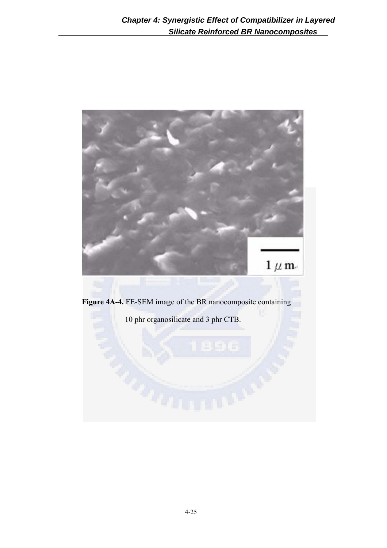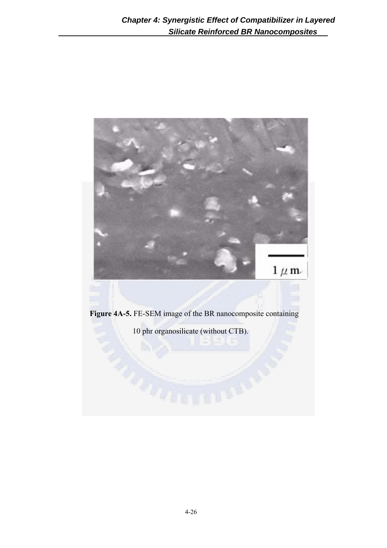

**Figure 4A-5.** FE-SEM image of the BR nanocomposite containing

10 phr organosilicate (without CTB).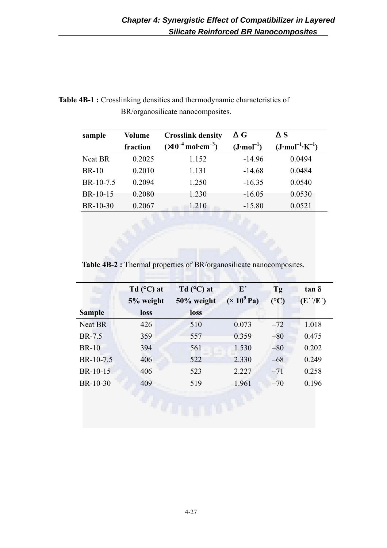## Table 4B-1 : Crosslinking densities and thermodynamic characteristics of BR/organosilicate nanocomposites.

| sample       | <b>Volume</b> | <b>Crosslink density</b>                      | G                    | S                                 |
|--------------|---------------|-----------------------------------------------|----------------------|-----------------------------------|
|              | fraction      | $(x10^{-4} \text{ mol} \cdot \text{cm}^{-3})$ | $(J \cdot mol^{-1})$ | $(J \cdot mol^{-1} \cdot K^{-1})$ |
| Neat BR      | 0.2025        | 1.152                                         | $-14.96$             | 0.0494                            |
| <b>BR-10</b> | 0.2010        | 1.131                                         | $-14.68$             | 0.0484                            |
| BR-10-7.5    | 0.2094        | 1.250                                         | $-16.35$             | 0.0540                            |
| BR-10-15     | 0.2080        | 1.230                                         | $-16.05$             | 0.0530                            |
| BR-10-30     | 0.2067        | 1.210                                         | $-15.80$             | 0.0521                            |

**Table 4B-2 :** Thermal properties of BR/organosilicate nanocomposites.

|                | Td $(C)$ at | Td $(C)$ at | ${\bf E}'$         | Tg            | $tan \delta$                    |
|----------------|-------------|-------------|--------------------|---------------|---------------------------------|
|                | 5% weight   | 50% weight  | $(\times 10^9$ Pa) | $(^{\circ}C)$ | $(E^{\prime\prime}/E^{\prime})$ |
| <b>Sample</b>  | loss        | loss        |                    |               |                                 |
| <b>Neat BR</b> | 426         | 510         | 0.073              | $-72$         | 1.018                           |
| BR-7.5         | 359         | 557         | 0.359              | $-80$         | 0.475                           |
| <b>BR-10</b>   | 394         | 561         | 1.530              | $-80$         | 0.202                           |
| BR-10-7.5      | 406         | 522         | 2.330              | $-68$         | 0.249                           |
| BR-10-15       | 406         | 523         | 2.227              | $-71$         | 0.258                           |
| BR-10-30       | 409         | 519         | 1.961              | $-70$         | 0.196                           |
|                |             |             |                    |               |                                 |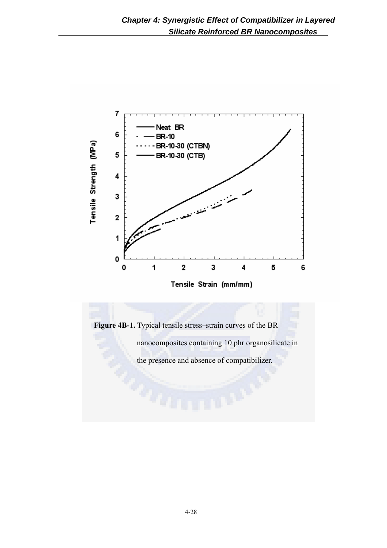

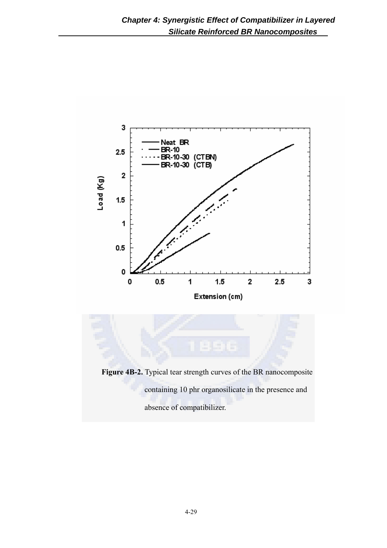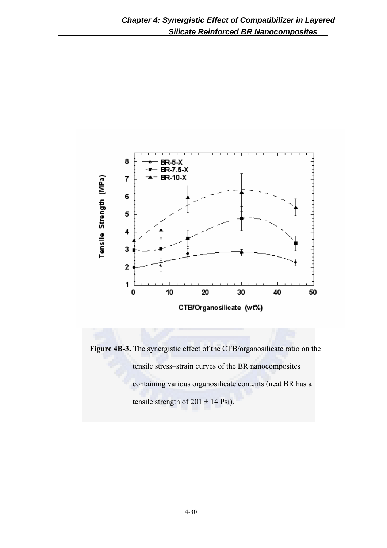

**Figure 4B-3.** The synergistic effect of the CTB/organosilicate ratio on the tensile stress–strain curves of the BR nanocomposites containing various organosilicate contents (neat BR has a tensile strength of  $201 \pm 14$  Psi).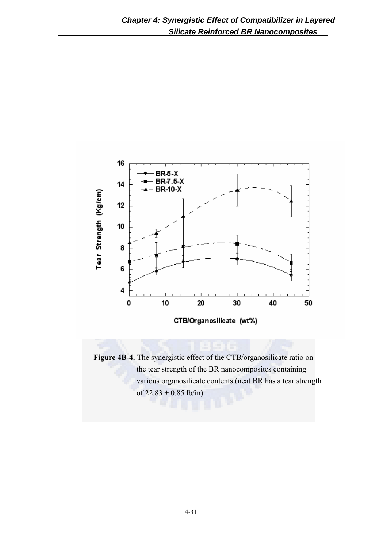

**Figure 4B-4.** The synergistic effect of the CTB/organosilicate ratio on the tear strength of the BR nanocomposites containing various organosilicate contents (neat BR has a tear strength of  $22.83 \pm 0.85$  lb/in).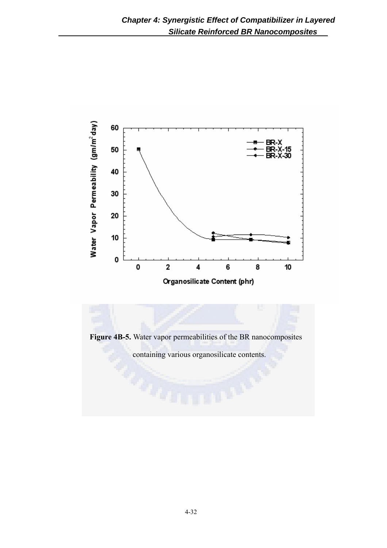

**Figure 4B-5.** Water vapor permeabilities of the BR nanocomposites containing various organosilicate contents.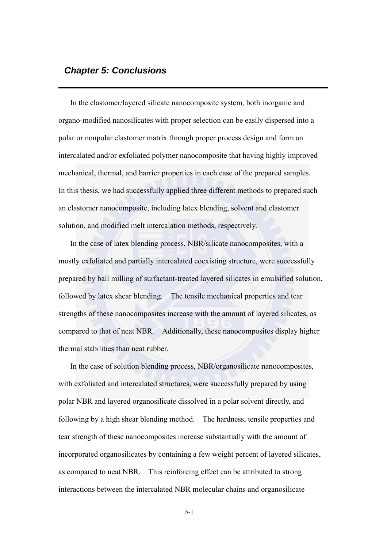## *Chapter 5: Conclusions*

In the elastomer/layered silicate nanocomposite system, both inorganic and organo-modified nanosilicates with proper selection can be easily dispersed into a polar or nonpolar elastomer matrix through proper process design and form an intercalated and/or exfoliated polymer nanocomposite that having highly improved mechanical, thermal, and barrier properties in each case of the prepared samples. In this thesis, we had successfully applied three different methods to prepared such an elastomer nanocomposite, including latex blending, solvent and elastomer solution, and modified melt intercalation methods, respectively.

In the case of latex blending process, NBR/silicate nanocomposites, with a mostly exfoliated and partially intercalated coexisting structure, were successfully prepared by ball milling of surfactant-treated layered silicates in emulsified solution, followed by latex shear blending. The tensile mechanical properties and tear strengths of these nanocomposites increase with the amount of layered silicates, as compared to that of neat NBR. Additionally, these nanocomposites display higher thermal stabilities than neat rubber.

In the case of solution blending process, NBR/organosilicate nanocomposites, with exfoliated and intercalated structures, were successfully prepared by using polar NBR and layered organosilicate dissolved in a polar solvent directly, and following by a high shear blending method. The hardness, tensile properties and tear strength of these nanocomposites increase substantially with the amount of incorporated organosilicates by containing a few weight percent of layered silicates, as compared to neat NBR. This reinforcing effect can be attributed to strong interactions between the intercalated NBR molecular chains and organosilicate

5-1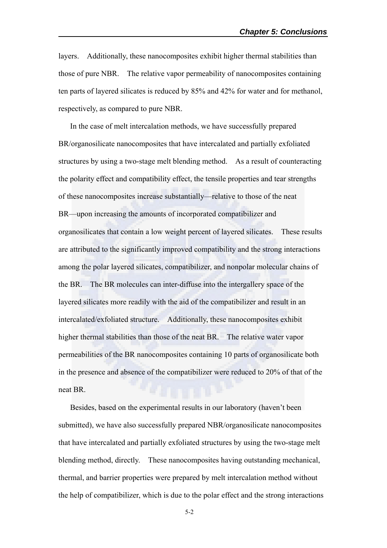layers. Additionally, these nanocomposites exhibit higher thermal stabilities than those of pure NBR. The relative vapor permeability of nanocomposites containing ten parts of layered silicates is reduced by 85% and 42% for water and for methanol, respectively, as compared to pure NBR.

In the case of melt intercalation methods, we have successfully prepared BR/organosilicate nanocomposites that have intercalated and partially exfoliated structures by using a two-stage melt blending method. As a result of counteracting the polarity effect and compatibility effect, the tensile properties and tear strengths of these nanocomposites increase substantially—relative to those of the neat BR—upon increasing the amounts of incorporated compatibilizer and organosilicates that contain a low weight percent of layered silicates. These results are attributed to the significantly improved compatibility and the strong interactions among the polar layered silicates, compatibilizer, and nonpolar molecular chains of the BR. The BR molecules can inter-diffuse into the intergallery space of the layered silicates more readily with the aid of the compatibilizer and result in an intercalated/exfoliated structure. Additionally, these nanocomposites exhibit higher thermal stabilities than those of the neat BR. The relative water vapor permeabilities of the BR nanocomposites containing 10 parts of organosilicate both in the presence and absence of the compatibilizer were reduced to 20% of that of the neat BR.

Besides, based on the experimental results in our laboratory (haven't been submitted), we have also successfully prepared NBR/organosilicate nanocomposites that have intercalated and partially exfoliated structures by using the two-stage melt blending method, directly. These nanocomposites having outstanding mechanical, thermal, and barrier properties were prepared by melt intercalation method without the help of compatibilizer, which is due to the polar effect and the strong interactions

5-2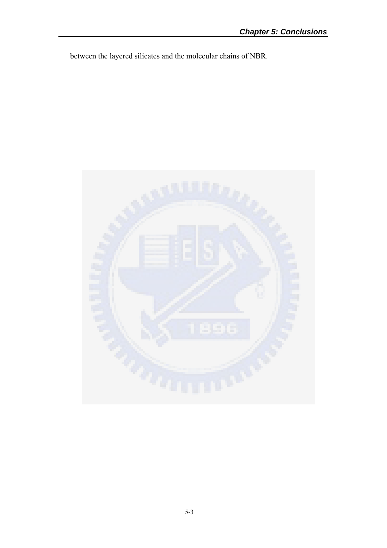between the layered silicates and the molecular chains of NBR.

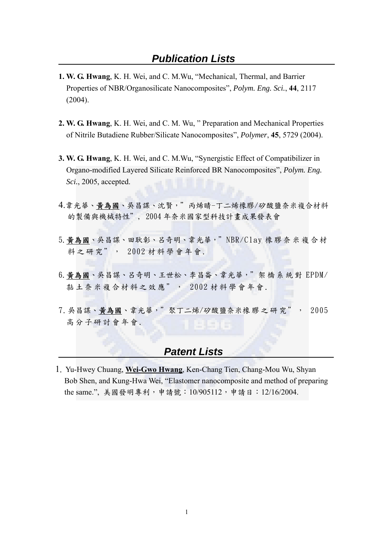- **1. W. G. Hwang**, K. H. Wei, and C. M.Wu, "Mechanical, Thermal, and Barrier Properties of NBR/Organosilicate Nanocomposites", *Polym. Eng. Sci.*, **44**, 2117 (2004).
- **2. W. G. Hwang**, K. H. Wei, and C. M. Wu, " Preparation and Mechanical Properties of Nitrile Butadiene Rubber/Silicate Nanocomposites", *Polymer*, **45**, 5729 (2004).
- **3. W. G. Hwang**, K. H. Wei, and C. M.Wu, "Synergistic Effect of Compatibilizer in Organo-modified Layered Silicate Reinforced BR Nanocomposites", *Polym. Eng. Sci.*, 2005, accepted.
- 4.韋光華、黃為國、吳昌謀、沈賢,"丙烯睛-丁二烯橡膠/矽酸鹽奈米複合材料 的製備與機械特性", 2004 年奈米國家型科技計畫成果發表會
- 5.黃為國、吳昌謀、田耿彰、呂奇明、韋光華,"NBR/Clay 橡膠奈 米複合材 料之研究", 2002 材料學會年會.
- 6.黃為國、吳昌謀、呂奇明、王世松、李昌崙、韋光華,"架 橋系統 對 EPDM/ 黏土奈米複合材料之效應", 2002 材 料學會年會.
- 7.吳昌謀、黃為國、韋光華,"聚丁二烯/矽酸鹽奈米橡 膠之研究", 2005 高分子研討會年會.

# *Patent Lists*

1. Yu-Hwey Chuang, **Wei-Gwo Hwang**, Ken-Chang Tien, Chang-Mou Wu, Shyan Bob Shen, and Kung-Hwa Wei, "Elastomer nanocomposite and method of preparing the same.", 美國發明專利,申請號: 10/905112,申請日: 12/16/2004.